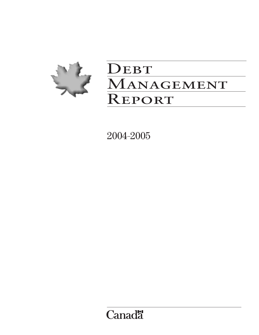

# DEBT MANAGEMENT Report

2004–2005

**Canadä**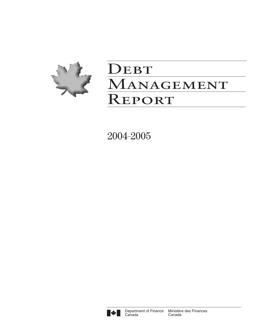

# DEBT MANAGEMENT Report

2004–2005

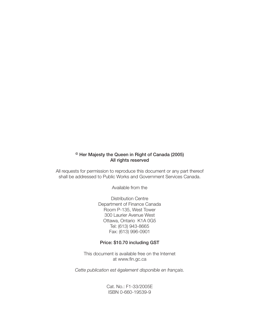# © Her Majesty the Queen in Right of Canada (2005) All rights reserved

All requests for permission to reproduce this document or any part thereof shall be addressed to Public Works and Government Services Canada.

Available from the

Distribution Centre Department of Finance Canada Room P-135, West Tower 300 Laurier Avenue West Ottawa, Ontario K1A 0G5 Tel: (613) 943-8665 Fax: (613) 996-0901

### Price: \$10.70 including GST

This document is available free on the Internet at www.fin.gc.ca

*Cette publication est également disponible en français.*

Cat. No.: F1-33/2005E ISBN 0-660-19539-9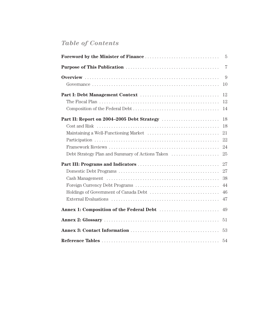# *Table of Contents*

|                                                 | 7  |
|-------------------------------------------------|----|
|                                                 | 9  |
|                                                 | 10 |
|                                                 | 12 |
|                                                 | 12 |
|                                                 | 14 |
|                                                 | 18 |
|                                                 | 18 |
|                                                 | 21 |
|                                                 | 22 |
|                                                 | 24 |
| Debt Strategy Plan and Summary of Actions Taken | 25 |
|                                                 | 27 |
|                                                 |    |
|                                                 | 38 |
|                                                 | 44 |
|                                                 | 46 |
|                                                 | 47 |
|                                                 | 49 |
|                                                 | 51 |
|                                                 | 53 |
|                                                 | 54 |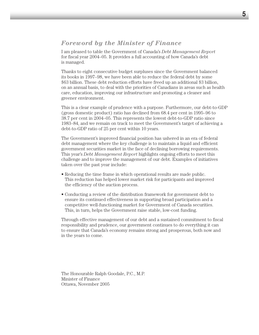# *Foreword by the Minister of Finance*

I am pleased to table the Government of Canada's *Debt Management Report* for fiscal year 2004–05. It provides a full accounting of how Canada's debt is managed.

Thanks to eight consecutive budget surpluses since the Government balanced its books in 1997–98, we have been able to reduce the federal debt by some \$63 billion. These debt reduction efforts have freed up an additional \$3 billion, on an annual basis, to deal with the priorities of Canadians in areas such as health care, education, improving our infrastructure and promoting a cleaner and greener environment.

This is a clear example of prudence with a purpose. Furthermore, our debt-to-GDP (gross domestic product) ratio has declined from 68.4 per cent in 1995–96 to 38.7 per cent in 2004–05. This represents the lowest debt-to-GDP ratio since 1983–84, and we remain on track to meet the Government's target of achieving a debt-to-GDP ratio of 25 per cent within 10 years.

The Government's improved financial position has ushered in an era of federal debt management where the key challenge is to maintain a liquid and efficient government securities market in the face of declining borrowing requirements. This year's *Debt Management Report* highlights ongoing efforts to meet this challenge and to improve the management of our debt. Examples of initiatives taken over the past year include:

- Reducing the time frame in which operational results are made public. This reduction has helped lower market risk for participants and improved the efficiency of the auction process.
- Conducting a review of the distribution framework for government debt to ensure its continued effectiveness in supporting broad participation and a competitive well-functioning market for Government of Canada securities. This, in turn, helps the Government raise stable, low-cost funding.

Through effective management of our debt and a sustained commitment to fiscal responsibility and prudence, our government continues to do everything it can to ensure that Canada's economy remains strong and prosperous, both now and in the years to come.

The Honourable Ralph Goodale, P.C., M.P. Minister of Finance Ottawa, November 2005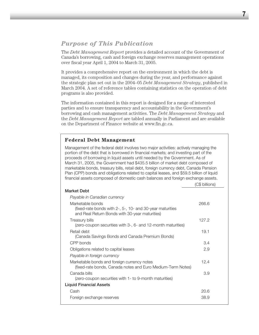# *Purpose of This Publication*

The *Debt Management Report* provides a detailed account of the Government of Canada's borrowing, cash and foreign exchange reserves management operations over fiscal year April 1, 2004 to March 31, 2005.

It provides a comprehensive report on the environment in which the debt is managed, its composition and changes during the year, and performance against the strategic plan set out in the 2004–05 *Debt Management Strategy*, published in March 2004. A set of reference tables containing statistics on the operation of debt programs is also provided.

The information contained in this report is designed for a range of interested parties and to ensure transparency and accountability in the Government's borrowing and cash management activities. The *Debt Management Strategy* and the *Debt Management Report* are tabled annually in Parliament and are available on the Department of Finance website at www.fin.gc.ca.

# **Federal Debt Management**

Management of the federal debt involves two major activities: actively managing the portion of the debt that is borrowed in financial markets; and investing part of the proceeds of borrowing in liquid assets until needed by the Government. As of March 31, 2005, the Government had \$435.5 billion of market debt composed of marketable bonds, treasury bills, retail debt, foreign currency debt, Canada Pension Plan (CPP) bonds and obligations related to capital leases, and \$59.5 billion of liquid financial assets composed of domestic cash balances and foreign exchange assets.

|                                                                                                                                    | (C\$ billions) |
|------------------------------------------------------------------------------------------------------------------------------------|----------------|
| Market Debt                                                                                                                        |                |
| Payable in Canadian currency                                                                                                       |                |
| Marketable bonds<br>(fixed-rate bonds with $2-$ , 5-, 10- and 30-year maturities<br>and Real Return Bonds with 30-year maturities) | 266.6          |
| Treasury bills                                                                                                                     | 127.2          |
| (zero-coupon securities with 3-, 6- and 12-month maturities)                                                                       |                |
| Retail debt                                                                                                                        | 19.1           |
| (Canada Savings Bonds and Canada Premium Bonds)                                                                                    |                |
| CPP bonds                                                                                                                          | 3.4            |
| Obligations related to capital leases                                                                                              | 2.9            |
| Payable in foreign currency                                                                                                        |                |
| Marketable bonds and foreign currency notes<br>(fixed-rate bonds, Canada notes and Euro Medium-Term Notes)                         | 12.4           |
| Canada bills<br>(zero-coupon securities with 1- to 9-month maturities)                                                             | 3.9            |
| <b>Liquid Financial Assets</b>                                                                                                     |                |
| Cash                                                                                                                               | 20.6           |
| Foreign exchange reserves                                                                                                          | 38.9           |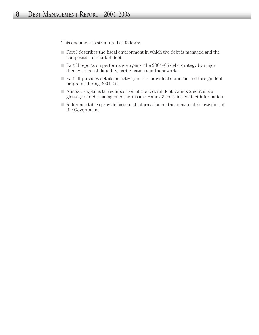This document is structured as follows:

- Part I describes the fiscal environment in which the debt is managed and the composition of market debt.
- Part II reports on performance against the 2004–05 debt strategy by major theme: risk/cost, liquidity, participation and frameworks.
- Part III provides details on activity in the individual domestic and foreign debt programs during 2004–05.
- $\blacksquare$  Annex 1 explains the composition of the federal debt, Annex 2 contains a glossary of debt management terms and Annex 3 contains contact information.
- Reference tables provide historical information on the debt-related activities of the Government.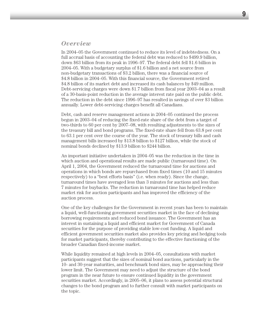# *Overview*

In 2004–05 the Government continued to reduce its level of indebtedness. On a full accrual basis of accounting the federal debt was reduced to \$499.9 billion, down \$63 billion from its peak in 1996–97. The federal debt fell \$1.6 billion in 2004–05. With a budgetary surplus of \$1.6 billion and a net source from non-budgetary transactions of \$3.2 billion, there was a financial source of \$4.8 billion in 2004–05. With this financial source, the Government retired \$4.8 billion of its market debt and increased its cash balances by \$49 million. Debt-servicing charges were down \$1.7 billion from fiscal year 2003–04 as a result of a 30-basis-point reduction in the average interest rate paid on the public debt. The reduction in the debt since 1996–97 has resulted in savings of over \$3 billion annually. Lower debt-servicing charges benefit all Canadians.

Debt, cash and reserve management actions in 2004–05 continued the process begun in 2003–04 of reducing the fixed-rate share of the debt from a target of two-thirds to 60 per cent by 2007–08, with resulting adjustments to the sizes of the treasury bill and bond programs. The fixed-rate share fell from 63.8 per cent to 63.1 per cent over the course of the year. The stock of treasury bills and cash management bills increased by \$13.8 billion to \$127 billion, while the stock of nominal bonds declined by \$13.9 billion to \$244 billion.

An important initiative undertaken in 2004–05 was the reduction in the time in which auction and operational results are made public (turnaround time). On April 1, 2004, the Government reduced the turnaround time for auctions and operations in which bonds are repurchased from fixed times (10 and 15 minutes respectively) to a "best efforts basis" (i.e. when ready). Since the change, turnaround times have averaged less than 3 minutes for auctions and less than 7 minutes for buybacks. The reduction in turnaround time has helped reduce market risk for auction participants and has improved the efficiency of the auction process.

One of the key challenges for the Government in recent years has been to maintain a liquid, well-functioning government securities market in the face of declining borrowing requirements and reduced bond issuance. The Government has an interest in sustaining a liquid and efficient market for Government of Canada securities for the purpose of providing stable low-cost funding. A liquid and efficient government securities market also provides key pricing and hedging tools for market participants, thereby contributing to the effective functioning of the broader Canadian fixed-income market.

While liquidity remained at high levels in 2004–05, consultations with market participants suggest that the sizes of nominal bond auctions, particularly in the 10- and 30-year maturities, and benchmark bond sizes, may be approaching their lower limit. The Government may need to adjust the structure of the bond program in the near future to ensure continued liquidity in the government securities market. Accordingly, in 2005–06, it plans to assess potential structural changes to the bond program and to further consult with market participants on the topic.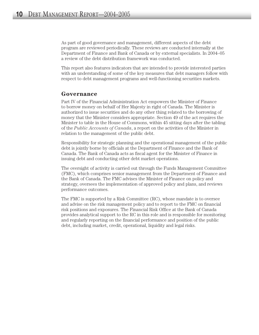As part of good governance and management, different aspects of the debt program are reviewed periodically. These reviews are conducted internally at the Department of Finance and Bank of Canada or by external specialists. In 2004–05 a review of the debt distribution framework was conducted.

This report also features indicators that are intended to provide interested parties with an understanding of some of the key measures that debt managers follow with respect to debt management programs and well-functioning securities markets.

# **Governance**

Part IV of the Financial Administration Act empowers the Minister of Finance to borrow money on behalf of Her Majesty in right of Canada. The Minister is authorized to issue securities and do any other thing related to the borrowing of money that the Minister considers appropriate. Section 49 of the act requires the Minister to table in the House of Commons, within 45 sitting days after the tabling of the *Public Accounts of Canada*, a report on the activities of the Minister in relation to the management of the public debt.

Responsibility for strategic planning and the operational management of the public debt is jointly borne by officials at the Department of Finance and the Bank of Canada. The Bank of Canada acts as fiscal agent for the Minister of Finance in issuing debt and conducting other debt market operations.

The oversight of activity is carried out through the Funds Management Committee (FMC), which comprises senior management from the Department of Finance and the Bank of Canada. The FMC advises the Minister of Finance on policy and strategy, oversees the implementation of approved policy and plans, and reviews performance outcomes.

The FMC is supported by a Risk Committee (RC), whose mandate is to oversee and advise on the risk management policy and to report to the FMC on financial risk positions and exposures. The Financial Risk Office at the Bank of Canada provides analytical support to the RC in this role and is responsible for monitoring and regularly reporting on the financial performance and position of the public debt, including market, credit, operational, liquidity and legal risks.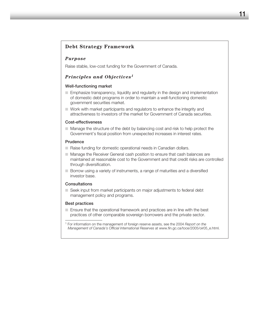### **Debt Strategy Framework**

### *Purpose*

Raise stable, low-cost funding for the Government of Canada.

### *Principles and Objectives1*

### Well-functioning market

- Emphasize transparency, liquidity and regularity in the design and implementation of domestic debt programs in order to maintain a well-functioning domestic government securities market.
- $\Box$  Work with market participants and regulators to enhance the integrity and attractiveness to investors of the market for Government of Canada securities.

### Cost-effectiveness

■ Manage the structure of the debt by balancing cost and risk to help protect the Government's fiscal position from unexpected increases in interest rates.

#### Prudence

- $\Box$  Raise funding for domestic operational needs in Canadian dollars.
- Manage the Receiver General cash position to ensure that cash balances are maintained at reasonable cost to the Government and that credit risks are controlled through diversification.
- Borrow using a variety of instruments, a range of maturities and a diversified investor base.

### **Consultations**

■ Seek input from market participants on major adjustments to federal debt management policy and programs.

### Best practices

■ Ensure that the operational framework and practices are in line with the best practices of other comparable sovereign borrowers and the private sector.

<sup>1</sup> For information on the management of foreign reserve assets, see the 2004 *Report on the Management of Canada's Official International Reserves* at www.fin.gc.ca/toce/2005/oir05\_e.html.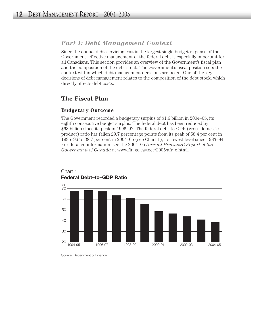# *Part I: Debt Management Context*

Since the annual debt-servicing cost is the largest single budget expense of the Government, effective management of the federal debt is especially important for all Canadians. This section provides an overview of the Government's fiscal plan and the composition of the debt stock. The Government's fiscal position sets the context within which debt management decisions are taken. One of the key decisions of debt management relates to the composition of the debt stock, which directly affects debt costs.

# **The Fiscal Plan**

### **Budgetary Outcome**

The Government recorded a budgetary surplus of \$1.6 billion in 2004–05, its eighth consecutive budget surplus. The federal debt has been reduced by \$63 billion since its peak in 1996–97. The federal debt-to-GDP (gross domestic product) ratio has fallen 29.7 percentage points from its peak of 68.4 per cent in 1995–96 to 38.7 per cent in 2004–05 (see Chart 1), its lowest level since 1983–84. For detailed information, see the 2004–05 *Annual Financial Report of the Government of Canada* at www.fin.gc.ca/toce/2005/afr\_e.html.





Source: Department of Finance.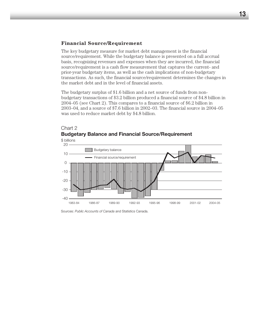### **Financial Source/Requirement**

The key budgetary measure for market debt management is the financial source/requirement. While the budgetary balance is presented on a full accrual basis, recognizing revenues and expenses when they are incurred, the financial source/requirement is a cash flow measurement that captures the current- and prior-year budgetary items, as well as the cash implications of non-budgetary transactions. As such, the financial source/requirement determines the changes in the market debt and in the level of financial assets.

The budgetary surplus of \$1.6 billion and a net source of funds from nonbudgetary transactions of \$3.2 billion produced a financial source of \$4.8 billion in 2004–05 (see Chart 2). This compares to a financial source of \$6.2 billion in 2003–04, and a source of \$7.6 billion in 2002–03. The financial source in 2004–05 was used to reduce market debt by \$4.8 billion.

# Chart 2 **Budgetary Balance and Financial Source/Requirement**



Sources: *Public Accounts of Canada* and Statistics Canada.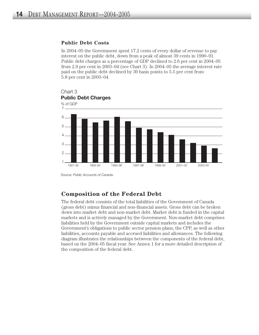### **Public Debt Costs**

In 2004–05 the Government spent 17.2 cents of every dollar of revenue to pay interest on the public debt, down from a peak of almost 39 cents in 1990–91. Public debt charges as a percentage of GDP declined to 2.6 per cent in 2004–05 from 2.9 per cent in 2003–04 (see Chart 3). In 2004–05 the average interest rate paid on the public debt declined by 30 basis points to 5.5 per cent from 5.8 per cent in 2003–04.



Chart 3

Source: *Public Accounts of Canada.*

# **Composition of the Federal Debt**

The federal debt consists of the total liabilities of the Government of Canada (gross debt) minus financial and non-financial assets. Gross debt can be broken down into market debt and non-market debt. Market debt is funded in the capital markets and is actively managed by the Government. Non-market debt comprises liabilities held by the Government outside capital markets and includes the Government's obligations to public sector pension plans, the CPP, as well as other liabilities, accounts payable and accrued liabilities and allowances. The following diagram illustrates the relationships between the components of the federal debt, based on the 2004–05 fiscal year. See Annex 1 for a more detailed description of the composition of the federal debt.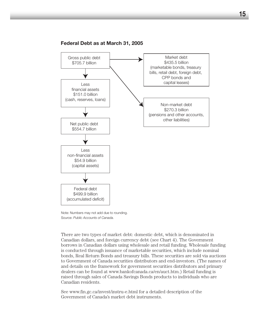

### **Federal Debt as at March 31, 2005**

Note: Numbers may not add due to rounding. Source: *Public Accounts of Canada.*

There are two types of market debt: domestic debt, which is denominated in Canadian dollars, and foreign currency debt (see Chart 4). The Government borrows in Canadian dollars using wholesale and retail funding. Wholesale funding is conducted through issuance of marketable securities, which include nominal bonds, Real Return Bonds and treasury bills. These securities are sold via auctions to Government of Canada securities distributors and end-investors. (The names of and details on the framework for government securities distributors and primary dealers can be found at www.bankofcanada.ca/en/auct.htm.) Retail funding is raised through sales of Canada Savings Bonds products to individuals who are Canadian residents.

See www.fin.gc.ca/invest/instru-e.html for a detailed description of the Government of Canada's market debt instruments.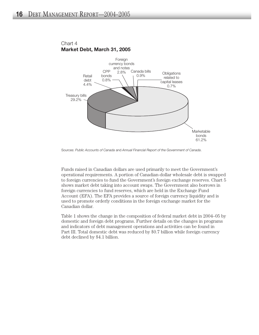

Chart 4 **Market Debt, March 31, 2005**

Sources: *Public Accounts of Canada* and *Annual Financial Report of the Government of Canada*

Funds raised in Canadian dollars are used primarily to meet the Government's operational requirements. A portion of Canadian-dollar wholesale debt is swapped to foreign currencies to fund the Government's foreign exchange reserves. Chart 5 shows market debt taking into account swaps. The Government also borrows in foreign currencies to fund reserves, which are held in the Exchange Fund Account (EFA). The EFA provides a source of foreign currency liquidity and is used to promote orderly conditions in the foreign exchange market for the Canadian dollar.

Table 1 shows the change in the composition of federal market debt in 2004–05 by domestic and foreign debt programs. Further details on the changes in programs and indicators of debt management operations and activities can be found in Part III. Total domestic debt was reduced by \$0.7 billion while foreign currency debt declined by \$4.1 billion.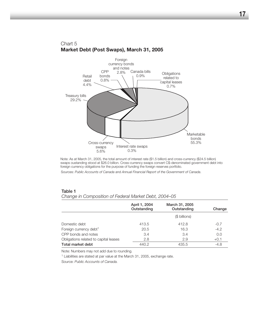

### Chart 5 **Market Debt (Post Swaps), March 31, 2005**

Note: As at March 31, 2005, the total amount of interest rate (\$1.5 billion) and cross-currency (\$24.5 billion) swaps oustanding stood at \$26.0 billion. Cross-currency swaps convert C\$-denominated government debt into foreign currency obligations for the purpose of funding the foreign reserves portfolio.

Sources: *Public Accounts of Canada* and *Annual Financial Report of the Government of Canada*

|                                       | April 1, 2004<br>Outstanding | March 31, 2005<br>Outstanding | Change |
|---------------------------------------|------------------------------|-------------------------------|--------|
|                                       |                              | (\$ billions)                 |        |
| Domestic debt                         | 413.5                        | 412.8                         | $-0.7$ |
| Foreign currency debt <sup>1</sup>    | 20.5                         | 16.3                          | $-4.2$ |
| CPP bonds and notes                   | 3.4                          | 3.4                           | 0.0    |
| Obligations related to capital leases | 2.8                          | 2.9                           | $+0.1$ |
| Total market debt                     | 440.2                        | 435.5                         | $-4.8$ |

### Table 1

*Change in Composition of Federal Market Debt, 2004–05*

Note: Numbers may not add due to rounding.

<sup>1</sup> Liabilities are stated at par value at the March 31, 2005, exchange rate.

Source: *Public Accounts of Canada.*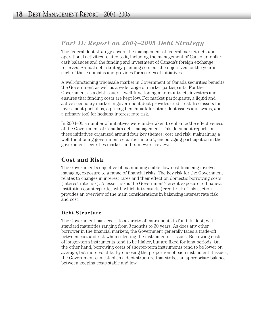# *Part II: Report on 2004–2005 Debt Strategy*

The federal debt strategy covers the management of federal market debt and operational activities related to it, including the management of Canadian-dollar cash balances and the funding and investment of Canada's foreign exchange reserves. Annual debt strategy planning sets out the objectives for the year in each of these domains and provides for a series of initiatives.

A well-functioning wholesale market in Government of Canada securities benefits the Government as well as a wide range of market participants. For the Government as a debt issuer, a well-functioning market attracts investors and ensures that funding costs are kept low. For market participants, a liquid and active secondary market in government debt provides credit-risk-free assets for investment portfolios, a pricing benchmark for other debt issues and swaps, and a primary tool for hedging interest rate risk.

In 2004–05 a number of initiatives were undertaken to enhance the effectiveness of the Government of Canada's debt management. This document reports on these initiatives organized around four key themes: cost and risk; maintaining a well-functioning government securities market; encouraging participation in the government securities market; and framework reviews.

# **Cost and Risk**

The Government's objective of maintaining stable, low-cost financing involves managing exposure to a range of financial risks. The key risk for the Government relates to changes in interest rates and their effect on domestic borrowing costs (interest rate risk). A lesser risk is the Government's credit exposure to financial institution counterparties with which it transacts (credit risk). This section provides an overview of the main considerations in balancing interest rate risk and cost.

# **Debt Structure**

The Government has access to a variety of instruments to fund its debt, with standard maturities ranging from 3 months to 30 years. As does any other borrower in the financial markets, the Government generally faces a trade-off between cost and risk when selecting the instruments it issues. Borrowing costs of longer-term instruments tend to be higher, but are fixed for long periods. On the other hand, borrowing costs of shorter-term instruments tend to be lower on average, but more volatile. By choosing the proportion of each instrument it issues, the Government can establish a debt structure that strikes an appropriate balance between keeping costs stable and low.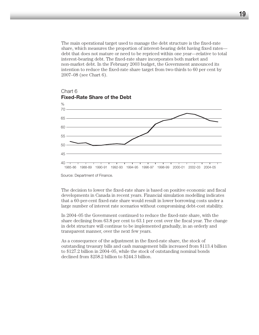The main operational target used to manage the debt structure is the fixed-rate share, which measures the proportion of interest-bearing debt having fixed rates debt that does not mature or need to be repriced within one year—relative to total interest-bearing debt. The fixed-rate share incorporates both market and non-market debt. In the February 2003 budget, the Government announced its intention to reduce the fixed-rate share target from two-thirds to 60 per cent by 2007–08 (see Chart 6).



### Chart 6 **Fixed-Rate Share of the Debt**

Source: Department of Finance.

The decision to lower the fixed-rate share is based on positive economic and fiscal developments in Canada in recent years. Financial simulation modelling indicates that a 60-per-cent fixed-rate share would result in lower borrowing costs under a large number of interest rate scenarios without compromising debt-cost stability.

In 2004–05 the Government continued to reduce the fixed-rate share, with the share declining from 63.8 per cent to 63.1 per cent over the fiscal year. The change in debt structure will continue to be implemented gradually, in an orderly and transparent manner, over the next few years.

As a consequence of the adjustment in the fixed-rate share, the stock of outstanding treasury bills and cash management bills increased from \$113.4 billion to \$127.2 billion in 2004–05, while the stock of outstanding nominal bonds declined from \$258.2 billion to \$244.3 billion.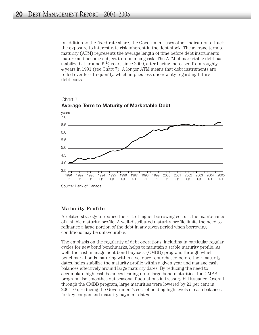In addition to the fixed-rate share, the Government uses other indicators to track the exposure to interest rate risk inherent in the debt stock. The average term to maturity (ATM) represents the average length of time before debt instruments mature and become subject to refinancing risk. The ATM of marketable debt has stabilized at around 6  $\frac{1}{2}$  years since 2000, after having increased from roughly 4 years in 1991 (see Chart 7). A longer ATM means that debt instruments are rolled over less frequently, which implies less uncertainty regarding future debt costs.



Chart 7

### **Maturity Profile**

A related strategy to reduce the risk of higher borrowing costs is the maintenance of a stable maturity profile. A well-distributed maturity profile limits the need to refinance a large portion of the debt in any given period when borrowing conditions may be unfavourable.

The emphasis on the regularity of debt operations, including in particular regular cycles for new bond benchmarks, helps to maintain a stable maturity profile. As well, the cash management bond buyback (CMBB) program, through which benchmark bonds maturing within a year are repurchased before their maturity dates, helps stabilize the maturity profile within a given year and manage cash balances effectively around large maturity dates. By reducing the need to accumulate high cash balances leading up to large bond maturities, the CMBB program also smoothes out seasonal fluctuations in treasury bill issuance. Overall, through the CMBB program, large maturities were lowered by 21 per cent in 2004–05, reducing the Government's cost of holding high levels of cash balances for key coupon and maturity payment dates.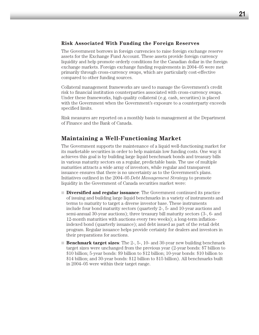### **Risk Associated With Funding the Foreign Reserves**

The Government borrows in foreign currencies to raise foreign exchange reserve assets for the Exchange Fund Account. These assets provide foreign currency liquidity and help promote orderly conditions for the Canadian dollar in the foreign exchange markets. Foreign exchange funding requirements in 2004–05 were met primarily through cross-currency swaps, which are particularly cost-effective compared to other funding sources.

Collateral management frameworks are used to manage the Government's credit risk to financial institution counterparties associated with cross-currency swaps. Under these frameworks, high-quality collateral (e.g. cash, securities) is placed with the Government when the Government's exposure to a counterparty exceeds specified limits.

Risk measures are reported on a monthly basis to management at the Department of Finance and the Bank of Canada.

# **Maintaining a Well-Functioning Market**

The Government supports the maintenance of a liquid well-functioning market for its marketable securities in order to help maintain low funding costs. One way it achieves this goal is by building large liquid benchmark bonds and treasury bills in various maturity sectors on a regular, predictable basis. The use of multiple maturities attracts a wide array of investors, while regular and transparent issuance ensures that there is no uncertainty as to the Government's plans. Initiatives outlined in the 2004–05 *Debt Management Strategy* to promote liquidity in the Government of Canada securities market were:

- **Diversified and regular issuance**: The Government continued its practice of issuing and building large liquid benchmarks in a variety of instruments and terms to maturity to target a diverse investor base. These instruments include four bond maturity sectors (quarterly 2-, 5- and 10-year auctions and semi-annual 30-year auctions); three treasury bill maturity sectors (3-, 6- and 12-month maturities with auctions every two weeks); a long-term inflationindexed bond (quarterly issuance); and debt issued as part of the retail debt program. Regular issuance helps provide certainty for dealers and investors in their preparations for auctions.
- **Benchmark target sizes**: The 2-, 5-, 10- and 30-year new building benchmark target sizes were unchanged from the previous year (2-year bonds: \$7 billion to \$10 billion; 5-year bonds: \$9 billion to \$12 billion; 10-year bonds: \$10 billion to \$14 billion; and 30-year bonds: \$12 billion to \$15 billion). All benchmarks built in 2004–05 were within their target range.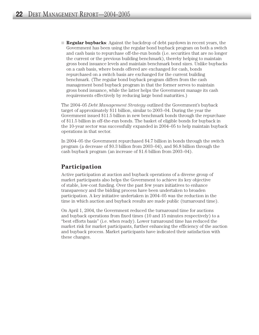■ **Regular buybacks**: Against the backdrop of debt paydown in recent years, the Government has been using the regular bond buyback program on both a switch and cash basis to repurchase off-the-run bonds (i.e. securities that are no longer the current or the previous building benchmark), thereby helping to maintain gross bond issuance levels and maintain benchmark bond sizes. Unlike buybacks on a cash basis, where bonds offered are exchanged for cash, bonds repurchased on a switch basis are exchanged for the current building benchmark. (The regular bond buyback program differs from the cash management bond buyback program in that the former serves to maintain gross bond issuance, while the latter helps the Government manage its cash requirements effectively by reducing large bond maturities.)

The 2004–05 *Debt Management Strategy* outlined the Government's buyback target of approximately \$11 billion, similar to 2003–04. During the year the Government issued \$11.5 billion in new benchmark bonds through the repurchase of \$11.5 billion in off-the-run bonds. The basket of eligible bonds for buyback in the 10-year sector was successfully expanded in 2004–05 to help maintain buyback operations in that sector.

In 2004–05 the Government repurchased \$4.7 billion in bonds through the switch program (a decrease of \$0.3 billion from 2003–04), and \$6.8 billion through the cash buyback program (an increase of \$1.6 billion from 2003–04).

# **Participation**

Active participation at auction and buyback operations of a diverse group of market participants also helps the Government to achieve its key objective of stable, low-cost funding. Over the past few years initiatives to enhance transparency and the bidding process have been undertaken to broaden participation. A key initiative undertaken in 2004–05 was the reduction in the time in which auction and buyback results are made public (turnaround time).

On April 1, 2004, the Government reduced the turnaround time for auctions and buyback operations from fixed times (10 and 15 minutes respectively) to a "best efforts basis" (i.e. when ready). Lower turnaround time has reduced the market risk for market participants, further enhancing the efficiency of the auction and buyback process. Market participants have indicated their satisfaction with these changes.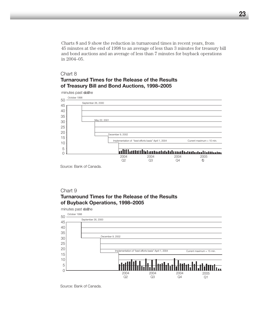Charts 8 and 9 show the reduction in turnaround times in recent years, from 45 minutes at the end of 1998 to an average of less than 3 minutes for treasury bill and bond auctions and an average of less than 7 minutes for buyback operations in 2004–05.

# Chart 8 **Turnaround Times for the Release of the Results of Treasury Bill and Bond Auctions, 1998–2005**



Source: Bank of Canada.

# Chart 9 **Turnaround Times for the Release of the Results of Buyback Operations, 1998–2005**

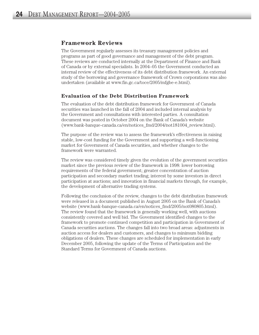# **Framework Reviews**

The Government regularly assesses its treasury management policies and programs as part of good governance and management of the debt program. These reviews are conducted internally at the Department of Finance and Bank of Canada or by external specialists. In 2004–05 the Government conducted an internal review of the effectiveness of its debt distribution framework. An external study of the borrowing and governance framework of Crown corporations was also undertaken (available at www.fin.gc.ca/toce/2005/mfgbe-e.html).

### **Evaluation of the Debt Distribution Framework**

The evaluation of the debt distribution framework for Government of Canada securities was launched in the fall of 2004 and included internal analysis by the Government and consultations with interested parties. A consultation document was posted in October 2004 on the Bank of Canada's website (www.bank-banque-canada.ca/en/notices\_fmd/2004/not181004\_review.html).

The purpose of the review was to assess the framework's effectiveness in raising stable, low-cost funding for the Government and supporting a well-functioning market for Government of Canada securities, and whether changes to the framework were warranted.

The review was considered timely given the evolution of the government securities market since the previous review of the framework in 1998: lower borrowing requirements of the federal government; greater concentration of auction participation and secondary market trading; interest by some investors in direct participation at auctions; and innovation in financial markets through, for example, the development of alternative trading systems.

Following the conclusion of the review, changes to the debt distribution framework were released in a document published in August 2005 on the Bank of Canada's website (www.bank-banque-canada.ca/en/notices\_fmd/2005/not080805.html). The review found that the framework is generally working well, with auctions consistently covered and well bid. The Government identified changes to the framework to promote continued competition and participation in Government of Canada securities auctions. The changes fall into two broad areas: adjustments in auction access for dealers and customers, and changes to minimum bidding obligations of dealers. These changes are scheduled for implementation in early December 2005, following the update of the Terms of Participation and the Standard Terms for Government of Canada auctions.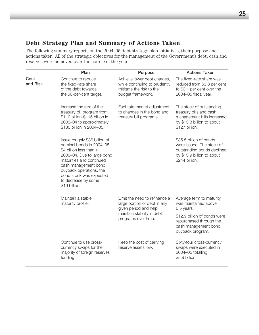# **Debt Strategy Plan and Summary of Actions Taken**

The following summary reports on the 2004–05 debt strategy plan initiatives, their purpose and actions taken. All of the strategic objectives for the management of the Government's debt, cash and reserves were achieved over the course of the year.

|                     | Plan                                                                                                                                                                                                                                                                   | Purpose                                                                                                       | <b>Actions Taken</b>                                                                                                               |
|---------------------|------------------------------------------------------------------------------------------------------------------------------------------------------------------------------------------------------------------------------------------------------------------------|---------------------------------------------------------------------------------------------------------------|------------------------------------------------------------------------------------------------------------------------------------|
| Cost<br>and Risk    | Continue to reduce<br>the fixed-rate share<br>of the debt towards<br>the 60-per-cent target.                                                                                                                                                                           | Achieve lower debt charges,<br>while continuing to prudently<br>mitigate the risk to the<br>budget framework. | The fixed-rate share was<br>reduced from 63.8 per cent<br>to 63.1 per cent over the<br>2004-05 fiscal year.                        |
|                     | Increase the size of the<br>treasury bill program from<br>\$110 billion-\$115 billion in<br>2003-04 to approximately<br>\$130 billion in 2004-05.                                                                                                                      | Facilitate market adjustment<br>to changes in the bond and<br>treasury bill programs.                         | The stock of outstanding<br>treasury bills and cash<br>management bills increased<br>by \$13.8 billion to about<br>\$127 billion.  |
|                     | Issue roughly \$36 billion of<br>nominal bonds in 2004-05,<br>\$4 billion less than in<br>2003-04. Due to large bond<br>maturities and continued<br>cash management bond<br>buyback operations, the<br>bond stock was expected<br>to decrease by some<br>\$16 billion. |                                                                                                               | \$35.5 billion of bonds<br>were issued. The stock of<br>outstanding bonds declined<br>by \$13.9 billion to about<br>\$244 billion. |
|                     | Maintain a stable<br>maturity profile.                                                                                                                                                                                                                                 | Limit the need to refinance a<br>large portion of debt in any<br>given period and help                        | Average term to maturity<br>was maintained above<br>6.5 years.                                                                     |
| programs over time. | maintain stability in debt                                                                                                                                                                                                                                             | \$12.9 billion of bonds were<br>repurchased through the<br>cash management bond<br>buyback program.           |                                                                                                                                    |
|                     | Continue to use cross-<br>currency swaps for the<br>majority of foreign reserves<br>funding.                                                                                                                                                                           | Keep the cost of carrying<br>reserve assets low.                                                              | Sixty-four cross-currency<br>swaps were executed in<br>2004-05 totalling<br>\$5.9 billion.                                         |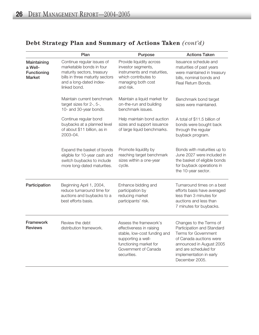# **Debt Strategy Plan and Summary of Actions Taken** *(cont'd)*

|                                                        | Plan                                                                                                                                                               | Purpose                                                                                                                                                                   | <b>Actions Taken</b>                                                                                                                                                                                              |
|--------------------------------------------------------|--------------------------------------------------------------------------------------------------------------------------------------------------------------------|---------------------------------------------------------------------------------------------------------------------------------------------------------------------------|-------------------------------------------------------------------------------------------------------------------------------------------------------------------------------------------------------------------|
| Maintaining<br>a Well-<br>Functioning<br><b>Market</b> | Continue regular issues of<br>marketable bonds in four<br>maturity sectors, treasury<br>bills in three maturity sectors<br>and a long-dated index-<br>linked bond. | Provide liquidity across<br>investor segments,<br>instruments and maturities,<br>which contributes to<br>managing both cost<br>and risk.                                  | Issuance schedule and<br>maturities of past years<br>were maintained in treasury<br>bills, nominal bonds and<br>Real Return Bonds.                                                                                |
|                                                        | Maintain current benchmark<br>target sizes for 2-, 5-,<br>10- and 30-year bonds.                                                                                   | Maintain a liquid market for<br>on-the-run and building<br>benchmark issues.                                                                                              | Benchmark bond target<br>sizes were maintained.                                                                                                                                                                   |
|                                                        | Continue regular bond<br>buybacks at a planned level<br>of about \$11 billion, as in<br>2003-04.                                                                   | Help maintain bond auction<br>sizes and support issuance<br>of large liquid benchmarks.                                                                                   | A total of \$11.5 billion of<br>bonds were bought back<br>through the regular<br>buyback program.                                                                                                                 |
|                                                        | Expand the basket of bonds<br>eligible for 10-year cash and<br>switch buybacks to include<br>more long-dated maturities.                                           | Promote liquidity by<br>reaching target benchmark<br>sizes within a one-year<br>cycle.                                                                                    | Bonds with maturities up to<br>June 2027 were included in<br>the basket of eligible bonds<br>for buyback operations in<br>the 10-year sector.                                                                     |
| Participation                                          | Beginning April 1, 2004,<br>reduce turnaround time for<br>auctions and buybacks to a<br>best efforts basis.                                                        | Enhance bidding and<br>participation by<br>reducing market<br>participants' risk.                                                                                         | Turnaround times on a best<br>efforts basis have averaged<br>less than 3 minutes for<br>auctions and less than<br>7 minutes for buybacks.                                                                         |
| Framework<br><b>Reviews</b>                            | Review the debt<br>distribution framework.                                                                                                                         | Assess the framework's<br>effectiveness in raising<br>stable, low-cost funding and<br>supporting a well-<br>functioning market for<br>Government of Canada<br>securities. | Changes to the Terms of<br>Participation and Standard<br><b>Terms for Government</b><br>of Canada auctions were<br>announced in August 2005<br>and are scheduled for<br>implementation in early<br>December 2005. |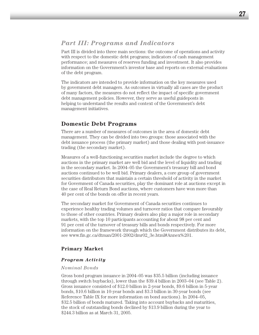# *Part III: Programs and Indicators*

Part III is divided into three main sections: the outcome of operations and activity with respect to the domestic debt programs; indicators of cash management performance; and measures of reserves funding and investment. It also provides information on the Government's investor base and reports on external evaluations of the debt program.

The indicators are intended to provide information on the key measures used by government debt managers. As outcomes in virtually all cases are the product of many factors, the measures do not reflect the impact of specific government debt management policies. However, they serve as useful guideposts in helping to understand the results and context of the Government's debt management initiatives.

# **Domestic Debt Programs**

There are a number of measures of outcomes in the area of domestic debt management. They can be divided into two groups: those associated with the debt issuance process (the primary market) and those dealing with post-issuance trading (the secondary market).

Measures of a well-functioning securities market include the degree to which auctions in the primary market are well bid and the level of liquidity and trading in the secondary market. In 2004–05 the Government's treasury bill and bond auctions continued to be well bid. Primary dealers, a core group of government securities distributors that maintain a certain threshold of activity in the market for Government of Canada securities, play the dominant role at auctions except in the case of Real Return Bond auctions, where customers have won more than 40 per cent of the bonds on offer in recent years.

The secondary market for Government of Canada securities continues to experience healthy trading volumes and turnover ratios that compare favourably to those of other countries. Primary dealers also play a major role in secondary markets, with the top 10 participants accounting for about 98 per cent and 91 per cent of the turnover of treasury bills and bonds respectively. For more information on the framework through which the Government distributes its debt, see www.fin.gc.ca/dtman/2001-2002/dmr02\_3e.html#Annex%201.

# **Primary Market**

### *Program Activity*

### *Nominal Bonds*

Gross bond program issuance in 2004–05 was \$35.5 billion (including issuance through switch buybacks), lower than the \$39.4 billion in 2003–04 (see Table 2). Gross issuance consisted of \$12.0 billion in 2-year bonds, \$9.6 billion in 5-year bonds, \$10.6 billion in 10-year bonds and \$3.3 billion in 30-year bonds (see Reference Table IX for more information on bond auctions). In 2004–05, \$32.5 billion of bonds matured. Taking into account buybacks and maturities, the stock of outstanding bonds declined by \$13.9 billion during the year to \$244.3 billion as at March 31, 2005.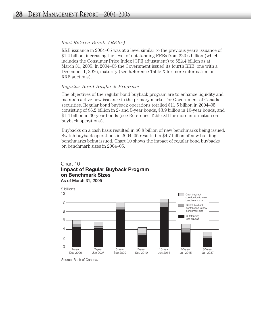### *Real Return Bonds (RRBs)*

RRB issuance in 2004–05 was at a level similar to the previous year's issuance of \$1.4 billion, increasing the level of outstanding RRBs from \$20.6 billion (which includes the Consumer Price Index [CPI] adjustment) to \$22.4 billion as at March 31, 2005. In 2004–05 the Government issued its fourth RRB, one with a December 1, 2036, maturity (see Reference Table X for more information on RRB auctions).

### *Regular Bond Buyback Program*

The objectives of the regular bond buyback program are to enhance liquidity and maintain active new issuance in the primary market for Government of Canada securities. Regular bond buyback operations totalled \$11.5 billion in 2004–05, consisting of \$6.2 billion in 2- and 5-year bonds, \$3.9 billion in 10-year bonds, and \$1.4 billion in 30-year bonds (see Reference Table XII for more information on buyback operations).

Buybacks on a cash basis resulted in \$6.8 billion of new benchmarks being issued. Switch buyback operations in 2004–05 resulted in \$4.7 billion of new building benchmarks being issued. Chart 10 shows the impact of regular bond buybacks on benchmark sizes in 2004–05.

### Chart 10 **Impact of Regular Buyback Program on Benchmark Sizes**  As of March 31, 2005



Source: Bank of Canada.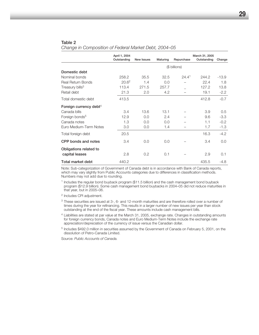|                                    | April 1, 2004<br>Outstanding | <b>New Issues</b> | Maturing | Repurchase        | March 31, 2005<br>Outstanding | Change  |
|------------------------------------|------------------------------|-------------------|----------|-------------------|-------------------------------|---------|
|                                    |                              |                   |          | (\$ billions)     |                               |         |
| Domestic debt                      |                              |                   |          |                   |                               |         |
| Nominal bonds                      | 258.2                        | 35.5              | 32.5     | 24.4 <sup>1</sup> | 244.2                         | $-13.9$ |
| Real Return Bonds                  | 20.6 <sup>2</sup>            | 1.4               | 0.0      |                   | 22.4                          | 1.8     |
| Treasury bills <sup>3</sup>        | 113.4                        | 271.5             | 257.7    |                   | 127.2                         | 13.8    |
| Retail debt                        | 21.3                         | 2.0               | 4.2      |                   | 19.1                          | $-2.2$  |
| Total domestic debt                | 413.5                        |                   |          |                   | 412.8                         | $-0.7$  |
| Foreign currency debt <sup>4</sup> |                              |                   |          |                   |                               |         |
| Canada bills                       | 3.4                          | 13.6              | 13.1     |                   | 3.9                           | 0.5     |
| Foreign bonds <sup>5</sup>         | 12.9                         | 0.0               | 2.4      |                   | 9.6                           | $-3.3$  |
| Canada notes                       | 1.3                          | 0.0               | 0.0      |                   | 1.1                           | $-0.2$  |
| Euro Medium-Term Notes             | 3.0                          | 0.0               | 1.4      |                   | 1.7                           | $-1.3$  |
| Total foreign debt                 | 20.5                         |                   |          |                   | 16.3                          | $-4.2$  |
| CPP bonds and notes                | 3.4                          | 0.0               | 0.0      |                   | 3.4                           | 0.0     |
| Obligations related to             |                              |                   |          |                   |                               |         |
| capital leases                     | 2.8                          | 0.2               | 0.1      |                   | 2.9                           | 0.1     |
| Total market debt                  | 440.2                        |                   |          |                   | 435.5                         | $-4.8$  |

#### Table 2 *Change in Composition of Federal Market Debt, 2004–05*

Note: Sub-categorization of Government of Canada debt is in accordance with Bank of Canada reports, which may vary slightly from Public Accounts categories due to differences in classification methods. Numbers may not add due to rounding.

<sup>1</sup> Includes the regular bond buyback program (\$11.5 billion) and the cash management bond buyback program (\$12.9 billion). Some cash management bond buybacks in 2004–05 did not reduce maturities in that year, but in 2005–06.

<sup>2</sup> Includes CPI adjustment.

- <sup>3</sup> These securities are issued at 3-, 6- and 12-month maturities and are therefore rolled over a number of times during the year for refinancing. This results in a larger number of new issues per year than stock outstanding at the end of the fiscal year. These amounts include cash management bills.
- <sup>4</sup> Liabilities are stated at par value at the March 31, 2005, exchange rate. Changes in outstanding amounts for foreign currency bonds, Canada notes and Euro Medium-Term Notes include the exchange rate appreciation/depreciation of the currency of issue versus the Canadian dollar.
- <sup>5</sup> Includes \$492.0 million in securities assumed by the Government of Canada on February 5, 2001, on the dissolution of Petro-Canada Limited.

Source: *Public Accounts of Canada.*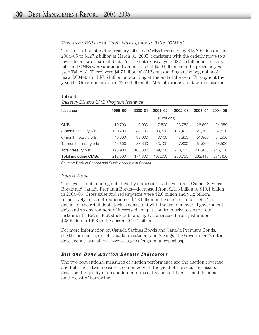### *Treasury Bills and Cash Management Bills (CMBs)*

The stock of outstanding treasury bills and CMBs increased by \$13.8 billion during 2004–05 to \$127.2 billion at March 31, 2005, consistent with the orderly move to a lower fixed-rate share of debt. For the entire fiscal year \$271.5 billion in treasury bills and CMBs were auctioned, an increase of \$9.0 billion from the previous year (see Table 3). There were \$4.7 billion of CMBs outstanding at the beginning of fiscal 2004–05 and \$7.5 billion outstanding at the end of the year. Throughout the year the Government issued \$25.0 billion of CMBs of various short-term maturities.

### Table 3

| Issuance                    | 1999–00 | 2000-01 | $2001 - 02$   | $2002 - 03$ | 2003-04 | 2004-05 |
|-----------------------------|---------|---------|---------------|-------------|---------|---------|
|                             |         |         | (\$ millions) |             |         |         |
| <b>CMBs</b>                 | 19,700  | 9.000   | 7.500         | 23,750      | 28,500  | 24,950  |
| 3-month treasury bills      | 100,700 | 88.100  | 103,300       | 117.400     | 129.700 | 137,500 |
| 6-month treasury bills      | 46,600  | 38,600  | 43.100        | 47,800      | 51,900  | 54,500  |
| 12-month treasury bills     | 46,600  | 38,600  | 43.100        | 47,800      | 51,900  | 54,500  |
| Total treasury bills        | 193,900 | 165.300 | 189,500       | 213,000     | 233,450 | 246,500 |
| <b>Total including CMBs</b> | 213,600 | 174,300 | 197,000       | 236,750     | 262.416 | 271.450 |

*Treasury Bill and CMB Program Issuance* 

Sources: Bank of Canada and *Public Accounts of Canada*.

### *Retail Debt*

The level of outstanding debt held by domestic retail investors—Canada Savings Bonds and Canada Premium Bonds—decreased from \$21.3 billion to \$19.1 billion in 2004–05. Gross sales and redemptions were \$2.0 billion and \$4.2 billion, respectively, for a net reduction of \$2.2 billion in the stock of retail debt. The decline of the retail debt stock is consistent with the trend in overall government debt and an environment of increased competition from private sector retail instruments. Retail debt stock outstanding has decreased from just under \$33 billion in 1993 to the current \$19.1 billion.

For more information on Canada Savings Bonds and Canada Premium Bonds, see the annual report of Canada Investment and Savings, the Government's retail debt agency, available at www.csb.gc.ca/eng/about report.asp.

### *Bill and Bond Auction Results Indicators*

The two conventional measures of auction performance are the auction coverage and tail. These two measures, combined with the yield of the securities issued, describe the quality of an auction in terms of its competitiveness and its impact on the cost of borrowing.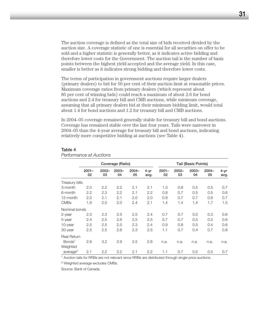The auction coverage is defined as the total size of bids received divided by the auction size. A coverage statistic of one is essential for all securities on offer to be sold and a higher statistic is generally better, as it indicates active bidding and therefore lower costs for the Government. The auction tail is the number of basis points between the highest yield accepted and the average yield. In this case, smaller is better as it indicates strong bidding and therefore lower costs.

The terms of participation in government auctions require larger dealers (primary dealers) to bid for 50 per cent of their auction limit at reasonable prices. Maximum coverage ratios from primary dealers (which represent about 85 per cent of winning bids) could reach a maximum of about 2.6 for bond auctions and 2.4 for treasury bill and CMB auctions, while minimum coverage, assuming that all primary dealers bid at their minimum bidding limit, would total about 1.4 for bond auctions and 1.2 for treasury bill and CMB auctions.

In 2004–05 coverage remained generally stable for treasury bill and bond auctions. Coverage has remained stable over the last four years. Tails were narrower in 2004–05 than the 4-year average for treasury bill and bond auctions, indicating relatively more competitive bidding at auctions (see Table 4).

#### Table 4

#### *Performance at Auctions*

|                      | Coverage (Ratio) |                  |                |                |              |                |                | Tail (Basis Points) |                |              |
|----------------------|------------------|------------------|----------------|----------------|--------------|----------------|----------------|---------------------|----------------|--------------|
|                      | $2001 -$<br>02   | $2002 -$<br>03   | $2003 -$<br>04 | $2004 -$<br>05 | 4-yr<br>avg. | $2001 -$<br>02 | $2002 -$<br>03 | $2003 -$<br>04      | $2004 -$<br>05 | 4-yr<br>avg. |
| Treasury bills       |                  |                  |                |                |              |                |                |                     |                |              |
| 3-month              | 2.0              | $2.2\phantom{0}$ | $2.2\,$        | 2.1            | 2.1          | 1.3            | 0.6            | 0.5                 | 0.5            | 0.7          |
| 6-month              | 2.2              | 2.3              | 2.2            | 2.1            | 2.2          | 0.8            | 0.7            | 0.5                 | 0.5            | 0.6          |
| 12-month             | 2.0              | 2.1              | 2.1            | 2.0            | 2.0          | 0.9            | 0.7            | 0.7                 | 0.6            | 0.7          |
| <b>CMBs</b>          | 1.9              | 2.0              | 2.0            | 2.4            | 2.1          | 1.4            | 1.4            | 1.4                 | 1.7            | 1.5          |
| Nominal bonds        |                  |                  |                |                |              |                |                |                     |                |              |
| 2-year               | 2.3              | 2.3              | 2.5            | 2.5            | 2.4          | 0.7            | 0.7            | 0.5                 | 0.3            | 0.6          |
| 5-year               | 2.4              | 2.5              | 2.6            | 2.5            | 2.5          | 0.7            | 0.7            | 0.5                 | 0.5            | 0.6          |
| 10-year              | 2.5              | 2.5              | 2.5            | 2.3            | 2.4          | 0.9            | 0.8            | 0.5                 | 0.4            | 0.6          |
| 30-year              | 2.5              | 2.5              | 2.6            | 2.3            | 2.5          | 1.1            | 0.7            | 0.4                 | 0.7            | 0.8          |
| <b>Real Return</b>   |                  |                  |                |                |              |                |                |                     |                |              |
| Bonds <sup>1</sup>   | 2.8              | 3.2              | 2.9            | 2.5            | 2.8          | n.a.           | n.a.           | n.a.                | n.a.           | n.a.         |
| Weighted             |                  |                  |                |                |              |                |                |                     |                |              |
| average <sup>2</sup> | 2.1              | 2.2              | 2.2            | 2.1            | 2.2          | 1.1            | 0.7            | 0.5                 | 0.5            | 0.7          |

<sup>1</sup> Auction tails for RRBs are not relevant since RRBs are distributed through single-price auctions.

<sup>2</sup> Weighted average excludes CMBs.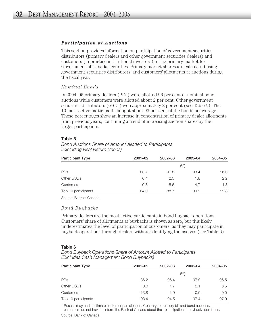### *Participation at Auctions*

This section provides information on participation of government securities distributors (primary dealers and other government securities dealers) and customers (in practice institutional investors) in the primary market for Government of Canada securities. Primary market shares are calculated using government securities distributors' and customers' allotments at auctions during the fiscal year.

### *Nominal Bonds*

In 2004–05 primary dealers (PDs) were allotted 96 per cent of nominal bond auctions while customers were allotted about 2 per cent. Other government securities distributors (GSDs) won approximately 2 per cent (see Table 5). The 10 most active participants bought about 93 per cent of the bonds on average. These percentages show an increase in concentration of primary dealer allotments from previous years, continuing a trend of increasing auction shares by the larger participants.

#### Table 5

*Bond Auctions Share of Amount Allotted to Participants (Excluding Real Return Bonds)*

| <b>Participant Type</b> | $2001 - 02$ | $2002 - 03$ | 2003-04 | $2004 - 05$   |
|-------------------------|-------------|-------------|---------|---------------|
|                         |             |             | (%)     |               |
| PDs                     | 83.7        | 91.8        | 93.4    | 96.0          |
| Other GSDs              | 6.4         | 2.5         | 1.8     | $2.2^{\circ}$ |
| Customers               | 9.8         | 5.6         | 4.7     | 1.8           |
| Top 10 participants     | 84.0        | 88.7        | 90.9    | 92.8          |

Source: Bank of Canada.

### *Bond Buybacks*

Primary dealers are the most active participants in bond buyback operations. Customers' share of allotments at buybacks is shown as zero, but this likely underestimates the level of participation of customers, as they may participate in buyback operations through dealers without identifying themselves (see Table 6).

### Table 6

| Bond Buyback Operations Share of Amount Allotted to Participants |  |
|------------------------------------------------------------------|--|
| (Excludes Cash Management Bond Buybacks)                         |  |

| <b>Participant Type</b> | $2001 - 02$ | $2002 - 03$ | 2003-04 | 2004-05 |
|-------------------------|-------------|-------------|---------|---------|
|                         |             |             | (%)     |         |
| <b>PDs</b>              | 86.2        | 96.4        | 97.9    | 96.5    |
| Other GSDs              | 0.0         | 1.7         | 2.1     | 3.5     |
| Customers <sup>1</sup>  | 13.8        | 1.9         | 0.0     | 0.0     |
| Top 10 participants     | 98.4        | 94.5        | 97.4    | 97.9    |

<sup>1</sup> Results may underestimate customer participation. Contrary to treasury bill and bond auctions, customers do not have to inform the Bank of Canada about their participation at buyback operations.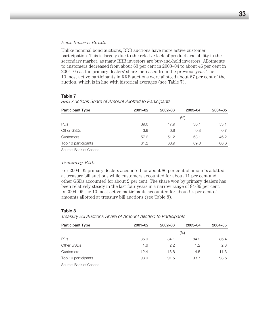### *Real Return Bonds*

Unlike nominal bond auctions, RRB auctions have more active customer participation. This is largely due to the relative lack of product availability in the secondary market, as many RRB investors are buy-and-hold investors. Allotments to customers decreased from about 63 per cent in 2003–04 to about 46 per cent in 2004–05 as the primary dealers' share increased from the previous year. The 10 most active participants in RRB auctions were allotted about 67 per cent of the auction, which is in line with historical averages (see Table 7).

| <b>Participant Type</b> | $2001 - 02$ | $2002 - 03$ | 2003-04 | 2004-05 |
|-------------------------|-------------|-------------|---------|---------|
|                         |             |             | (%)     |         |
| <b>PDs</b>              | 39.0        | 47.9        | 36.1    | 53.1    |
| Other GSDs              | 3.9         | 0.9         | 0.8     | 0.7     |
| <b>Customers</b>        | 57.2        | 51.2        | 63.1    | 46.2    |
| Top 10 participants     | 61.2        | 63.9        | 69.0    | 66.6    |

Table 7 *RRB Auctions Share of Amount Allotted to Participants*

Source: Bank of Canada.

### *Treasury Bills*

For 2004–05 primary dealers accounted for about 86 per cent of amounts allotted at treasury bill auctions while customers accounted for about 11 per cent and other GSDs accounted for about 2 per cent. The share won by primary dealers has been relatively steady in the last four years in a narrow range of 84-86 per cent. In 2004–05 the 10 most active participants accounted for about 94 per cent of amounts allotted at treasury bill auctions (see Table 8).

#### Table 8

*Treasury Bill Auctions Share of Amount Allotted to Participants*

| <b>Participant Type</b> | $2001 - 02$ | $2002 - 03$ | 2003-04 | 2004-05 |  |
|-------------------------|-------------|-------------|---------|---------|--|
|                         | (%)         |             |         |         |  |
| PDs                     | 86.0        | 84.1        | 84.2    | 86.4    |  |
| Other GSDs              | 1.6         | 2.2         | 1.2     | 2.3     |  |
| Customers               | 12.4        | 13.6        | 14.5    | 11.3    |  |
| Top 10 participants     | 93.0        | 91.5        | 93.7    | 93.6    |  |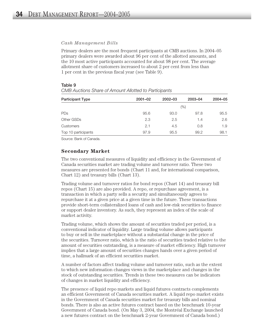### *Cash Management Bills*

Primary dealers are the most frequent participants at CMB auctions. In 2004–05 primary dealers were awarded about 96 per cent of the allotted amounts, and the 10 most active participants accounted for about 98 per cent. The average allotment share of customers increased to about 2 per cent from less than 1 per cent in the previous fiscal year (see Table 9).

| <b>Participant Type</b> | $2001 - 02$ | 2002-03 | 2003-04 | 2004-05 |  |
|-------------------------|-------------|---------|---------|---------|--|
|                         | (%)         |         |         |         |  |
| PDs                     | 95.6        | 93.0    | 97.8    | 95.5    |  |
| Other GSDs              | 2.3         | 2.5     | 1.4     | 2.6     |  |
| Customers               | 2.1         | 4.5     | 0.8     | 1.9     |  |
| Top 10 participants     | 97.9        | 95.5    | 99.2    | 98.1    |  |

#### Table 9

*CMB Auctions Share of Amount Allotted to Participants* 

Source: Bank of Canada.

### **Secondary Market**

The two conventional measures of liquidity and efficiency in the Government of Canada securities market are trading volume and turnover ratio. These two measures are presented for bonds (Chart 11 and, for international comparison, Chart 12) and treasury bills (Chart 13).

Trading volume and turnover ratios for bond repos (Chart 14) and treasury bill repos (Chart 15) are also provided. A repo, or repurchase agreement, is a transaction in which a party sells a security and simultaneously agrees to repurchase it at a given price at a given time in the future. These transactions provide short-term collateralized loans of cash and low-risk securities to finance or support dealer inventory. As such, they represent an index of the scale of market activity.

Trading volume, which shows the amount of securities traded per period, is a conventional indicator of liquidity. Large trading volume allows participants to buy or sell in the marketplace without a substantial change in the price of the securities. Turnover ratio, which is the ratio of securities traded relative to the amount of securities outstanding, is a measure of market efficiency. High turnover implies that a large amount of securities changes hands over a given period of time, a hallmark of an efficient securities market.

A number of factors affect trading volume and turnover ratio, such as the extent to which new information changes views in the marketplace and changes in the stock of outstanding securities. Trends in these two measures can be indicators of changes in market liquidity and efficiency.

The presence of liquid repo markets and liquid futures contracts complements an efficient Government of Canada securities market. A liquid repo market exists in the Government of Canada securities market for treasury bills and nominal bonds. There is also an active futures contract based on the benchmark 10-year Government of Canada bond. (On May 3, 2004, the Montréal Exchange launched a new futures contract on the benchmark 2-year Government of Canada bond.)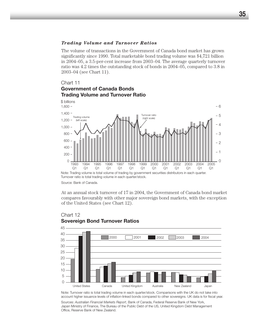### *Trading Volume and Turnover Ratios*

The volume of transactions in the Government of Canada bond market has grown significantly since 1990. Total marketable bond trading volume was \$4,721 billion in 2004–05, a 3.5-per-cent increase from 2003–04. The average quarterly turnover ratio was 4.2 times the outstanding stock of bonds in 2004–05, compared to 3.8 in 2003–04 (see Chart 11).

### Chart 11

# **Government of Canada Bonds Trading Volume and Turnover Ratio**



Source: Bank of Canada.

At an annual stock turnover of 17 in 2004, the Government of Canada bond market compares favourably with other major sovereign bond markets, with the exception of the United States (see Chart 12).



### Chart 12 **Sovereign Bond Turnover Ratios**

Note: Turnover ratio is total trading volume in each quarter/stock. Comparisons with the UK do not take into account higher issuance levels of inflation-linked bonds compared to other sovereigns. UK data is for fiscal year.

Sources: Australian Financial Markets Report, Bank of Canada, Federal Reserve Bank of New York, Japan Ministry of Finance, The Bureau of the Public Debt of the US, United Kingdom Debt Management Office, Reserve Bank of New Zealand.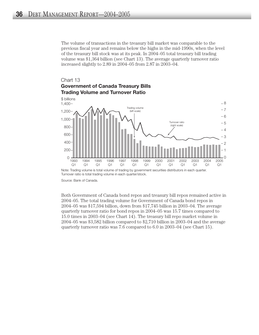The volume of transactions in the treasury bill market was comparable to the previous fiscal year and remains below the highs in the mid-1990s, when the level of the treasury bill stock was at its peak. In 2004–05 total treasury bill trading volume was \$1,364 billion (see Chart 13). The average quarterly turnover ratio increased slightly to 2.89 in 2004–05 from 2.87 in 2003–04.

# Chart 13 **Government of Canada Treasury Bills Trading Volume and Turnover Ratio**



Note: Trading volume is total volume of trading by government securities distributors in each quarter. Turnover ratio is total trading volume in each quarter/stock.

Source: Bank of Canada.

Both Government of Canada bond repos and treasury bill repos remained active in 2004–05. The total trading volume for Government of Canada bond repos in 2004–05 was \$17,594 billion, down from \$17,745 billion in 2003–04. The average quarterly turnover ratio for bond repos in 2004–05 was 15.7 times compared to 15.0 times in 2003–04 (see Chart 14). The treasury bill repo market volume in 2004–05 was \$3,582 billion compared to \$2,710 billion in 2003–04 and the average quarterly turnover ratio was 7.6 compared to 6.0 in 2003–04 (see Chart 15).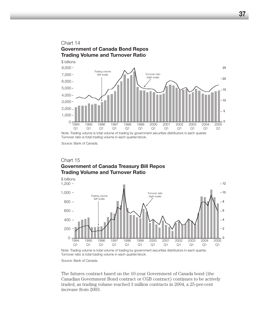

Turnover ratio is total trading volume in each quarter/stock.

Source: Bank of Canada.

# Chart 15 **Government of Canada Treasury Bill Repos Trading Volume and Turnover Ratio**



Note: Trading volume is total volume of trading by government securities distributors in each quarter. Turnover ratio is total trading volume in each quarter/stock.

Source: Bank of Canada.

The futures contract based on the 10-year Government of Canada bond (the Canadian Government Bond contract or CGB contract) continues to be actively traded, as trading volume reached 3 million contracts in 2004, a 25-per-cent increase from 2003.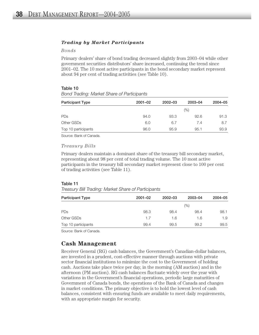#### *Trading by Market Participants*

#### *Bonds*

Primary dealers' share of bond trading decreased slightly from 2003–04 while other government securities distributors' share increased, continuing the trend since 2001–02. The 10 most active participants in the bond secondary market represent about 94 per cent of trading activities (see Table 10).

#### Table 10

*Bond Trading: Market Share of Participants*

| <b>Participant Type</b> | $2001 - 02$ | $2002 - 03$ | 2003-04 | 2004-05 |
|-------------------------|-------------|-------------|---------|---------|
|                         |             |             | (%)     |         |
| PDs                     | 94.0        | 93.3        | 92.6    | 91.3    |
| Other GSDs              | 6.0         | 6.7         | 7.4     | 8.7     |
| Top 10 participants     | 96.0        | 95.9        | 95.1    | 93.9    |

Source: Bank of Canada.

#### *Treasury Bills*

Primary dealers maintain a dominant share of the treasury bill secondary market, representing about 98 per cent of total trading volume. The 10 most active participants in the treasury bill secondary market represent close to 100 per cent of trading activities (see Table 11).

#### Table 11

| Treasury Bill Trading: Market Share of Participants |  |  |  |
|-----------------------------------------------------|--|--|--|
|                                                     |  |  |  |

| <b>Participant Type</b> | $2001 - 02$ | $2002 - 03$ | 2003-04 | 2004-05 |
|-------------------------|-------------|-------------|---------|---------|
|                         |             |             | (%)     |         |
| <b>PDs</b>              | 98.3        | 98.4        | 98.4    | 98.1    |
| Other GSDs              | 1.7         | 1.6         | 1.6     | 1.9     |
| Top 10 participants     | 99.4        | 99.5        | 99.2    | 99.5    |

Source: Bank of Canada.

## **Cash Management**

Receiver General (RG) cash balances, the Government's Canadian-dollar balances, are invested in a prudent, cost-effective manner through auctions with private sector financial institutions to minimize the cost to the Government of holding cash. Auctions take place twice per day, in the morning (AM auction) and in the afternoon (PM auction). RG cash balances fluctuate widely over the year with variations in the Government's financial operations, periodic large maturities of Government of Canada bonds, the operations of the Bank of Canada and changes in market conditions. The primary objective is to hold the lowest level of cash balances, consistent with ensuring funds are available to meet daily requirements, with an appropriate margin for security.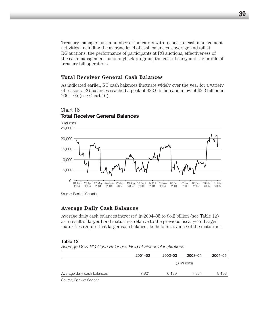Treasury managers use a number of indicators with respect to cash management activities, including the average level of cash balances, coverage and tail at RG auctions, the performance of participants at RG auctions, effectiveness of the cash management bond buyback program, the cost of carry and the profile of treasury bill operations.

#### **Total Receiver General Cash Balances**

As indicated earlier, RG cash balances fluctuate widely over the year for a variety of reasons. RG balances reached a peak of \$22.0 billion and a low of \$2.3 billion in 2004–05 (see Chart 16).



## Chart 16 **Total Receiver General Balances**

Source: Bank of Canada.

#### **Average Daily Cash Balances**

Average daily cash balances increased in 2004–05 to \$8.2 billion (see Table 12) as a result of larger bond maturities relative to the previous fiscal year. Larger maturities require that larger cash balances be held in advance of the maturities.

#### Table 12

| Average Daily RG Cash Balances Held at Financial Institutions |  |  |  |  |
|---------------------------------------------------------------|--|--|--|--|
|---------------------------------------------------------------|--|--|--|--|

|                             | $2001 - 02$ | 2002-03 | 2003-04       | 2004-05 |
|-----------------------------|-------------|---------|---------------|---------|
|                             |             |         | (\$ millions) |         |
| Average daily cash balances | 7.921       | 6.139   | 7.854         | 8,193   |
| $\sim$<br>_______           |             |         |               |         |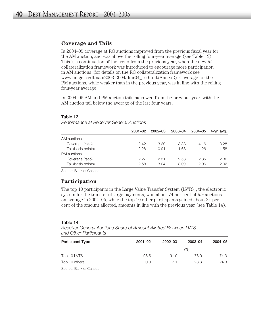#### **Coverage and Tails**

In 2004–05 coverage at RG auctions improved from the previous fiscal year for the AM auction, and was above the rolling four-year average (see Table 13). This is a continuation of the trend from the previous year, when the new RG collateralization framework was introduced to encourage more participation in AM auctions (for details on the RG collateralization framework see www.fin.gc.ca/dtman/2003-2004/dmr04\_1e.html#Annex2). Coverage for the PM auctions, while weaker than in the previous year, was in line with the rolling four-year average.

In 2004–05 AM and PM auction tails narrowed from the previous year, with the AM auction tail below the average of the last four years.

| r onomanoo al nooomor aonoran iyouomo |             |         |         |         |            |
|---------------------------------------|-------------|---------|---------|---------|------------|
|                                       | $2001 - 02$ | 2002-03 | 2003-04 | 2004-05 | 4-yr. avg. |
| AM auctions                           |             |         |         |         |            |
| Coverage (ratio)                      | 2.42        | 3.29    | 3.38    | 4.16    | 3.28       |
| Tail (basis points)                   | 2.28        | 0.91    | 1.68    | 1.26    | 1.58       |
| PM auctions                           |             |         |         |         |            |
| Coverage (ratio)                      | 2.27        | 2.31    | 2.53    | 2.35    | 2.36       |
| Tail (basis points)                   | 2.58        | 3.04    | 3.09    | 2.96    | 2.92       |

#### Table 13

*Performance at Receiver General Auctions*

Source: Bank of Canada.

#### **Participation**

The top 10 participants in the Large Value Transfer System (LVTS), the electronic system for the transfer of large payments, won about 74 per cent of RG auctions on average in 2004–05, while the top 10 other participants gained about 24 per cent of the amount allotted, amounts in line with the previous year (see Table 14).

#### Table 14

*Receiver General Auctions Share of Amount Allotted Between LVTS and Other Participants*

| <b>Participant Type</b> | $2001 - 02$ | $2002 - 03$ | 2003-04 | 2004-05 |
|-------------------------|-------------|-------------|---------|---------|
|                         |             |             | (%)     |         |
| Top 10 LVTS             | 98.5        | 91.0        | 76.0    | 74.3    |
| Top 10 others           | 0.0         | 7.1         | 23.8    | 24.3    |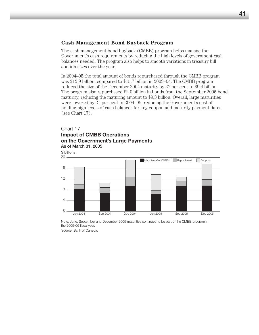#### **Cash Management Bond Buyback Program**

The cash management bond buyback (CMBB) program helps manage the Government's cash requirements by reducing the high levels of government cash balances needed. The program also helps to smooth variations in treasury bill auction sizes over the year.

In 2004–05 the total amount of bonds repurchased through the CMBB program was \$12.9 billion, compared to \$15.7 billion in 2003–04. The CMBB program reduced the size of the December 2004 maturity by 27 per cent to \$9.4 billion. The program also repurchased \$2.0 billion in bonds from the September 2005 bond maturity, reducing the maturing amount to \$9.3 billion. Overall, large maturities were lowered by 21 per cent in 2004–05, reducing the Government's cost of holding high levels of cash balances for key coupon and maturity payment dates (see Chart 17).

#### Chart 17 **Impact of CMBB Operations on the Government's Large Payments** As of March 31, 2005



Note: June, September and December 2005 maturities continued to be part of the CMBB program in the 2005-06 fiscal year.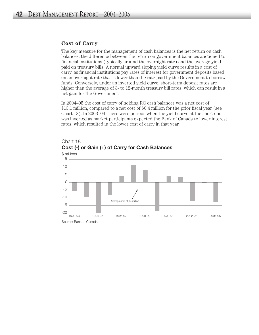#### **Cost of Carry**

The key measure for the management of cash balances is the net return on cash balances: the difference between the return on government balances auctioned to financial institutions (typically around the overnight rate) and the average yield paid on treasury bills. A normal upward sloping yield curve results in a cost of carry, as financial institutions pay rates of interest for government deposits based on an overnight rate that is lower than the rate paid by the Government to borrow funds. Conversely, under an inverted yield curve, short-term deposit rates are higher than the average of 3- to 12-month treasury bill rates, which can result in a net gain for the Government.

In 2004–05 the cost of carry of holding RG cash balances was a net cost of \$13.1 million, compared to a net cost of \$0.4 million for the prior fiscal year (see Chart 18). In 2003–04, there were periods when the yield curve at the short end was inverted as market participants expected the Bank of Canada to lower interest rates, which resulted in the lower cost of carry in that year.



Chart 18 **Cost (-) or Gain (+) of Carry for Cash Balances**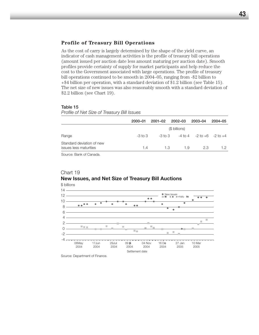#### **Profile of Treasury Bill Operations**

As the cost of carry is largely determined by the shape of the yield curve, an indicator of cash management activities is the profile of treasury bill operations (amount issued per auction date less amount maturing per auction date). Smooth profiles provide certainty of supply for market participants and help reduce the cost to the Government associated with large operations. The profile of treasury bill operations continued to be smooth in 2004–05, ranging from -\$2 billion to +\$4 billion per operation, with a standard deviation of \$1.2 billion (see Table 15). The net size of new issues was also reasonably smooth with a standard deviation of \$2.2 billion (see Chart 19).

#### Table 15

*Profile of Net Size of Treasury Bill Issues*

|                                                     | 2000-01     | $2001 - 02$ | $2002 - 03$                                   | 2003-04 | 2004-05 |
|-----------------------------------------------------|-------------|-------------|-----------------------------------------------|---------|---------|
|                                                     |             |             | (\$ billions)                                 |         |         |
| Range                                               | $-3$ to $3$ |             | $-3$ to 3 $-4$ to 4 $-2$ to $+6$ $-2$ to $+4$ |         |         |
| Standard deviation of new<br>issues less maturities | 1.4         | 1.3         | 1.9                                           | 2.3     |         |

Source: Bank of Canada.

#### Chart 19 **New Issues, and Net Size of Treasury Bill Auctions** \$ billions



Source: Department of Finance.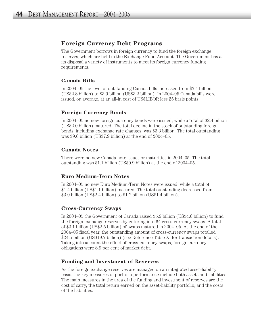## **Foreign Currency Debt Programs**

The Government borrows in foreign currency to fund the foreign exchange reserves, which are held in the Exchange Fund Account. The Government has at its disposal a variety of instruments to meet its foreign currency funding requirements.

#### **Canada Bills**

In 2004–05 the level of outstanding Canada bills increased from \$3.4 billion (US\$2.8 billion) to \$3.9 billion (US\$3.2 billion). In 2004–05 Canada bills were issued, on average, at an all-in cost of US\$LIBOR less 25 basis points.

#### **Foreign Currency Bonds**

In 2004–05 no new foreign currency bonds were issued, while a total of \$2.4 billion (US\$2.0 billion) matured. The total decline in the stock of outstanding foreign bonds, including exchange rate changes, was \$3.3 billion. The total outstanding was \$9.6 billion (US\$7.9 billion) at the end of 2004–05.

#### **Canada Notes**

There were no new Canada note issues or maturities in 2004–05. The total outstanding was \$1.1 billion (US\$0.9 billion) at the end of 2004–05.

#### **Euro Medium-Term Notes**

In 2004–05 no new Euro Medium-Term Notes were issued, while a total of \$1.4 billion (US\$1.1 billion) matured. The total outstanding decreased from \$3.0 billion (US\$2.4 billion) to \$1.7 billion (US\$1.4 billion).

#### **Cross-Currency Swaps**

In 2004–05 the Government of Canada raised \$5.9 billion (US\$4.6 billion) to fund the foreign exchange reserves by entering into 64 cross-currency swaps. A total of \$3.1 billion (US\$2.5 billion) of swaps matured in 2004–05. At the end of the 2004–05 fiscal year, the outstanding amount of cross-currency swaps totalled \$24.5 billion (US\$19.7 billion) (see Reference Table XI for transaction details). Taking into account the effect of cross-currency swaps, foreign currency obligations were 8.9 per cent of market debt.

#### **Funding and Investment of Reserves**

As the foreign exchange reserves are managed on an integrated asset-liability basis, the key measures of portfolio performance include both assets and liabilities. The main measures in the area of the funding and investment of reserves are the cost of carry, the total return earned on the asset-liability portfolio, and the costs of the liabilities.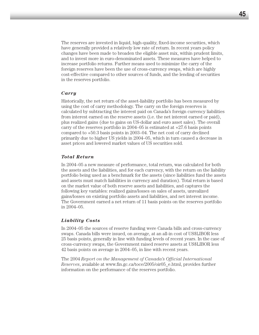The reserves are invested in liquid, high-quality, fixed-income securities, which have generally provided a relatively low rate of return. In recent years policy changes have been made to broaden the eligible asset mix, within prudent limits, and to invest more in euro-denominated assets. These measures have helped to increase portfolio returns. Further means used to minimize the carry of the foreign reserves have been the use of cross-currency swaps, which are highly cost-effective compared to other sources of funds, and the lending of securities in the reserves portfolio.

#### *Carry*

Historically, the net return of the asset-liability portfolio has been measured by using the cost of carry methodology. The carry on the foreign reserves is calculated by subtracting the interest paid on Canada's foreign currency liabilities from interest earned on the reserve assets (i.e. the net interest earned or paid), plus realized gains (due to gains on US-dollar and euro asset sales). The overall carry of the reserves portfolio in  $2004-05$  is estimated at  $+27.6$  basis points compared to +50.3 basis points in 2003–04. The net cost of carry declined primarily due to higher US yields in 2004–05, which in turn caused a decrease in asset prices and lowered market values of US securities sold.

#### *Total Return*

In 2004–05 a new measure of performance, total return, was calculated for both the assets and the liabilities, and for each currency, with the return on the liability portfolio being used as a benchmark for the assets (since liabilities fund the assets and assets must match liabilities in currency and duration). Total return is based on the market value of both reserve assets and liabilities, and captures the following key variables: realized gains/losses on sales of assets, unrealized gains/losses on existing portfolio assets and liabilities, and net interest income. The Government earned a net return of 11 basis points on the reserves portfolio in 2004–05.

#### *Liability Costs*

In 2004–05 the sources of reserve funding were Canada bills and cross-currency swaps. Canada bills were issued, on average, at an all-in cost of US\$LIBOR less 25 basis points, generally in line with funding levels of recent years. In the case of cross-currency swaps, the Government raised reserve assets at US\$LIBOR less 42 basis points on average in 2004–05, in line with recent years.

The 2004 *Report on the Management of Canada's Official International Reserves*, available at www.fin.gc.ca/toce/2005/oir05\_e.html, provides further information on the performance of the reserves portfolio.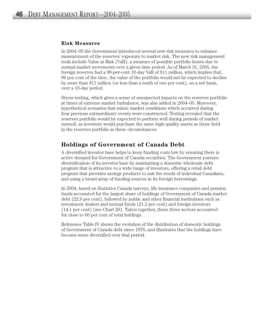#### **Risk Measures**

In 2004–05 the Government introduced several new risk measures to enhance measurement of the reserves' exposure to market risk. The new risk management tools include Value at Risk (VaR), a measure of possible portfolio losses due to normal market movements over a given time period. As of March 31, 2005, the foreign reserves had a 99-per-cent 10-day VaR of \$11 million, which implies that, 99 per cent of the time, the value of the portfolio would not be expected to decline by more than \$11 million (or less than a tenth of one per cent), on a net basis, over a 10-day period.

Stress testing, which gives a sense of unexpected impacts on the reserves portfolio at times of extreme market turbulence, was also added in 2004–05. Moreover, hypothetical scenarios that mimic market conditions which occurred during four previous extraordinary events were constructed. Testing revealed that the reserves portfolio would be expected to perform well during periods of market turmoil, as investors would purchase the same high-quality assets as those held in the reserves portfolio in these circumstances.

## **Holdings of Government of Canada Debt**

A diversified investor base helps to keep funding costs low by ensuring there is active demand for Government of Canada securities. The Government pursues diversification of its investor base by maintaining a domestic wholesale debt program that is attractive to a wide range of investors, offering a retail debt program that provides savings products to suit the needs of individual Canadians, and using a broad array of funding sources in its foreign borrowings.

In 2004, based on Statistics Canada surveys, life insurance companies and pension funds accounted for the largest share of holdings of Government of Canada market debt (22.9 per cent), followed by public and other financial institutions such as investment dealers and mutual funds (21.2 per cent) and foreign investors (14.1 per cent) (see Chart 20). Taken together, these three sectors accounted for close to 60 per cent of total holdings.

Reference Table IV shows the evolution of the distribution of domestic holdings of Government of Canada debt since 1976, and illustrates that the holdings have become more diversified over that period.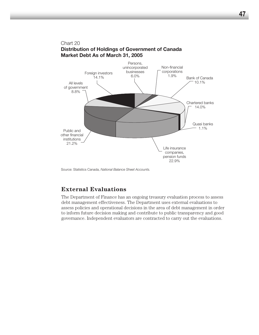

Source: Statistics Canada, *National Balance Sheet Accounts.*

## **External Evaluations**

The Department of Finance has an ongoing treasury evaluation process to assess debt management effectiveness. The Department uses external evaluations to assess policies and operational decisions in the area of debt management in order to inform future decision making and contribute to public transparency and good governance. Independent evaluators are contracted to carry out the evaluations.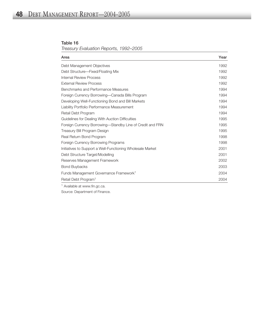#### Table 16 *Treasury Evaluation Reports, 1992–2005*

| Area                                                                                                                                                                                                                                                                                                                                                                                                                   | Year |
|------------------------------------------------------------------------------------------------------------------------------------------------------------------------------------------------------------------------------------------------------------------------------------------------------------------------------------------------------------------------------------------------------------------------|------|
| Debt Management Objectives                                                                                                                                                                                                                                                                                                                                                                                             | 1992 |
| Debt Structure-Fixed/Floating Mix                                                                                                                                                                                                                                                                                                                                                                                      | 1992 |
| Internal Review Process                                                                                                                                                                                                                                                                                                                                                                                                | 1992 |
| External Review Process                                                                                                                                                                                                                                                                                                                                                                                                | 1992 |
| Benchmarks and Performance Measures                                                                                                                                                                                                                                                                                                                                                                                    | 1994 |
| Foreign Currency Borrowing—Canada Bills Program                                                                                                                                                                                                                                                                                                                                                                        | 1994 |
| Developing Well-Functioning Bond and Bill Markets                                                                                                                                                                                                                                                                                                                                                                      | 1994 |
| Liability Portfolio Performance Measurement                                                                                                                                                                                                                                                                                                                                                                            | 1994 |
| Retail Debt Program                                                                                                                                                                                                                                                                                                                                                                                                    | 1994 |
| Guidelines for Dealing With Auction Difficulties                                                                                                                                                                                                                                                                                                                                                                       | 1995 |
| Foreign Currency Borrowing-Standby Line of Credit and FRN                                                                                                                                                                                                                                                                                                                                                              | 1995 |
| Treasury Bill Program Design                                                                                                                                                                                                                                                                                                                                                                                           | 1995 |
| Real Return Bond Program                                                                                                                                                                                                                                                                                                                                                                                               | 1998 |
| Foreign Currency Borrowing Programs                                                                                                                                                                                                                                                                                                                                                                                    | 1998 |
| Initiatives to Support a Well-Functioning Wholesale Market                                                                                                                                                                                                                                                                                                                                                             | 2001 |
| Debt Structure Target/Modelling                                                                                                                                                                                                                                                                                                                                                                                        | 2001 |
| Reserves Management Framework                                                                                                                                                                                                                                                                                                                                                                                          | 2002 |
| <b>Bond Buybacks</b>                                                                                                                                                                                                                                                                                                                                                                                                   | 2003 |
| Funds Management Governance Framework <sup>1</sup>                                                                                                                                                                                                                                                                                                                                                                     | 2004 |
| Retail Debt Program <sup>1</sup>                                                                                                                                                                                                                                                                                                                                                                                       | 2004 |
| $\uparrow$ $\uparrow$ $\uparrow$ $\uparrow$ $\uparrow$ $\uparrow$ $\uparrow$ $\uparrow$ $\uparrow$ $\uparrow$ $\uparrow$ $\uparrow$ $\uparrow$ $\uparrow$ $\uparrow$ $\uparrow$ $\uparrow$ $\uparrow$ $\uparrow$ $\uparrow$ $\uparrow$ $\uparrow$ $\uparrow$ $\uparrow$ $\uparrow$ $\uparrow$ $\uparrow$ $\uparrow$ $\uparrow$ $\uparrow$ $\uparrow$ $\uparrow$ $\uparrow$ $\uparrow$ $\uparrow$ $\uparrow$ $\uparrow$ |      |

<sup>1</sup> Available at www.fin.gc.ca.

Source: Department of Finance.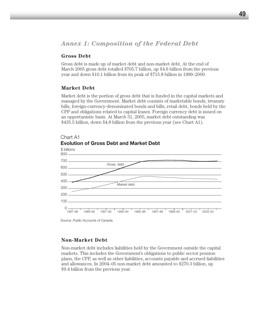## *Annex 1: Composition of the Federal Debt*

#### **Gross Debt**

Gross debt is made up of market debt and non-market debt. At the end of March 2005 gross debt totalled \$705.7 billion, up \$4.6 billion from the previous year and down \$10.1 billion from its peak of \$715.8 billion in 1999–2000.

#### **Market Debt**

Market debt is the portion of gross debt that is funded in the capital markets and managed by the Government. Market debt consists of marketable bonds, treasury bills, foreign-currency-denominated bonds and bills, retail debt, bonds held by the CPP and obligations related to capital leases. Foreign currency debt is issued on an opportunistic basis. At March 31, 2005, market debt outstanding was \$435.5 billion, down \$4.8 billion from the previous year (see Chart A1).



#### Chart A1 **Evolution of Gross Debt and Market Debt**

Source: *Public Accounts of Canada.*

#### **Non-Market Debt**

Non-market debt includes liabilities held by the Government outside the capital markets. This includes the Government's obligations to public sector pension plans, the CPP, as well as other liabilities, accounts payable and accrued liabilities and allowances. In 2004–05 non-market debt amounted to \$270.3 billion, up \$9.4 billion from the previous year.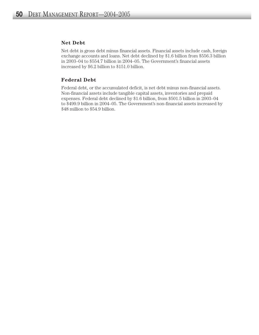#### **Net Debt**

Net debt is gross debt minus financial assets. Financial assets include cash, foreign exchange accounts and loans. Net debt declined by \$1.6 billion from \$556.3 billion in 2003–04 to \$554.7 billion in 2004–05. The Government's financial assets increased by \$6.2 billion to \$151.0 billion.

#### **Federal Debt**

Federal debt, or the accumulated deficit, is net debt minus non-financial assets. Non-financial assets include tangible capital assets, inventories and prepaid expenses. Federal debt declined by \$1.6 billion, from \$501.5 billion in 2003–04 to \$499.9 billion in 2004–05. The Government's non-financial assets increased by \$48 million to \$54.9 billion.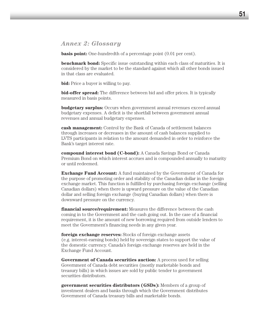## *Annex 2: Glossary*

**basis point:** One-hundredth of a percentage point  $(0.01$  per cent).

**benchmark bond:** Specific issue outstanding within each class of maturities. It is considered by the market to be the standard against which all other bonds issued in that class are evaluated.

**bid:** Price a buyer is willing to pay.

**bid-offer spread:** The difference between bid and offer prices. It is typically measured in basis points.

**budgetary surplus:** Occurs when government annual revenues exceed annual budgetary expenses. A deficit is the shortfall between government annual revenues and annual budgetary expenses.

**cash management:** Control by the Bank of Canada of settlement balances through increases or decreases in the amount of cash balances supplied to LVTS participants in relation to the amount demanded in order to reinforce the Bank's target interest rate.

**compound interest bond (C-bond):** A Canada Savings Bond or Canada Premium Bond on which interest accrues and is compounded annually to maturity or until redeemed.

**Exchange Fund Account:** A fund maintained by the Government of Canada for the purpose of promoting order and stability of the Canadian dollar in the foreign exchange market. This function is fulfilled by purchasing foreign exchange (selling Canadian dollars) when there is upward pressure on the value of the Canadian dollar and selling foreign exchange (buying Canadian dollars) when there is downward pressure on the currency.

**financial source/requirement:** Measures the difference between the cash coming in to the Government and the cash going out. In the case of a financial requirement, it is the amount of new borrowing required from outside lenders to meet the Government's financing needs in any given year.

**foreign exchange reserves:** Stocks of foreign exchange assets (e.g. interest-earning bonds) held by sovereign states to support the value of the domestic currency. Canada's foreign exchange reserves are held in the Exchange Fund Account.

**Government of Canada securities auction:** A process used for selling Government of Canada debt securities (mostly marketable bonds and treasury bills) in which issues are sold by public tender to government securities distributors.

**government securities distributors (GSDs):** Members of a group of investment dealers and banks through which the Government distributes Government of Canada treasury bills and marketable bonds.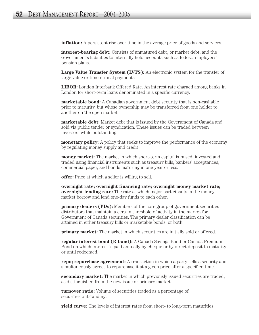**inflation:** A persistent rise over time in the average price of goods and services.

**interest-bearing debt:** Consists of unmatured debt, or market debt, and the Government's liabilities to internally held accounts such as federal employees' pension plans.

**Large Value Transfer System (LVTS):** An electronic system for the transfer of large value or time-critical payments.

**LIBOR:** London Interbank Offered Rate. An interest rate charged among banks in London for short-term loans denominated in a specific currency.

**marketable bond:** A Canadian government debt security that is non-cashable prior to maturity, but whose ownership may be transferred from one holder to another on the open market.

**marketable debt:** Market debt that is issued by the Government of Canada and sold via public tender or syndication. These issues can be traded between investors while outstanding.

**monetary policy:** A policy that seeks to improve the performance of the economy by regulating money supply and credit.

**money market:** The market in which short-term capital is raised, invested and traded using financial instruments such as treasury bills, bankers' acceptances, commercial paper, and bonds maturing in one year or less.

**offer:** Price at which a seller is willing to sell.

**overnight rate; overnight financing rate; overnight money market rate; overnight lending rate:** The rate at which major participants in the money market borrow and lend one-day funds to each other.

**primary dealers (PDs):** Members of the core group of government securities distributors that maintain a certain threshold of activity in the market for Government of Canada securities. The primary dealer classification can be attained in either treasury bills or marketable bonds, or both.

**primary market:** The market in which securities are initially sold or offered.

**regular interest bond (R-bond):** A Canada Savings Bond or Canada Premium Bond on which interest is paid annually by cheque or by direct deposit to maturity or until redeemed.

**repo; repurchase agreement:** A transaction in which a party sells a security and simultaneously agrees to repurchase it at a given price after a specified time.

**secondary market:** The market in which previously issued securities are traded, as distinguished from the new issue or primary market.

**turnover ratio:** Volume of securities traded as a percentage of securities outstanding.

**yield curve:** The levels of interest rates from short- to long-term maturities.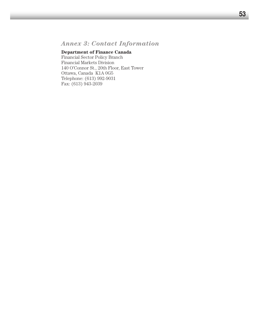## *Annex 3: Contact Information*

### **Department of Finance Canada**

Financial Sector Policy Branch Financial Markets Division 140 O'Connor St., 20th Floor, East Tower Ottawa, Canada K1A 0G5 Telephone: (613) 992-9031 Fax: (613) 943-2039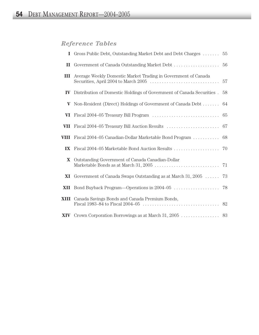# *Reference Tables*

|                         | I Gross Public Debt, Outstanding Market Debt and Debt Charges         | 55 |
|-------------------------|-----------------------------------------------------------------------|----|
| $\mathbf{I}$            | Government of Canada Outstanding Market Debt                          | 56 |
| Ш                       | Average Weekly Domestic Market Trading in Government of Canada        | 57 |
| $\mathbf{IV}$           | Distribution of Domestic Holdings of Government of Canada Securities. | 58 |
| V                       | Non-Resident (Direct) Holdings of Government of Canada Debt           | 64 |
| VI                      |                                                                       | 65 |
| VII                     |                                                                       | 67 |
| VIII                    | Fiscal 2004–05 Canadian-Dollar Marketable Bond Program                | 68 |
| $\mathbf{I} \mathbf{X}$ |                                                                       |    |
| $\mathbf{X}$            | Outstanding Government of Canada Canadian-Dollar                      | 71 |
| XI                      | Government of Canada Swaps Outstanding as at March $31, 2005$         | 73 |
| XII                     |                                                                       | 78 |
|                         | XIII Canada Savings Bonds and Canada Premium Bonds,                   |    |
|                         |                                                                       |    |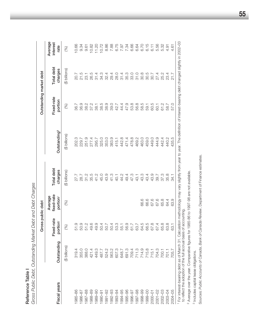Gross Public Debt, Outstanding Market Debt and Debt Charges *Gross Public Debt, Outstanding Market Debt and Debt Charges* Reference Table I Reference Table I

|                                                                    |                         | Gross public debt                  |                                               |                       |                          | Outstanding market debt |                       |                             |
|--------------------------------------------------------------------|-------------------------|------------------------------------|-----------------------------------------------|-----------------------|--------------------------|-------------------------|-----------------------|-----------------------------|
| Fiscal years                                                       | Outstanding             | Fixed-rate<br>portion <sup>1</sup> | fixed-rate<br>Average<br>portion <sup>2</sup> | Total debt<br>charges | Outstanding <sup>3</sup> | Fixed-rate<br>portion   | Total debt<br>charges | Average<br>interest<br>rate |
|                                                                    | (\$ billions)           | (%)                                | (%)                                           | (\$ billions)         | (\$ billions)            | (%)                     | (\$ billions)         | (%)                         |
| 985-86                                                             | 319.4                   | 51.9                               |                                               | 27.7                  | 202.3                    | 36.7                    | 20.7                  | 10.66                       |
| 986-87                                                             |                         | 50.9                               |                                               | 28.7                  | 229.7                    | 36.9                    | 21.5                  | 9.34                        |
| 887-88                                                             | 355.0<br>388.0<br>421.4 | 51.2                               |                                               | 31.2                  | 251.9                    | 38.2                    | 23.1                  | 9.61                        |
| 1988-89                                                            |                         | 49.6                               |                                               | 35.5                  | 277.4                    | 37.2                    | 26.5                  | 10.82                       |
| 1989-90                                                            |                         | 49.9                               |                                               | 41.2                  | 295.7                    | 38.1                    | 31.4                  | 11.20                       |
| 990-91                                                             |                         | 50.4                               |                                               | 45.0                  | 325.0                    | 38.5                    | 34.3                  | 10.72                       |
| $1991 - 92$                                                        |                         | 50.7                               |                                               | 43.9                  | 353.0                    | 38.9                    | 32.4                  | 8.86                        |
| 1992-93                                                            |                         | 50.4                               |                                               | 41.3                  | 383.9                    | 39.0                    | 29.4                  | 7.88                        |
| 993-94                                                             |                         | 53.3                               |                                               | 40.1                  | 415.1                    | 42.7                    | 28.0                  | 6.75                        |
| 1994–95                                                            |                         | 55.1                               |                                               | 44.2                  | 442.8                    | 44.4                    | 31.4                  | 7.97                        |
| 1995-96                                                            |                         | 56.9                               |                                               | 49.4                  | 471.4                    | 47.9                    | 35.3                  | 7.34                        |
| 1996-97                                                            |                         | 61.7                               |                                               | 47.3                  | 478.8                    | 53.8                    | 33.0                  | 6.66                        |
| 1997-98                                                            |                         | 63.7                               |                                               | 43.1                  | 469.2                    | 56.8                    | 31.0                  | 6.64                        |
| 1998-99                                                            |                         | 64.5                               | 66.6                                          | 43.3                  | 463.0                    | 58.5                    | 30.8                  | 6.70                        |
|                                                                    |                         | 66.5                               | 66.6                                          | 43.4                  | 459.0                    | 59.1                    | 30.5                  | 6.15                        |
|                                                                    |                         | 67.8                               | 67.6                                          | 43.9                  | 449.0                    | 60.5                    | 30.7                  | 6.11                        |
| $\begin{array}{c} 1999 - 00 \\ 2000 - 01 \\ 2001 - 02 \end{array}$ |                         | 67.4                               | 67.6                                          | 39.7                  | 444.9                    | 60.1                    | 27.4                  | 5.56                        |
| 2002-03<br>2003-04                                                 |                         | 65.8                               | 65.8                                          | 37.3                  | 442.4                    | 61.2                    | 25.2                  | 5.32                        |
|                                                                    |                         | 63.8                               | 64.4                                          | 35.8                  | 440.2                    | 58.7                    | 23.4                  | 4.91                        |
| 2004-05                                                            |                         | 63.1                               | 63.9                                          | -<br>34. T            | 435.5                    | 57.0                    | 21.7                  | 4.61                        |
|                                                                    |                         |                                    |                                               |                       |                          |                         |                       |                             |

1 For interest-bearing debt as of March 31. Calculation methodology may vary slightly from year to year. The definition of interest-bearing debt changed slightly in 2002–03<br>to reflect the adoption of the full accrual basis For interest-bearing debt as of March 31. Calculation methodology may vary slightly from year to year. The definition of interest-bearing debt changed slightly in 2002–03 to reflect the adoption of the full accrual basis of accounting.

<sup>2</sup> Average over the year. Comparative figures for 1985-86 to 1997-98 are not available. Average over the year. Comparative figures for 1985-86 to 1997-98 are not available.

<sup>3</sup> Includes capital lease obligations. Includes capital lease obligations.

Sources: Public Accounts of Canada, Bank of Canada Review, Department of Finance estimates. Sources: *Public Accounts of Canada*, *Bank of Canada Review*, Department of Finance estimates.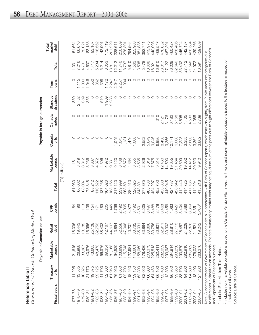|   | J<br>C<br>C<br>آءَ<br>,<br>7<br>7<br>7<br>7<br>7<br>7<br>7<br>7<br>7<br><br><br><br><br><br><br><br>١ |
|---|-------------------------------------------------------------------------------------------------------|
| L | הההתמס המה                                                                                            |
| Ξ | , Nover,                                                                                              |
| č | to thomps of                                                                                          |

|                                      |                   | Payable in Canadi                                 | an dollars                           |                     |         |                                                                                                                      |                 | Payable in foreign currencies |                     |               |        |                         |
|--------------------------------------|-------------------|---------------------------------------------------|--------------------------------------|---------------------|---------|----------------------------------------------------------------------------------------------------------------------|-----------------|-------------------------------|---------------------|---------------|--------|-------------------------|
| Fiscal years                         | Treasury<br>bills | Marketable<br>bonds                               | etail<br>lebt<br>≃                   | bonds<br><b>GPP</b> | Total   | Marketable<br>bonds                                                                                                  | Canada<br>bills | Canada<br>notes <sup>1</sup>  | drawings<br>Standby | loans<br>Term | Total  | market<br>Total<br>debt |
|                                      |                   |                                                   |                                      |                     |         | (C\$ millions)                                                                                                       |                 |                               |                     |               |        |                         |
| $87 - 78$                            | 1,295             | 21,645                                            | 8,036                                | $\mathfrak{A}$      | 51,060  | $\overline{\infty}$                                                                                                  |                 |                               | 850                 | O             | 1,031  | 51,664                  |
| 1978-79                              | 13,535            | 26,988                                            | 9,443                                | 86                  | 60,062  | 3,319                                                                                                                |                 |                               | 2,782               | 1,115         | 7,216  | 66,640                  |
| 1979-80                              | 16,325            | 33,387                                            | 18,182                               | 113                 | 68,007  | 3,312                                                                                                                | $\circ$         |                               | 359                 | 1,030         | 4,701  | 72,021                  |
| 1980-81                              | 21,770            | 40,976                                            | 15,966                               | 136                 | 78,848  | 3,236                                                                                                                | O               | ○                             | 355                 | 1,046         | 4,637  | 83,138                  |
| 1981-82                              | 19,375            | 43,605                                            | 25,108                               | 154                 | 88,242  | 3,867                                                                                                                | O               | ○                             | O                   | 550           | 4,417  | 93,167                  |
| 1982-83                              | 29,125            | 48,473                                            | 32,753                               | 171                 | 10,522  | 4,872                                                                                                                | ○               | ○                             | $\circ$             | 362           | 5,234  | 116,562                 |
| 1983-84                              | 41,700            | 56,976                                            | 38,403                               | 189                 | 137,268 | 4,306                                                                                                                | $\circ$         | $\circ$                       | 510                 | 398           | 5,214  | 142,901                 |
| 1984-85                              | 52,300            | 69,354                                            | 42,167                               | 205                 | 164,026 | 4,972                                                                                                                | $\circ$         | 000                           | 1,909               | 1,172         | 8,053  | 172,719                 |
| 1985-86                              | 61,950            | 81,163                                            | 44,607                               | 445                 | 188,165 | 9,331                                                                                                                | $\circ$         |                               | 2,233               | 2,247         | 13,811 | 201,229                 |
| 1986-87                              | 76,950            | 94,520                                            |                                      | 1,796               | 217,120 | 9,120                                                                                                                | 1,045           |                               | O                   | 2,047         | 12,212 | 228,611                 |
| 1987-88                              | 81,050            | 103,899                                           | 43,854<br>52,558                     | 2,492               | 239,999 | 8,438                                                                                                                | 1,045           | $\circ$                       |                     | 2,257         | 11,740 | 250,809                 |
| 1988-89                              | 102,700           | 115,748                                           | 47,048                               | 3,005               | 268,501 | 6,672                                                                                                                | <b>131</b>      | O                             |                     | 934           | 8,737  | 276,301                 |
| <b>989-90</b>                        | 118,550           | 127,681                                           | 40,207<br>33,782<br>35,031           | 3,072               | 289,510 | 4,364                                                                                                                | 1,446           | O                             |                     | $\circ$       | 5,810  | 294,562                 |
| $990 - 91$                           | 139,150           | 143,601                                           |                                      | 3,492               | 320,025 | 3,555                                                                                                                | 1,008           |                               |                     | $\circ$       | 4,563  | 323,903                 |
| $1991 - 92$                          | 52,300            | 158,059                                           |                                      | 3,501               | 348,891 | 3,535                                                                                                                |                 |                               | ⌒                   | $\circ$       | 3,535  | 351,885                 |
| 1992-93                              | 162,050           | 178,436                                           |                                      | 3,505               | 377,875 | 2,926                                                                                                                | 2,552           | ◠                             | ⌒                   | $\circ$       | 5,478  | 382,741                 |
| 1993-94                              | 166,000           | 203,373                                           |                                      | 3,497               | 403,736 | 5,019<br>7,875                                                                                                       | 5,649           | ○                             | ◠                   | $\circ$       | 10,668 | 413,975                 |
| 1994-95                              | 164,450           | 225,513                                           | 33,884<br>30,866<br>30,756           | 3,488               | 424,207 |                                                                                                                      | 9,046           | $\circ$                       | ◠                   | $\circ$       | 16,921 | 440,998                 |
| 1995-96                              | 166,100           | 252,411                                           | 30,801                               | 3,478               | 452,790 | 9,514                                                                                                                | 6,986           | 310                           | ⌒                   | $\circ$       | 16,810 | 469,547                 |
| 1996-97                              | 135,400           | 282,059                                           | 32,911                               | 3,468               | 453,838 | 12,460                                                                                                               | 8,436           | 2,121                         | $\circ$             | $\circ$       | 23,017 | 476,852                 |
| 1997-98                              | 112,300           | 293,987                                           | 30,302                               | 3,456               | 440,045 | 14,590                                                                                                               | 9,356           | 3,176                         | $\circ$             | $\circ$       | 27,122 | 467,291                 |
| 1998-99                              | 96,950            | 294,914                                           | 28,810<br>27,115<br>26,457<br>24,229 | 4,063               | 424,737 | 19,655                                                                                                               | 0,171           | 6,182                         | $\circ$             | $\circ$       | 36,008 | 460,427                 |
| 1999-00                              | 99,850            | 293,250                                           |                                      | 3,427               | 423,642 | 21,464                                                                                                               | 6,008           | 5,168                         |                     | $\circ$       | 32,640 | 456,406                 |
| 2000-01                              | 88,700            | 293,879                                           |                                      | 3,404               | 412,440 | 20,509                                                                                                               | 7,228           | 5,695                         | $\circ$             | $\circ$       | 33,432 | 445,724                 |
| $2001 - 02$                          | 94,200            | 292,910                                           |                                      | 3,386               | 414,725 | 19,652                                                                                                               | 3,355           | 4,405                         | $\circ$             | $\circ$       | 27,412 | 442,137                 |
| 2002-03                              | 104,600           | 286,289                                           | 22,878                               | 3,369               | 417,136 | 14,412                                                                                                               | 2,603           | 4,533                         | $\circ$             | $\circ$       | 21,548 | 438,684                 |
| 2003-04                              | 113,400           | 276,022                                           | 521<br>$\sim$                        | 3,351               | 414,294 | 20,523                                                                                                               | 3,364           | 1,085                         | $\circ$             | $\circ$       | 24,972 | 439,266                 |
| 2004-05                              | 27,200            | 263,376                                           | 1,242<br>ာ                           | $3,400^{2}$         | 413,218 | 940<br>တ                                                                                                             | 3,862           | 2,789                         |                     | $\circ$       | 16,591 | 429,809                 |
|                                      |                   | Note: Subcategorization of Government of Can      |                                      |                     |         | ada debt is in accordance with Bank of Canada reports, which may vary slightly from Public Accounts categories due   |                 |                               |                     |               |        |                         |
| and Department of Finance's numbers. |                   | to differences in classification methods. The tot |                                      |                     |         | al outstanding market debt may not equal the sum of the parts due to slight differences between the Bank of Canada's |                 |                               |                     |               |        |                         |

1 Includes Euro Medium-Term Notes. Includes Euro Medium-Term Notes.

<sup>2</sup> Includes non-marketable obligations issued to the Canada Pension Plan Investment Fund and non-marketable obligations issued to the trustees in respect of<br>health care initiatives. Includes non-marketable obligations issued to the Canada Pension Plan Investment Fund and non-marketable obligations issued to the trustees in respect of health care initiatives.

Source: Bank of Canada. Source: Bank of Canada.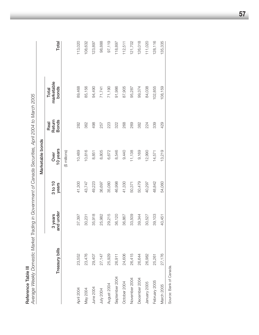| ٠ |
|---|
|   |
|   |
|   |
|   |
|   |
|   |
|   |

**Reference Table III**<br>Average Weekly Domestic Market Trading in Government of Canada Securities, April 2004 to March 2005 *Average Weekly Domestic Market Trading in Government of Canada Securities, April 2004 to March 2005*

|                |                |                      |                  | Marketable bonds |                                |                              |         |
|----------------|----------------|----------------------|------------------|------------------|--------------------------------|------------------------------|---------|
|                | Treasury bills | and under<br>3 years | 3 to 10<br>years | 10 years<br>Over | Return<br><b>Bonds</b><br>Real | marketable<br>bonds<br>Total | Total   |
|                |                |                      |                  | (\$ millions)    |                                |                              |         |
| April 2004     | 23,552         | 37,397               | 41,300           | 10,489           | 282                            | 89,468                       | 113,020 |
| May 2004       | 23,476         | 30,231               | 43,747           | 10,816           | 362                            | 85,156                       | 108,632 |
| June 2004      | 29,407         | 35,918               | 49,223           | 8,851            | 498                            | 94,490                       | 123,897 |
| July 2004      | 27,147         | 25,982               | 36,697           | 8,805            | 257                            | 71,741                       | 98,888  |
| August 2004    | 25,929         | 29,215               | 35,080           | 6,672            | 223                            | 71,190                       | 97,119  |
| September 2004 | 26,911         | 36,120               | 46,998           | 8,546            | 322                            | 91,986                       | 118,897 |
| October 2004   | 24,606         | 36,867               | 41,330           | 9,440            | 268                            | 87,905                       | 112,511 |
| November 2004  | 26,415         | 33,509               | 50,371           | 11,138           | 269                            | 95,287                       | 121,702 |
| December 2004  | 26,644         | 39,344               | 50,479           | 9,169            | 382                            | 99,374                       | 126,018 |
| January 2005   | 26,982         | 30,527               | 40,297           | 12,990           | 224                            | 84,038                       | 111,020 |
| February 2005  | 25,261         | 39,103               | 48,842           | 14,571           | 339                            | 102,855                      | 128,116 |
| March 2005     | 27,176         | 40,451               | 54,060           | 13,219           | 429                            | 108,159                      | 135,335 |
|                |                |                      |                  |                  |                                |                              |         |

Source: Bank of Canada. Source: Bank of Canada*.*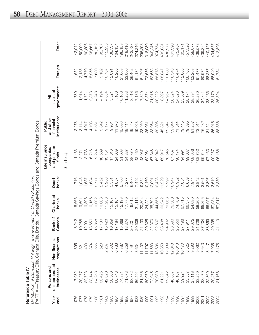| ť |
|---|
|   |
|   |
|   |
|   |
|   |
|   |
|   |
|   |
|   |
|   |
|   |
|   |
|   |
|   |
|   |

 $\mathbf{\alpha}$ *Distrib utio n of D o m estic H oldin gs of G overn m e nt of C a n a da S e c urities*

|             | PART A —Treasury Bills, Canada Bills,       |                               |                   |                    |                              | Bonds, <sup>1</sup> Canada Savings Bonds and Canada Premium Bonds |                                                               |                                           |         |                    |
|-------------|---------------------------------------------|-------------------------------|-------------------|--------------------|------------------------------|-------------------------------------------------------------------|---------------------------------------------------------------|-------------------------------------------|---------|--------------------|
| Year<br>end | unincorporated<br>Persons and<br>businesses | corporations<br>Non-financial | Canada<br>Bank of | Chartered<br>banks | banks <sup>2</sup><br>Quasi- | Life insurance<br>and pension<br>companies<br>funds               | institutions <sup>3</sup><br>and other<br>financial<br>Public | government <sup>4</sup><br>levels of<br>₹ | Foreign | Total <sup>5</sup> |
|             |                                             |                               |                   |                    |                              | (\$ millions)                                                     |                                                               |                                           |         |                    |
| 976         |                                             | 395                           | 8,242             | 8,666              | 716                          | 1,436                                                             |                                                               | 730                                       | 1,652   | 42,042             |
| 977         | 20,277                                      | 321                           | 10,268            | 9,601              | 1,048                        | 2,271                                                             | 3,114                                                         | 1,014                                     | 2,185   | 50,099             |
| 978         | 22,723                                      | 403                           | 12,001            | 9,896              | 1,537                        | 3,738                                                             | 4,017                                                         | 1,721                                     | 4,770   | 60,806             |
| 1979        | 23,144                                      | 374                           | 13,656            | 10,156             | 1,684                        | 6,716                                                             | 4,103                                                         | 2,878                                     | 5,956   | 68,667             |
| 980         | 24,253                                      | 555                           | 15,858            | 10,002             | 2,771                        | 9,274                                                             | 5,561                                                         | 4,248                                     | 7,630   | 80,152             |
| 981         | 33,425                                      | 520                           | 17,100            | 10,003             | 2,452                        | 10,569                                                            | 5,342                                                         | 4,194                                     | 9,102   | 92,707             |
| 982         | 42,320                                      | 267<br>Ñ                      | 15,428            | 11,233             | 3,288                        | 13,151                                                            | 9,177                                                         | 4,654                                     | 10,737  | 112,255            |
| 983         | 50,306                                      | 5,502                         | 16,859            | 15,107             | 5,551                        | 17,816                                                            | 9,984                                                         | 5,321                                     | 12,091  | 138,537            |
| 1984        | 60,748                                      | 6,783                         | 17,184            | 15,164             | 4,887                        | 24,039                                                            | 11,978                                                        | 7,166                                     | 16,205  | 164,154            |
| 1985        | 74,331                                      | 7,387                         | 15,668            | 15,198             | 5,706                        | 31,068                                                            | 15,086                                                        | 10,106                                    | 21,608  | 196,158            |
| 1986        | 71,073                                      | 6,259                         | 18,374            | 17,779             | 7,277                        | 34,887                                                            | 18,414                                                        | 11,293                                    | 33,060  | 218,416            |
| 1987        | 83,732                                      | 8,591                         | 20,201            | 16,012             | 6,400                        | 38,870                                                            | 19,547                                                        | 13,918                                    | 36,462  | 243,733            |
| 1988        | 86,591                                      | 8,634                         | 20,606            | 21,115             | 7,492                        | 42,460                                                            | 19,028                                                        | 17,186                                    | 51,134  | 274,246            |
| 1989        | 81,566                                      | 11,402                        | 21,133            | 20,804             | 9,854                        | 48,037                                                            | 23,950                                                        | 17,840                                    | 61,707  | 296,293            |
| 1990        | 80,079                                      | 11,797                        | 20,325            | 24,224             | 10,460                       | 52,984                                                            | 26,051                                                        | 19,574                                    | 72,586  | 318,080            |
| 1991        | 72,945                                      | 11,580                        | 22,370            | 35,792             | 12,091                       | 57,846                                                            | 33,054                                                        | 21,015                                    | 82,553  | 349,246            |
| 1992        | 70,930                                      | 13,696                        | 22,607            | 44,555             | 12,428                       | 62,042                                                            | 39,396                                                        | 20,222                                    | 88,878  | 374,754            |
| 1993        | 61,221                                      | 10,359                        | 23,498            | 60,242             | 11,229                       | 69,917                                                            | 45,321                                                        | 18,397                                    | 108,847 | 409,031            |
| 1994        | 52,842                                      | 12,039                        | 24,902            | 70,063             | 9,992                        | 78,545                                                            | 52,847                                                        | 24,967                                    | 110,080 | 436,27             |
| 1995        | 48,867                                      | 12,048                        | 23,590            | 76,560             | 10,947                       | 87,467                                                            | 59,044                                                        | 26,324                                    | 116,543 | 461,390            |
| 1996        | 46,187                                      | 10,013                        | 25,556            | 74,789             | 10,952                       | 90,174                                                            | 71,514                                                        | 24,828                                    | 118,474 | 472,487            |
| 1997        | 39,924                                      | 10,470                        | 27,198            | 67,715             | 7,054                        | 94,991                                                            | 79,445                                                        | 25,509                                    | 112,865 | 465,171            |
| 1998        | 33,537                                      | 8,525                         | 27,911            | 66,375             | 6,659                        | 99,687                                                            | 79,895                                                        | 28,174                                    | 106,763 | 457,526            |
| 1999        | 37,118                                      | 9,290                         | 29,075            | 54,080             | 7,944                        | 08,656                                                            | 81,257                                                        | 28,394                                    | 102,263 | 458,077            |
| 2000        | 33,259                                      | 9,062<br>7,643                | 31,726            | 58,269             | 2,842                        | 08,752                                                            | 73,911                                                        | 30,280                                    | 91,477  | 439,578            |
| 2001        | 33,979                                      |                               | 37,204            | 65,396             | 3,561                        | 99,744                                                            | 76,482                                                        | 34,341                                    | 80,974  | 439,324            |
| 2002        | 22,860                                      | 8,417                         | 38,859            | 66,057             | 3,307                        | 97,463                                                            | 81,521                                                        | 33,436                                    | 88,237  | 440,157            |
| 2003        | 20,477                                      | 7,935                         | 40,398            | 67,934             | 3,619                        | 100,257                                                           | 86,918                                                        | 38,179                                    | 68,940  | 434,657            |
| 2004        | 21,168                                      | 8,175                         | 41,119            | 57,017             | 3,380                        | 96,168                                                            | 88,558                                                        | 36,524                                    | 61,784  | 413,893            |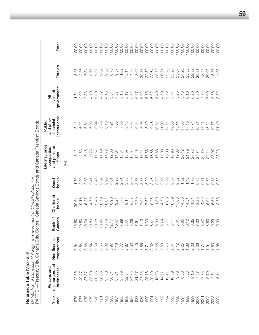Reference Table IV *(cont'd)*

 $\mathfrak{c}$ Ċ  $\overline{a}$  $\frac{1}{1}$ **Reference Table IV** (cont'd)<br>Distribution of Domestic Holdings of Government of Canada Securities<br>Distribution of Domestic Holdings of Government of Canada Securities *Distribution of Domestic Holdings of Government of Canada Securities*

|             | PART B — Treasury Bills, Canada Bills,      |                               |                   |                    |                              | Bonds, <sup>1</sup> Canada Savings Bonds and Canada Premium Bonds |                                                               |                                           |              |                    |
|-------------|---------------------------------------------|-------------------------------|-------------------|--------------------|------------------------------|-------------------------------------------------------------------|---------------------------------------------------------------|-------------------------------------------|--------------|--------------------|
| Year<br>end | unincorporated<br>Persons and<br>businesses | corporations<br>Non-financial | Bank of<br>Canada | Chartered<br>banks | banks <sup>2</sup><br>Quasi- | Life insurance<br>and pension<br>companies<br>funds               | institutions <sup>3</sup><br>and other<br>financial<br>Public | government <sup>4</sup><br>levels of<br>₹ | Foreign      | Total <sup>5</sup> |
|             |                                             |                               |                   |                    |                              | (%)                                                               |                                                               |                                           |              |                    |
| 50          | $\circ$<br>$\frac{Q}{4}$                    | 94                            | 19.60             | 20.61              | 1.70                         | 3.42                                                              | 5.41                                                          | 1.74                                      | 3.93         | 100.00             |
| 977         | 47<br>S.                                    | 0.64                          | 20.50             | 19.16              | <b>2.09</b>                  | 4.53                                                              | 6.22                                                          | 2.02                                      |              | 100.00             |
| 978         | Ŀö.<br>$\overline{37}$                      | 0.66                          | 19.74             | 16.27              | 2.53                         | 6.15                                                              | 6.61                                                          | 2.83                                      | 4.36<br>7.84 | 100.00             |
| 979         | 33.70                                       | 0.54                          | 19.89             | 14.79              | 2.45                         | 9.78                                                              | 5.98                                                          | 4.19                                      | 8.67         | 100.00             |
| 980         | 30.26                                       | 0.69                          | 19.78             | 12.48              | 3.46                         | 11.57                                                             | 6.94                                                          | 5.30<br>4.52                              | 9.52         | 100.00             |
| 981         | 36.05                                       |                               | 18.45             | 10.79              | 2.64                         | 11.40                                                             | 5.76                                                          |                                           | 9.82         | 100.00             |
| 982         | 37.70                                       |                               | 13.74             | 10.01              | 2.93                         | 11.72                                                             | 8.18                                                          |                                           | 9.56         | 100.00             |
| 1983        | 36.31                                       | 56<br>0.82<br>0.97            | 12.17             | 10.90              | 4.01                         | 12.86                                                             | 7.21                                                          | $4.15$<br>3.84<br>4.57                    | 8.73         | 100.00             |
| 1984        | 37.01                                       | 4.13                          | 10.47             |                    | 2.98                         | 14.64                                                             | 7.30                                                          |                                           | 9.87         | 100.00             |
| 1985        | 89<br>57                                    |                               | 7.99              | 9.24<br>7.75       | $2.91$<br>$3.33$             | 15.84                                                             | 7.69                                                          |                                           | 11.02        | 100.00             |
| 1986        | $\ddot{5}$<br>$\mathcal{S}$                 |                               | 8.41              | 8.14               |                              | 15.97                                                             | 8.43                                                          | 5.15<br>5.17<br>5.71                      | 15.14        | 100.00             |
| 1987        | 95<br>$\frac{5}{4}$                         |                               | 8.29              | 6.57<br>7.70       | 2.63<br>2.73                 | 15.95                                                             | 8.02                                                          |                                           | 14.96        | 100.00             |
| 1988        | -57<br>$\overline{5}$                       |                               | 7.51              |                    |                              | 15.48                                                             | 6.94                                                          | 6.27                                      | 18.65        | 100.00             |
| 1989        | 53.<br>27                                   |                               | 7.13              | 7.02               | $3.33$<br>$3.29$             | 16.21                                                             | 8.08                                                          | 6.02                                      | 20.83        | 100.00             |
| 1990        | 25.18                                       |                               | 6.39              | 7.62               |                              | 16.66                                                             | 8.19                                                          | 6.15                                      | 22.82        | 100.00             |
| 1991        | 20.89                                       |                               | 6.41              | 10.25              | 3.46                         | 16.56                                                             | 9.46                                                          | 6.02                                      | 23.64        | 100.00             |
| 1992        | 18.93                                       |                               |                   | 11.89              | 32<br>325<br>325<br>325      | 16.56                                                             | 10.51                                                         | 5.40                                      | 23.72        | 100.00             |
| 1993        | 14.97                                       |                               |                   | 14.73              |                              | 17.09                                                             | 11.08                                                         | 4.50<br>5.72                              | 26.61        | 100.00             |
| 1994        | 12.11                                       |                               |                   | 16.06              |                              | 18.00                                                             | 12.11                                                         |                                           | 25.23        | 100.00             |
| 1995        | 10.59                                       |                               |                   | 16.59              |                              | 18.96                                                             | 12.80                                                         | 5.71                                      | 25.26        | 100.00             |
| 1996        |                                             |                               | 5.41              | 15.83              | 2.32                         | 19.08                                                             | 15.14                                                         | 5.25                                      | 25.07        | 100.00             |
| 1997        |                                             |                               | 5.85              | 14.56              | 1.52                         | 20.42                                                             | 17.08                                                         | 5.48                                      | 24.26        | 100.00             |
| 1998        |                                             |                               | 6.10              | 14.51              | 1.46                         | 21.79                                                             | 17.46                                                         | 6.16                                      | 23.33        | 100.00             |
| 1999        |                                             |                               | 6.35              | 11.81              | 1.73                         | 23.72                                                             | 17.74                                                         | 6.20                                      | 22.32        | 100.00             |
| 2000        | 5<br>2 5 6 7 6 7 7<br>2 7 8 7 8 9 7 7       |                               | 7.22              | 13.26              | 0.65                         | 24.74                                                             | $16.81$<br>$17.41$                                            | 6.89                                      | 20.81        | 100.00             |
| 2001        |                                             | 1.74                          | 8.47              | 14.89              | 0.81<br>0.75                 | 22.70                                                             |                                                               | 7.82                                      | 18.43        | 100.00             |
| 2002        | 5.19                                        | $\overline{5}$                | 8.83              | 15.01              |                              | 22.14                                                             | 18.52                                                         | 7.60                                      | 20.05        | 100.00             |
| 2003        | 4.7                                         | 83                            | 9.29<br>9.93      | 5.63<br>3.78       | 0.83                         | 23.07                                                             | 19.77                                                         | 8.78                                      | 15.86        | 100.00             |
| 2004        | $\overline{5}$ .                            | 86.                           |                   |                    | 0.82                         | 23.23                                                             | 21.40                                                         | 8.82                                      | 14.93        | 100.00             |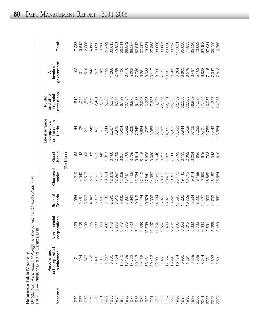| Reference Table IV $\langle \text{const'}\sigma\rangle$              |
|----------------------------------------------------------------------|
| Distribution of Domestic Holdings of Government of Canada Securities |
| PART C — Treasury Bills and Canada Bills                             |

|          | $PAH \cup -$ I reasury Bills and Ganada Bills |                                                                                                 |                   |                    |                              |                                                     |                                                               |                                           |                    |
|----------|-----------------------------------------------|-------------------------------------------------------------------------------------------------|-------------------|--------------------|------------------------------|-----------------------------------------------------|---------------------------------------------------------------|-------------------------------------------|--------------------|
| Year end | unincorporated<br>Persons and<br>businesses   | Non-financial<br>corporations                                                                   | Canada<br>Bank of | Chartered<br>banks | banks <sup>2</sup><br>Quasi- | Life insurance<br>and pension<br>companies<br>funds | institutions <sup>3</sup><br>and other<br>financial<br>Public | government <sup>4</sup><br>levels of<br>₹ | Total <sup>5</sup> |
|          |                                               |                                                                                                 |                   |                    | (\$ millions)                |                                                     |                                                               |                                           |                    |
| 976      | 171                                           | 125                                                                                             | 1,964             | 4,219              | 52                           | $\overline{4}$                                      | 515                                                           | 193                                       | 7,283              |
| 1977     | 394                                           | 136                                                                                             | 2,461             | 4,949              | 143                          | 88                                                  | 1,020                                                         | 311                                       | 9,512              |
| 1978     | 576                                           | 198                                                                                             | 3,567             | 5,517              | 193                          | 261                                                 | 1,554                                                         | 519                                       | 12,385             |
| 1979     | 785                                           | 165                                                                                             | 4,345             | 6,690              | 65                           | 245                                                 | 1,550                                                         | 843                                       | 14,688             |
| 1980     | 1,493                                         | 288                                                                                             | 5,317             | 7,500              | 619                          | 460                                                 | 2,431                                                         | 1,512                                     | 19,620             |
| 1981     | 1,019                                         | 369                                                                                             | 5,431             | 8,597              | 343                          | 560                                                 | 2,187                                                         | 1,082                                     | 19,588             |
| 1982     | 1,237                                         | 930                                                                                             | 2,483             | 10,034             | 1,357                        | 1,244                                               | 5,008                                                         | 1,199                                     | 24,492             |
| 1983     | 3,766                                         | 146<br>$\overline{5}$                                                                           | 2,595             | 12,879             | 3,180                        | 2,587                                               | 5,376                                                         | 1,286                                     | 36,815             |
| 1984     | 7,454                                         | 275<br>$\circ$ $\circ$                                                                          | 3,515             | 12,997             | 2,792                        | 3,876                                               | 6,544                                                         | 2,498                                     | 45,951             |
| 1985     | 13,340                                        | 517                                                                                             | 3,985             | 12,629             | 3,651                        | 3,924                                               | 8,129                                                         | 4,136                                     | 56,311             |
| 1986     | 16,158                                        | 875<br>4                                                                                        | 7,967             | 15,161             | 4,709                        | 3,592                                               | 10,164                                                        | 3,416                                     | 66,042             |
| 1987     | 17,733                                        | 232<br>$\overline{\phantom{0}}$                                                                 | 9,682             | 11,498             | 3,725                        | 4,806                                               | 9,589                                                         | 5,002                                     | 69,267             |
| 1988     | 20,213                                        | 414<br>$\overline{\phantom{0}}$                                                                 | 9,945             | 15,224             | 5,614                        | 7,648                                               | 9,133                                                         | 7,726                                     | 82,917             |
| 1989     | 29,156                                        | 668<br>$\infty$                                                                                 | 11,124            | 17,410             | 8,116                        | 9,664                                               | 12,908                                                        | 9,251                                     | 107,297            |
| 1990     | 36,461                                        | 756<br>$\overline{O}$                                                                           | 10,574            | 17,841             | 8,976                        | 11,737                                              | 13,298                                                        | 9,388                                     | 119,031            |
| 1991     | 30,423                                        | 437<br>$\overline{O}$                                                                           | 13,093            | 24,382             | 9,089                        | 12,386                                              | 17,636                                                        | 10,417                                    | 127,863            |
| 1992     | 32,901                                        | 254<br>$\overline{1}$                                                                           | 14,634            | 27,989             | 9,646                        | 13,639                                              | 19,907                                                        | 8,726                                     | 138,696            |
| 1993     | 27,459                                        |                                                                                                 | 16,876            | 29,901             | 9,222                        | 17,085                                              | 22,336                                                        | 7,151                                     | 139,687            |
| 1994     | 17,562                                        |                                                                                                 | 18,973            | 30,415             | 6,879                        | 14,376                                              | 22,021                                                        | 10,631                                    | 129,356            |
| 1995     | 16,296                                        | 5 5 7 8 8 9 9 9 8 9 9 8 9 8 9<br>5 9 9 9 8 9 9 9 9 9 9 9 8 9 9<br>5 9 9 9 9 9 9 9 9 9 9 9 9 9 9 | 18,298            | 30,865             | 7,760                        | 15,315                                              | 25,183                                                        | 10,603                                    | 133,524            |
| 1996     | 10,474                                        |                                                                                                 | 17,593            | 23,470             | 5,493                        | 13,520                                              | 32,752                                                        | 6,264                                     | 117,851            |
| 1997     | 5,966                                         |                                                                                                 | 14,233            | 19,448             | 3,133                        | 8,944                                               | 32,653                                                        | 3,803                                     | 95,038             |
| 1998     | 1,291                                         |                                                                                                 | 10,729            | 16,713             | 2,392                        | 4,529                                               | 32,508                                                        | 3,578                                     | 77,955             |
| 1999     | 8,539                                         |                                                                                                 | 8,584             | 9,814              | 3,234                        | 8,128                                               | 36,932                                                        | 3,497                                     | 85,390             |
| 2000     | 7,568                                         |                                                                                                 | 8,090             | 6,188              | 685                          | 7,222                                               | 31,087                                                        | 5,108                                     | 72,683             |
| 2001     | 8,744                                         |                                                                                                 | 1,427             | 9,969              | 675                          | 10,401                                              | 37,154                                                        | 6,838                                     | 92,198             |
| 2002     | 551                                           |                                                                                                 | 11,639            | 18,869             | 708                          | 12,768                                              | 40,087                                                        | 7,115                                     | 97,631             |
| 2003     | 1,803                                         |                                                                                                 | 1,733             | 26,150             | 943                          | 14,443                                              | 41,335                                                        | 7,647                                     | 108,420            |
| 2004     | 2,891                                         |                                                                                                 | 11,557            | 25,584             | 819                          | 13,584                                              | 43,053                                                        | 7,818                                     | 110,759            |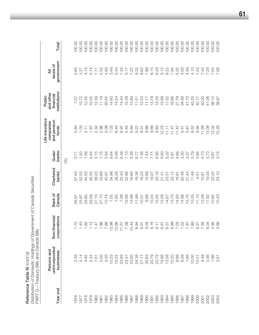Distribution of Domestic Holdings of Government of Canada Securities *Distribution of Domestic Holdings of Government of Canada Securities* Reference Table IV (cont'd) Reference Table IV *(cont'd)*

Total<sup>5</sup> 100.00 100.00 100.00 100.00 100.00 100.00 100.00 100.00 100.00 100.00 100.00 100.00 100.00 100.00 100.00 100.00 100.00 00.00 00.00 00.00 00.00 100.00 00.00 100.00 100.00 100.00 100.00  $00.00$  $00.00$ Year end businessess corporations Canada banks banks and the corporations sess sess bankan funds and te dans and 1976 2.35 1.72 26.97 57.93 0.71 0.60 7.07 2.65 100.00 1977 4.14 1.43 25.87 52.03 1.50 1.03 10.72 3.27 100.00 1978 4.65 1.60 28.80 44.55 1.56 2.11 12.55 4.19 100.00 1979 5.34 1.12 29.58 45.55 0.44 1.67 10.55 5.74 100.00 1980 7.61 1.47 27.10 38.23 3.15 2.34 12.39 7.71 100.00 1981 5.20 1.88 27.73 43.89 1.75 2.86 11.16 5.52 100.00 1982 5.05 7.88 10.14 40.97 5.54 5.08 20.45 4.90 100.00 00.001 14.60 14.60 14.60 14.60 14.60 14.60 14.60 100.00 14.60 14.60 100.00 14.60 14.60 14.60 14.60 1 1984 16.22 13.66 7.65 28.28 6.08 8.44 14.24 5.44 100.00 1985 23.69 11.57 7.08 22.43 6.48 6.97 14.44 7.34 100.00 1986 24.47 7.38 12.06 22.96 7.13 5.44 15.39 5.17 100.00 1987 25.60 10.44 13.98 16.60 5.38 6.94 13.84 7.22 100.00 0.00.001 11.01 11.01 11.01 24.38 19.38 19.38 19.38 19.38 19.38 10.32 10.00 10.32 11.01 11.01 11.01 11.01 11.01 1989 1989 27.17 27.17 10.37 16.23 16.23 16.37 16.37 19.01 12.03 12.03 12.03 19.02 19.01 27.17 1990 30.63 9.04 8.88 14.99 7.54 9.86 11.17 7.89 100.00 1991 23.79 8.16 10.24 19.07 7.11 9.69 13.79 8.15 100.00 1992 23.72 8.11 10.55 20.18 6.95 9.83 14.35 6.29 100.00 1993 19.66 6.91 12.08 21.41 6.60 12.23 15.99 5.12 100.00 1994 13.58 6.57 14.67 23.51 5.32 11.11 17.02 8.22 100.00 1995 12.20 6.89 13.70 23.12 5.81 11.47 18.86 7.94 100.00 1996 8.89 8.89 8.89 8.89 14.47 14.47 14.47 14.66 14.66 14.67 14.68 100.7<br>00.001 10.22 12.7.79 5.32 001 60.45 20.48 20.47 14.98 20.99 20.99 20.47 20.47 20.47 20.47 20.47 20.47 20.47 20.47 20.47 20.47 20.47 20.4 1998 1.69 1.67 1.81 1.81 1.92 1.92 1.92 1.93 1.93 1.93 1.94 1.94 1.97 1.97 1.97 1.97 1.98 1.98 1.98 1.98 1.98 1 00.001 10.00 10.00 10.00 10.00 10.00 10.00 10.00 10.00 10.00 10.00 10.00 10.00 10.00 10.00 10.00 10.00 10.00 1 2000 10.41 9.27 11.13 8.51 0.94 9.94 42.77 7.03 100.00 2001 9.48 12.42 14.29 12.89 12.89 12.89 12.89 12.89 12.89 12.89 12.89 12.89 12.89 12.89 12.89 12.89 12.89 12.8 2002 0.56 6.04 12.09 12.09 12.09 12.09 12.09 13.09 14.09 14.09 14.09 14.09 14.09 14.09 14.09 14.09 14.09 14.09 2003 1.66 4.95 10.82 23.20 0.87 13.32 38.12 7.05 100.00 government<sup>4</sup> levels of unincorporated Non-financial Bank of Chartered Quasi- and pension financial levels of 2.65 4.19 5.74 5.52 4.90 3.49 5.44 7.34 5.17 7.22 8.15 6.29 5.12 8.22 7.94 5.32 4.00 4.59 4.10 7.03 7.42 7.71 7.29 7.06 3.27  $\bar{a}$  $P$ ersons and  $\sigma$ udes and other and other and other and other and other  $\sigma$ institutions<sup>3</sup> and other financial Public Life insurance Public 7.07 10.72 12.55 10.55 12.39  $11.16$ 20.45 14.60 14.24 14.44 15.39 13.84  $11.01$ 12.03  $11.17$ 13.79 14.35 15.99 17.02 18.86 27.79 34.36 41.70 43.25 42.77 40.30 41.06 38.12 38.87 Life insurance and pension companies 0.60  $1.03$  $2.11$ 1.67 2.34 2.86 5.08 7.03 8.44 6.97 5.44 6.94 9.22  $9.01$ 9.86 9.69 9.83 12.23  $11.47$  $11.47$ 9.52 13.08 12.26  $11.11$  $9.41$  $5.81$ 9.94 11.28  $3.32$ funds Quasi-<br>banks<sup>2</sup>  $3.15$ 1.75 5.54 6.08 6.48 7.13 5.38 6.77 7.56 6.95 6.60 5.32 4.66 3.30 3.79 1.56 0.44 8.64 7.54  $7.11$ 5.81 3.07 0.94 0.73 0.73 0.74  $0.71$  $-50$ 0.87 (%) Chartered<br>banks 57.93 52.03 44.55 45.55 38.23 43.89 34.98 28.28 22.43 22.96 16.60 18.36 16.23 14.99 19.07 20.18 23.12 20.46 11.49 40.97  $21.41$ 23.51  $19.91$ 21.44  $8.51$  $10.81$ 19.33 23.20 23.10 Bank of<br>Canada 26.97 25.87 28.80 29.58 27.10 27.73  $10.14$ 7.05 7.65 7.08 12.06 13.98 11.99 10.37 8.88 10.24 10.55 12.08 14.67 13.70 14.93 14.98 13.76 10.05  $11.13$ **12.39** IO.43  $1.92$ 10.82 Non-financial corporations  $1.12$ 1.88 7.88 13.98<br>13.66 7.38 10.44 8.94 9.04 8.16 6.57 6.89 7.03 7.22 7.80<br>7.80<br>7.80 7.58 1.43 1.60 1.47  $11.57$  $9.01$  $8.11$ 6.91 6.04 4.95 4.96  $1.72$ PART D-Treasury Bills and Canada Bills PART D—Treasury Bills and Canada Bills unincorporated Persons and businesses 2.35 4.14 4.65 5.34 7.61 5.20 5.05 10.23 16.22 23.69 24.47 25.60 24.38 27.17 30.63 23.79 23.72 19.66 13.58 12.20 8.89 6.28 1.66 10.00  $10.41$ 9.48 0.56 1.66 2.61 Year end 1976 1977 1978 1979 0861 1982 1983 1984 1985 1986 1987 1988 1989 1990 1991 1992 1993 1994 1995 1996 1997 1998 1999 2000 2002 2003 1981 2001 2004

2004 2.61 4.96 10.43 23.10 0.74 12.26 38.87 7.06 100.00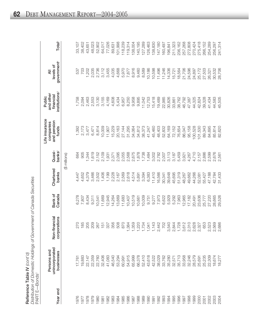| Reference Table IV (cont'd)                                    |
|----------------------------------------------------------------|
| Distribution of Domestic Holdings of Government of Canada Secu |
| PART E—Bonds'                                                  |

| PART E—Bonds <sup>1</sup> |                                             |                               |                   |                    |                              |                                                     |                                                               |                                           |                    |
|---------------------------|---------------------------------------------|-------------------------------|-------------------|--------------------|------------------------------|-----------------------------------------------------|---------------------------------------------------------------|-------------------------------------------|--------------------|
| Year end                  | unincorporated<br>Persons and<br>businesses | Non-financial<br>corporations | Bank of<br>Canada | Chartered<br>banks | banks <sup>2</sup><br>Quasi- | Life insurance<br>and pension<br>companies<br>funds | institutions <sup>3</sup><br>and other<br>financial<br>Public | government <sup>4</sup><br>levels of<br>₹ | Total <sup>5</sup> |
|                           |                                             |                               |                   |                    | (\$ millions)                |                                                     |                                                               |                                           |                    |
| 1976                      | 17,761                                      | 270                           | 6,278             | 4,447              | 664                          | 1,392                                               | 1,758                                                         | 537                                       | 33,107             |
| 1977                      | 19,883                                      | 185                           | 7,807             | 4,652              | 905                          | 2,173                                               | 2,094                                                         | 703                                       | 38,402             |
| 1978                      | 22,147                                      | 205                           | 8,434             | 4,379              | 1,344                        | 3,477                                               | 2,463                                                         | 1,202                                     | 43,651             |
| 1979                      | 22,359                                      | 209                           | 9,311             | 3,466              | 1,619                        | 6,471                                               | 2,553                                                         | 2,035                                     | 48,023             |
| 1980                      | 22,760                                      | 267                           | 10,541            | 2,502              | 2,152                        | 8,814                                               | 3,130                                                         | 2,736                                     | 52,902             |
| 1981                      | 32,406                                      | 151                           | 11,669            | 1,406              | 2,109                        | 10,009                                              | 3,155                                                         | 3,112                                     | 64,017             |
| 1982                      | 41,083                                      | 337                           | 12,945            | 1,199              | 1,931                        | 11,907                                              | 4,169                                                         | 3,455                                     | 77,026             |
| 1983                      | 46,540                                      | 356                           | 14,264            | 2,228              | 2,371                        | 15,229                                              | 4,608                                                         | 4,035                                     | 89,631             |
| 1984                      | 53,294                                      | 508                           | 13,669            | 2,167              | 2,095                        | 20,163                                              | 5,434                                                         | 4,668                                     | 101,998            |
| 1985                      | 60,991                                      | 870                           | 11,683            | 2,569              | 2,055                        | 27,144                                              | 6,957                                                         | 5,970                                     | 118,239            |
| 1986                      | 54,915                                      | 384                           | 10,407            | 2,618              | 2,568                        | 31,295                                              | 8,250                                                         | 7,877                                     | 119,314            |
| 1987                      | 65,999                                      | 359                           | 10,519            | 4,514              | 2,675                        | 34,064                                              | 9,958                                                         | 8,916                                     | 138,004            |
| 1988                      | 66,378                                      | ,220                          | 10,661            | 5,891              | 1,878                        | 34,812                                              | 9,895                                                         | 9,460                                     | 140,195            |
| 1989                      | 52,410                                      | ,734                          | 10,009            | 3,394              | 1,738                        | 38,373                                              | 11,042                                                        | 8,589                                     | 127,289            |
| 1990                      | 43,618                                      | .041                          | 9,751             | 6,383              | 1,484                        | 41,247                                              | 12,753                                                        | 10,186                                    | 126,463            |
| 1991                      | 42,522                                      | ,143                          | 9,277             | 11,410             | 3,002                        | 45,460                                              | 15,418                                                        | 10,598                                    | 138,830            |
| 1992                      | 38,029                                      | 442<br>$\mathbf{\Omega}$      | 7,973             | 16,566             | 2,782                        | 48,403                                              | 19,489                                                        | 11,496                                    | 147,180            |
| 1993                      | 33,762                                      | 702                           | 6,622             | 30,341             | 2,007                        | 52,832                                              | 22,985                                                        | 11,246                                    | 160,497            |
| 1994                      | 35,280                                      | 540<br>S                      | 5,929             | 39,648             | 3,113                        | 64,169                                              | 30,826                                                        | 14,336                                    | 196,841            |
| 1995                      | 32,571<br>35,713                            | 2,844<br>1,728                | 5,292             | 45,695             | 3,187                        | 72,152                                              | 33,861                                                        | 15,721                                    | 211,323            |
| 1996                      |                                             |                               | 7,963             | 51,319             | 5,459                        | 76,654                                              | 38,762                                                        | 18,564                                    | 236,162            |
| 1997                      | 33,958                                      | 612<br>S                      | 12,965            | 48,267             | 3,921                        | 86,047                                              | 46,792                                                        | 21,706                                    | 257,268            |
| 1998                      | 32,246                                      | 310<br>Q Q Q                  | 17,182            | 49,662             | 4,267                        | 95,158                                              | 47,387                                                        | 24,596                                    | 272,808            |
| 1999                      | 28,579                                      | 628                           | 20,491            | 44,266             | 4,710                        | 100,528                                             | 44,325                                                        | 24,897                                    | 270,424            |
| 2000                      | 25,691                                      | ,327                          | 23,636            | 52,081             | 2,157                        | 101,530                                             | 42,824                                                        | 25,172                                    | 275,418            |
| 2001                      | 25,235                                      | 653                           | 25,777            | 55,427             | 2,886                        | 89,343                                              | 39,328                                                        | 27,503                                    | 266,152            |
| 2002                      | 22,309                                      | 523<br>$\sim$                 | 27,220            | 47,188             | 2,599                        | 84,695                                              | 41,434                                                        | 26,321                                    | 254,289            |
| 2003                      | 18,674                                      | 2,569<br>2,686                | 28,665            | 42,784             | 2,676                        | 85,814                                              | 44,583                                                        | 30,532                                    | 256,297            |
| 2004                      | 18,27                                       |                               | 29,526            | 31,433             | 2,561                        | 82,620                                              | 45,505                                                        | 28,706                                    | 241,314            |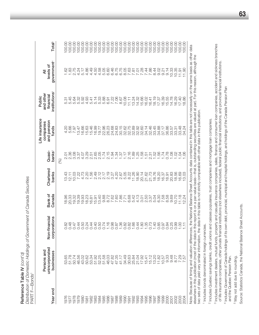Distribution of Domestic Holdings of Government of Canada Securities *Distribution of Domestic Holdings of Government of Canada Securities* Reference Table IV (cont'd) Reference Table IV *(cont'd)* PART F-Bonds<sup>1</sup> PART F—Bonds1

|                  |                                                                                                                                                                                                                                                                                                                                                                                                                                                              |                               |                   |                                                                |                                           | Life insurance                    | Public                                                                                                                                                                                                                                                                                              |                                           |                    |
|------------------|--------------------------------------------------------------------------------------------------------------------------------------------------------------------------------------------------------------------------------------------------------------------------------------------------------------------------------------------------------------------------------------------------------------------------------------------------------------|-------------------------------|-------------------|----------------------------------------------------------------|-------------------------------------------|-----------------------------------|-----------------------------------------------------------------------------------------------------------------------------------------------------------------------------------------------------------------------------------------------------------------------------------------------------|-------------------------------------------|--------------------|
| Year end         | unincorporated<br>Persons and<br>businesses                                                                                                                                                                                                                                                                                                                                                                                                                  | Non-financial<br>corporations | Bank of<br>Canada | Chartered<br>banks                                             | banks <sup>2</sup><br>Quasi-              | and pension<br>companies<br>funds | institutions <sup>3</sup><br>and other<br>financial                                                                                                                                                                                                                                                 | government <sup>4</sup><br>levels of<br>₹ | Total <sup>5</sup> |
|                  |                                                                                                                                                                                                                                                                                                                                                                                                                                                              |                               |                   |                                                                | (%)                                       |                                   |                                                                                                                                                                                                                                                                                                     |                                           |                    |
| 976              |                                                                                                                                                                                                                                                                                                                                                                                                                                                              |                               |                   | 13.43                                                          |                                           |                                   |                                                                                                                                                                                                                                                                                                     |                                           |                    |
| 1977             | 53.65<br>51.78                                                                                                                                                                                                                                                                                                                                                                                                                                               |                               | 18.96<br>20.33    | 12.11                                                          | 5 ซี 8 ซี 5<br>อี ซี 8 ซี 5<br>อี จี ฮ ฮ่ | $4.000$<br>$7.007$                | 6<br>200200<br>200300                                                                                                                                                                                                                                                                               | 1122245<br>1235247<br>123547              |                    |
| 1978             |                                                                                                                                                                                                                                                                                                                                                                                                                                                              |                               |                   |                                                                |                                           |                                   |                                                                                                                                                                                                                                                                                                     |                                           |                    |
| 1979             | 50.74<br>46.56                                                                                                                                                                                                                                                                                                                                                                                                                                               | $\overline{O}$ $\overline{O}$ | 19.32             | $7.73$<br>$4.73$                                               |                                           | 13.47                             |                                                                                                                                                                                                                                                                                                     |                                           |                    |
| 086              | 43.02                                                                                                                                                                                                                                                                                                                                                                                                                                                        |                               |                   |                                                                | 4.07                                      | 16.66                             |                                                                                                                                                                                                                                                                                                     |                                           |                    |
| $\overline{98}$  | 50.62                                                                                                                                                                                                                                                                                                                                                                                                                                                        | $\circ$                       | 19.93<br>18.23    | Sundonum du manus<br>Sundonum du manus<br>Sundonum du manus du | 201600115<br>20160115                     |                                   |                                                                                                                                                                                                                                                                                                     |                                           |                    |
| 1982             |                                                                                                                                                                                                                                                                                                                                                                                                                                                              |                               |                   |                                                                |                                           |                                   |                                                                                                                                                                                                                                                                                                     |                                           |                    |
| 1983             |                                                                                                                                                                                                                                                                                                                                                                                                                                                              |                               |                   |                                                                |                                           |                                   |                                                                                                                                                                                                                                                                                                     |                                           |                    |
| 1984             |                                                                                                                                                                                                                                                                                                                                                                                                                                                              | $\circ$                       |                   |                                                                |                                           |                                   |                                                                                                                                                                                                                                                                                                     |                                           |                    |
| 1985             | $\begin{array}{l} \mathbb{C} \cup \mathbb{C} \cup \mathbb{C} \cup \mathbb{C} \cup \mathbb{C} \cup \mathbb{C} \cup \mathbb{C} \cup \mathbb{C} \cup \mathbb{C} \cup \mathbb{C} \cup \mathbb{C} \cup \mathbb{C} \cup \mathbb{C} \cup \mathbb{C} \cup \mathbb{C} \cup \mathbb{C} \cup \mathbb{C} \cup \mathbb{C} \cup \mathbb{C} \cup \mathbb{C} \cup \mathbb{C} \cup \mathbb{C} \cup \mathbb{C} \cup \mathbb{C} \cup \mathbb{C} \cup \mathbb{C} \cup \mathbb{C$ | $\circ$                       |                   |                                                                |                                           |                                   |                                                                                                                                                                                                                                                                                                     |                                           |                    |
| 1986             |                                                                                                                                                                                                                                                                                                                                                                                                                                                              |                               |                   |                                                                |                                           |                                   |                                                                                                                                                                                                                                                                                                     |                                           |                    |
| 188              |                                                                                                                                                                                                                                                                                                                                                                                                                                                              | - ○                           |                   |                                                                |                                           |                                   | 22                                                                                                                                                                                                                                                                                                  |                                           |                    |
| 1988             |                                                                                                                                                                                                                                                                                                                                                                                                                                                              |                               |                   |                                                                |                                           |                                   | 7.06                                                                                                                                                                                                                                                                                                |                                           |                    |
| 1989             |                                                                                                                                                                                                                                                                                                                                                                                                                                                              |                               |                   |                                                                |                                           |                                   | 8.67                                                                                                                                                                                                                                                                                                |                                           |                    |
| 0661             |                                                                                                                                                                                                                                                                                                                                                                                                                                                              |                               |                   |                                                                |                                           |                                   | 10.08                                                                                                                                                                                                                                                                                               |                                           |                    |
| 991              |                                                                                                                                                                                                                                                                                                                                                                                                                                                              |                               |                   |                                                                |                                           |                                   | $\overline{1}$ . $\overline{1}$                                                                                                                                                                                                                                                                     |                                           |                    |
| 992              |                                                                                                                                                                                                                                                                                                                                                                                                                                                              |                               |                   |                                                                |                                           |                                   |                                                                                                                                                                                                                                                                                                     |                                           |                    |
| 993              |                                                                                                                                                                                                                                                                                                                                                                                                                                                              |                               |                   |                                                                |                                           |                                   |                                                                                                                                                                                                                                                                                                     |                                           |                    |
| 1994             |                                                                                                                                                                                                                                                                                                                                                                                                                                                              |                               |                   |                                                                |                                           |                                   |                                                                                                                                                                                                                                                                                                     |                                           |                    |
| 1995             |                                                                                                                                                                                                                                                                                                                                                                                                                                                              |                               |                   |                                                                |                                           |                                   |                                                                                                                                                                                                                                                                                                     |                                           |                    |
| 1996             |                                                                                                                                                                                                                                                                                                                                                                                                                                                              |                               |                   |                                                                |                                           |                                   |                                                                                                                                                                                                                                                                                                     |                                           |                    |
| 1997             |                                                                                                                                                                                                                                                                                                                                                                                                                                                              |                               |                   |                                                                |                                           |                                   |                                                                                                                                                                                                                                                                                                     |                                           |                    |
| 1998             |                                                                                                                                                                                                                                                                                                                                                                                                                                                              |                               |                   |                                                                |                                           |                                   |                                                                                                                                                                                                                                                                                                     |                                           |                    |
| 1999             |                                                                                                                                                                                                                                                                                                                                                                                                                                                              | $\circ$                       |                   |                                                                |                                           |                                   |                                                                                                                                                                                                                                                                                                     |                                           |                    |
| 2000             |                                                                                                                                                                                                                                                                                                                                                                                                                                                              | $\circ$                       |                   |                                                                |                                           | 37.17<br>36.86<br>33.57           | $\begin{array}{l} 12.78 \\ 14.79 \\ 15.89 \\ 16.60 \\ 17.79 \\ 18.79 \\ 19.79 \\ 19.79 \\ 19.79 \\ 14.78 \\ 15.79 \\ 17.79 \\ 19.79 \\ 14.78 \\ 15.79 \\ 16.79 \\ 17.78 \\ 18.79 \\ 19.79 \\ 19.79 \\ 19.79 \\ 19.79 \\ 19.79 \\ 19.79 \\ 19.79 \\ 19.79 \\ 19.79 \\ 19.79 \\ 19.79 \\ 19.79 \\ 19$ |                                           |                    |
| 200 <sup>2</sup> |                                                                                                                                                                                                                                                                                                                                                                                                                                                              |                               |                   |                                                                |                                           |                                   |                                                                                                                                                                                                                                                                                                     |                                           |                    |

Note: Because of timing and valuation differences, the National Balance Sheet Accounts data contained in this table are not necessarily on the same basis as other data Note: Because of timing and valuation differences, the National Balance Sheet Accounts data contained in this table are not necessarily on the same basis as other data elsewhere in this publication (most of the data in this report is on a par-value basis—that is, outstanding securities are valued at par). For this reason, although the<br>two sets of data yield very similar information, the elsewhere in this publication (most of the data in this report is on a par-value basis—that is, outstanding securities are valued at par). For this reason, although the two sets of data yield very similar information, the data in this table is not strictly comparable with other data in this publication.

2002 8.77 0.99 10.70 18.56 1.02 33.31 16.29 10.35 100.00 2003 7.29 1.00 11.18 16.69 1.04 33.48 17.40 11.91 100.00 2004 1.57 1.57 1.4.24 1.2.24 1.2.24 1.2.24 1.4.24 1.4.24 1.4.24 1.4.24 1.90 1.00 1.57 1.57 1.57 1.90 1.90 1.90

 $\begin{array}{c} 100.00 \\ 100.00 \\ 100.00 \end{array}$ 

 $\begin{array}{c} 10.35 \\ 11.91 \\ 11.90 \end{array}$ 

16.29<br>17.40<br>18.86

33.424<br>33.424<br>34.24

 $\frac{1}{2}$   $\frac{1}{2}$   $\frac{1}{2}$   $\frac{1}{2}$   $\frac{1}{2}$ 

 $18.56$ <br> $16.03$ <br> $13.03$ 

 $\frac{10.70}{11.18}$ 

 $0.99$ <br> $1.71$ <br> $1.71$ 

1957<br>1957<br>178

2003<br>2003<br>2004

<sup>1</sup> Includes bonds denominated in foreign currencies. <sup>1</sup> Includes bonds denominated in foreign currencies. <sup>2</sup> Includes Quebec savings banks, credit unions and caisses populaires, trust companies and mortgage loan companies. Includes Quebec savings banks, credit unions and caisses populaires, trust companies and mortgage loan companies.

- <sup>3</sup> Includes investment dealers, mutual funds, property and casualty insurance companies, sales, finance and consumer loan companies, accident and sickness branches Includes investment dealers, mutual funds, property and casualty insurance companies, sales, finance and consumer loan companies, accident and sickness branches of life insurance companies, other private financial institutions (not elsewhere included), federal public financial institutions, and provincial financial institutions. of life insurance companies, other private financial institutions (not elsewhere included), federal public financial institutions, and provincial financial institutions.
- 4 Includes Government of Canada holdings of its own debt, provincial, municipal and hospital holdings, and holdings of the Canada Pension Plan Includes Government of Canada holdings of its own debt, provincial, municipal and hospital holdings, and holdings of the Canada Pension Plan and the Quebec Pension Plan. and the Quebec Pension Plan.

<sup>5</sup> May not add due to rounding. May not add due to rounding. Source: Statistics Canada, the National Balance Sheet Accounts. Source: Statistics Canada, the National Balance Sheet Accounts.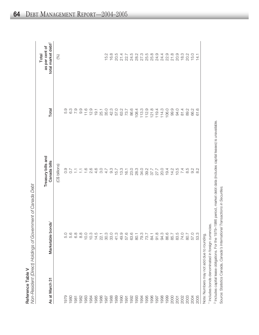|                                            | Non-Resident (Direct) Holdings of Government of Canada Debt |                                        |                               | Total                                             |
|--------------------------------------------|-------------------------------------------------------------|----------------------------------------|-------------------------------|---------------------------------------------------|
| As at March 31                             | Marketable bonds                                            | Treasury bills and<br>Canada bills     | Total                         | total market debt <sup>2</sup><br>as per cent of  |
|                                            |                                                             | (C\$ billions)                         |                               | $(%)$                                             |
| 979                                        | 5.0                                                         |                                        | 5.9                           |                                                   |
| 1980                                       | 5.6                                                         | 9 7 7 7 9 9 9 9 9<br>9 9 7 7 7 9 9 9 9 | 6.3                           |                                                   |
| 1981                                       | 8<br>6 8 9 0 1 9 1<br>6 8 0 1 9 1 9 1                       |                                        | 7.9                           |                                                   |
| 1982                                       |                                                             |                                        | 9.9                           |                                                   |
| 1983                                       |                                                             |                                        | 11.6                          |                                                   |
| 1984                                       |                                                             |                                        |                               |                                                   |
| 1985                                       |                                                             |                                        | $12.9$<br>$19.1$              |                                                   |
| 1986                                       |                                                             |                                        | 25.1                          |                                                   |
| 1987                                       | 30.3                                                        | 4.7                                    | 35.0                          |                                                   |
| 1988                                       | $33.0$<br>41.3                                              | $9.707$<br>$15.707$<br>$16.1$          | 42.3<br>57.0                  | $15.2$<br>$16.8$                                  |
| 1989                                       |                                                             |                                        |                               | 20.5                                              |
| 1990                                       |                                                             |                                        |                               | 21.4                                              |
| 1991                                       | $49.6$<br>57.6<br>63.                                       |                                        | $0.780$<br>$0.760$<br>$0.760$ |                                                   |
| 1992                                       |                                                             | <b>23.0</b>                            |                               |                                                   |
| 1993                                       | 80.1                                                        |                                        |                               |                                                   |
| 1994                                       |                                                             |                                        | $108.4$<br>$113.3$            |                                                   |
| 1995                                       | 79.3<br>78.7<br>84.1                                        |                                        | 112.9                         | 2 1 5 2 5 5 6 7<br>2 4 6 7 5 6 6<br>2 7 8 7 8 9 8 |
| 1996                                       |                                                             |                                        | 121.8                         |                                                   |
| 1997                                       | 91.8                                                        |                                        | 119.4                         | 24.9                                              |
| 1998                                       | 94.3                                                        | 20.0                                   | 114.3                         | 24.4                                              |
| 1999                                       | 86.6<br>85.7                                                | 19.4                                   | 106.0                         | 22.9                                              |
| 2000                                       |                                                             |                                        | 99.9                          | 21.8                                              |
| <b>2001</b>                                | 83.5                                                        | $14.04$<br>$7.4$                       | 94.0                          | 20.9                                              |
|                                            | 74.0                                                        |                                        | 81.4                          | 18.3                                              |
| 2002<br>2003                               | 80.7                                                        | 8.5                                    | 89.2<br>66.2                  | 20.2                                              |
| 2004                                       | 57.0                                                        | 0.2<br>0.2                             |                               | 15.0                                              |
| 2005                                       | 53.3                                                        |                                        | 61.6                          | $\frac{4}{1}$                                     |
| Note: Numbers may not add due to rounding. |                                                             |                                        |                               |                                                   |

1 Includes bonds denominated in foreign currencies. <sup>1</sup> Includes bonds denominated in foreign currencies. <sup>2</sup> Includes capital lease obligations. For the 1979-1986 period, market debt data (includes capital leases) is unavailable. Includes capital lease obligations. For the 1979–1986 period, market debt data (includes capital leases) is unavailable.

Source: Statistics Canada, Canada's International Transactions in Securities. Source: Statistics Canada, *Canada's International Transactions in Securities.*

 $\approx$ 

eference

T a ble  $\,>$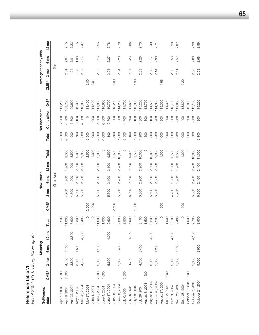| Fiscal 2004-05 Treasury Bill Program |                  |        |                 |                 |         |                  |        |                 |                 |         |                  |               |                 |                  |                 |                       |                 |
|--------------------------------------|------------------|--------|-----------------|-----------------|---------|------------------|--------|-----------------|-----------------|---------|------------------|---------------|-----------------|------------------|-----------------|-----------------------|-----------------|
| Settlement                           |                  |        | Maturing        |                 |         |                  |        | New issues      |                 |         |                  | Net increment |                 |                  |                 | Average tender yields |                 |
| date                                 | CMB <sup>1</sup> | ξ<br>က | 6 <sub>mo</sub> | $12 \text{ mo}$ | Total   | CMB <sup>1</sup> | ξ<br>ო | 6 <sub>mo</sub> | $12 \text{ mo}$ | Total   | Total            | Cumulative    | OS <sup>2</sup> | CMB <sup>1</sup> | 3 <sub>mo</sub> | 6 mo                  | $12 \text{ mo}$ |
|                                      |                  |        |                 |                 |         |                  |        | (\$ millions)   |                 |         |                  |               |                 |                  | (%)             |                       |                 |
| April 1, 2004                        | 2,200            |        |                 |                 | 2,200   |                  |        |                 |                 | $\circ$ | $-2,200$         | 2,200         | 11,200          |                  |                 |                       |                 |
| April 8, 2004                        | 2,500            | 4,400  | 4,100           |                 | 11,000  |                  | 4,700  | 006             | 1,900           | 8,500   | $-2,500$         | $-4,700$      | 108,700         |                  | 2.01            | 2.04                  | 2.15            |
| April 22, 2004                       |                  | 3,800  |                 | 3,800           | 7,600   |                  | 4,700  | 1,900           | 1,900           | 8,500   | 900              | $-3,800$      | 09,600          |                  | 1.94            | 2.01                  | 2.23            |
| May 6, 2004                          |                  | 3,800  | 4,500           |                 | 8,300   |                  | 5,000  | 2,000           | 2,000           | 9,000   | 700              | $-3,100$      | 10,300          |                  | 1.93            | 1.98                  | 2.15            |
| Vlay 20, 2004                        |                  | 4,400  |                 | 4,000           | 8,400   |                  | 5,000  | 2,000           | 2,000           | 9,000   | 600              | $-2,500$      | 10,900          |                  | 2.02            | 2.14                  | 2.47            |
| May 27, 2004                         |                  |        |                 |                 |         | 2,500            |        |                 |                 | 2,500   | 2,500            | $\circ$       | 13,400          | 2.00             |                 |                       |                 |
| June 1, 2004                         |                  |        |                 |                 | $\circ$ | 1,000            |        |                 |                 | 1,000   | 1,000            | 1,000         | 14,400          | 2.01             |                 |                       |                 |
| June 3, 2004                         | 2,500            | 5,000  | 4,100           |                 | 11,600  |                  | 5,000  | 2,000           | 2,000           | 9,000   | $-2,600$         | $-1,600$      | 11,800          |                  | 2.02            | 2.15                  | 2.55            |
| June 4, 2004                         | 1,000            |        |                 |                 | 1,000   |                  |        |                 |                 | $\circ$ | $-1,000$         | $-2,600$      | 110,800         |                  |                 |                       |                 |
| June 17, 2004                        |                  | 5,600  |                 | 4,000           | 9,600   |                  | 5,300  | 2,100           | 2,100           | 9,500   | $-100$           | $-2,700$      | 10,700          |                  | 2.05            | 2.27                  | 2.78            |
| June 28, 2004                        |                  |        |                 |                 | $\circ$ | 2,500            |        |                 |                 | 2,500   | 2,500            | $-200$        | 13,200          | 1.99             |                 |                       |                 |
| June 30, 2004                        |                  | 5,600  | 3,400           |                 | 9,000   |                  | 5,600  | 2,200           | 2,200           | 10,000  | 1,000            | 800           | 114,200         |                  | 2.04            | 2.20                  | 2.70            |
| July 6, 2004                         | 2,500            |        |                 |                 | 2,500   |                  |        |                 |                 | $\circ$ | $-2,500$         | $-1,700$      | 111,700         |                  |                 |                       |                 |
| July 15, 2004                        |                  | 4,700  |                 | 4,200           | 8,900   |                  | 5,000  | 2,000           | 2,000           | 9,000   | $\overline{100}$ | $-1,600$      | 11,800          |                  | 2.04            | 2.23                  | 2.65            |
| July 28, 2004                        |                  |        |                 |                 | $\circ$ | 1,500            |        |                 |                 | 1,500   | 1,500            | $-100$        | 13,300          | 1.99             |                 |                       |                 |
| July 29, 2004                        |                  | 4,700  | 3,400           |                 | 8,100   |                  | 5,600  | 2,200           | 2,200           | 10,000  | 1,900            | 1,800         | 15,200          |                  | 2.08            | 2.28                  | 2.73            |
| August 3, 2004                       | 1,500            |        |                 |                 | 1,500   |                  |        |                 |                 | $\circ$ | $-1,500$         | 300           | 13,700          |                  |                 |                       |                 |
| August 12, 2004                      |                  | 5,000  |                 | 4,200           | 9,200   |                  | 5,600  | 2,200           | 2,200           | 10,000  | 800              | 1,100         | 114,500         |                  | 2.03            | 2.17                  | 2.49            |
| August 26, 2004                      |                  | 5,000  | 4,200           |                 | 9,200   |                  | 5,000  | 2,000           | 2,000           | 9,000   | $-200$           | 900           | 14,300          |                  | 2.14            | 2.36                  | 2.71            |
| August 27, 2004                      |                  |        |                 |                 | $\circ$ | 1,000            |        |                 |                 | 1,000   | 1,000            | 1,900         | 115,300         | 1.98             |                 |                       |                 |
| Sept. 2, 2004                        | 1,000            |        |                 |                 | 1,000   |                  |        |                 |                 | $\circ$ | $-1,000$         | 900           | 14,300          |                  |                 |                       |                 |
| Sept. 9, 2004                        |                  | 5,000  |                 | 4,100           | 9,100   |                  | 4,700  | 1,900           | 1,900           | 8,500   | -600             | 300           | 13,700          |                  | 2.33            | 2.56                  | 2.93            |
| Sept. 23, 2004                       |                  | 5,300  | 4,100           |                 | 9,400   |                  | 4,700  | 1,900           | 006             | 8,500   | $-900$           | -600          | 12,800          |                  | 2.41            | 2.57                  | 2.87            |
| Sept. 28, 2004                       |                  |        |                 |                 | $\circ$ | 1,000            |        |                 |                 | 1,000   | 1,000            | 400           | 113,800         | 2.20             |                 |                       |                 |
| October 1, 2004 1,000                |                  |        |                 |                 | 1,000   |                  |        |                 |                 | $\circ$ | $-1,000$         | -600          | 12,800          |                  |                 |                       |                 |
| October 7, 2004                      |                  | 5,600  |                 | 4,100           | 9,700   |                  | 5,600  | 2,200           | 2,200           | 10,000  | 300              | $-300$        | 113,100         |                  | 2.50            | 2.66                  | 2.96            |
| October 21, 2004                     |                  | 5,000  | 3,900           |                 | 8,900   |                  | 6,200  | 2,400           | 2,400           | 11,000  | 2,100            | 1,800         | 115,200         |                  | 2.58            | 2.68                  | 2.89            |

Reference Table VI

Reference Table VI

**65**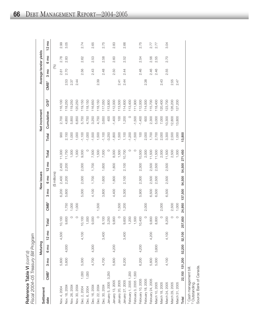Reference Table VI (cont'd)<br>Fiscal 2004-05 Treasury Bill Program *Fiscal 2004–05 Treasury Bill Program* Reference Table VI *(cont'd)*

| Settlement             |                  |                | Maturing        |                 |         |                  |                | New issues    |                 |         |          | Net increment |                 |                  |                | Average tender yields |                 |
|------------------------|------------------|----------------|-----------------|-----------------|---------|------------------|----------------|---------------|-----------------|---------|----------|---------------|-----------------|------------------|----------------|-----------------------|-----------------|
| date                   | CMB <sup>1</sup> | $3 \text{ mo}$ | 6 <sub>mo</sub> | $12 \text{ mo}$ | Total   | CMB <sup>1</sup> | $3 \text{ mo}$ | 6 mo          | $12 \text{ mo}$ | Total   | Total    | Cumulative    | OS <sup>2</sup> | CMB <sup>1</sup> | $3 \text{ mo}$ | 6 mo                  | $12 \text{ mo}$ |
|                        |                  |                |                 |                 |         |                  |                | (\$ millions) |                 |         |          |               |                 |                  | (%)            |                       |                 |
| Nov. 4, 2004           |                  | 5,600          |                 | 4,500           | 10,100  |                  | 6,200          | 2,400         | 2,400           | 11,000  | 900      | 2,700         | 16,100          |                  | 2.61           | 2.78                  | 2.99            |
| Nov. 18, 2004          |                  | 5,600          | 4,000           |                 | 9,600   | 1,750            | 5,600          | 2,200         | 2,200           | 11,750  | 2,150    | 4,850         | 18,250          | 2.53             | 2.70           | 2.83                  | 3.05            |
| Nov. 26, 2004          |                  |                |                 |                 | O       | 1,000            |                |               |                 | 1,000   | 1,000    | 5,850         | 19,250          | 2.37             |                |                       |                 |
| Nov. 30, 2004          |                  |                |                 |                 | $\circ$ | 1,000            |                |               |                 | 1,000   | 1,000    | 6,850         | 120,250         | 2.44             |                |                       |                 |
| Dec. 2, 2004           | 1,000            | 5,000          |                 | 4,100           | 10,100  |                  | 5,000          | 2,000         | 2,000           | 9,000   | $-1,100$ | 5,750         | 119,150         |                  | 2.56           | 2.62                  | 2.74            |
| Dec. 6, 2004           | 1,000            |                |                 |                 | 1,000   |                  |                |               |                 | $\circ$ | $-1,000$ | 4,750         | 18,150          |                  |                |                       |                 |
| Dec. 16, 2004          |                  | 4,700          | 4,300           |                 | 9,000   |                  | 4,100          | 1,700         | 1,700           | 7,500   | $-1,500$ | 3,250         | 116,650         |                  | 2.43           | 2.53                  | 2.65            |
| Dec. 22, 2004          |                  |                |                 |                 | $\circ$ | 1,500            |                |               |                 | 1,500   | 1,500    | 4,750         | 118,150         | 2.39             |                |                       |                 |
| Dec. 30, 2004          |                  | 4,700          |                 | 3,400           | 8,100   |                  | 3,800          | 1,600         | 1,600           | 7,000   | $-1,100$ | 3,650         | 17,050          |                  | 2.48           | 2.58                  | 2.75            |
| January 5, 2005 3,250  |                  |                |                 |                 | 3,250   |                  |                |               |                 | $\circ$ | $-3,250$ | 400           | 13,800          |                  |                |                       |                 |
| January 13, 2005       |                  | 5,600          | 4,200           |                 | 9,800   |                  | 4,400          | 1,800         | 1,800           | 8,000   | $-1,800$ | $-1,400$      | 112,000         |                  | 2.50           | 2.60                  | 2.83            |
| January 20, 2005       |                  |                |                 |                 | $\circ$ | 1,500            |                |               |                 | 1,500   | 1,500    | 100           | 113,500         | 2.41             |                |                       |                 |
| January 27, 2005       |                  | 6,200          |                 | 3,400           | 9,600   | 1,200            | 5,300          | 2,100         | 2,100           | 10,700  | 1,100    | 1,200         | 114,600         | 2.44             | 2.44           | 2.52                  | 2.66            |
| February 1, 2005 1,200 |                  |                |                 |                 | 1,200   |                  |                |               |                 | $\circ$ | $-1,200$ | $\circ$       | 113,400         |                  |                |                       |                 |
| February 3, 2005 1,500 |                  |                |                 |                 | 1,500   |                  |                |               |                 | $\circ$ | $-1,500$ | $-1,500$      | 11,900          |                  |                |                       |                 |
| February 10, 2005      |                  | 6,200          | 4,200           |                 | 10,400  |                  | 5,900          | 2,300         | 2,300           | 10,500  | 100      | $-1,400$      | 112,000         |                  | 2.46           | 2.54                  | 2.75            |
| February 18, 2005      |                  |                |                 |                 | $\circ$ | 2,000            |                |               |                 | 2,000   | 2,000    | 600           | 114,000         | 2.38             |                |                       |                 |
| February 24, 2005      |                  | 5,600          |                 | 4,200           | 9,800   |                  | 6,500          | 2,500         | 2,500           | 11,500  | 1,700    | 2,300         | 115,700         |                  | 2.46           | 2.56                  | 2.77            |
| March 10, 2005         |                  | 5,000          | 3,800           |                 | 8,800   |                  | 6,500          | 2,500         | 2,500           | 11,500  | 2,700    | 5,000         | 18,400          |                  | 2.46           | 2.55                  | 2.77            |
| March 18, 2005         |                  |                |                 |                 | $\circ$ | 2,000            |                |               |                 | 2,000   | 2,000    | 7,000         | 20,400          | 2.43             |                |                       |                 |
| March 24, 2005         |                  | 4,100          |                 | 4,100           | 8,200   |                  | 6,500          | 2,500         | 2,500           | 11,500  | 3,300    | 0,300         | 23,700          |                  | 2.55           | 2.70                  | 3.04            |
| March 29, 2005         |                  |                |                 |                 | $\circ$ | 2,500            |                |               |                 | 2,500   | 2,500    | 12,800        | 126,200         | 2.55             |                |                       |                 |
| March 31, 2005         |                  |                |                 |                 | $\circ$ | 1,000            |                |               |                 | 1,000   | 1,000    | 13,800        | 127,200         | 2.47             |                |                       |                 |
| Total                  | 22,150 131,200   |                | 52,200          | 52,100          | 57,650  | 24,950           | 137,500        | 54,500        | 54,500          | 271,450 | 13,800   |               |                 |                  |                |                       |                 |

Cash management bill.

 $\sim$ Outstanding.

Source: Bank of Canada.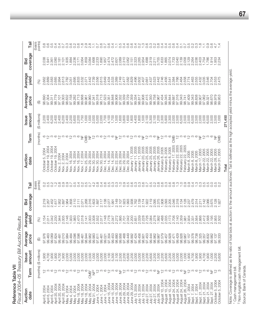**Reference Table VII**<br>Fiscal 2004-05 Treasury Bill Auction Results *Fiscal 2004–05 Treasury Bill Auction Results* Reference Table VII

| Tail                   | points)<br>(basis | $0.\overline{8}$ | 0.6                     | 0.5<br>4                                                                    | 4                                |                            | က္               | Q U              |                                | $\circ$                       | œ                                       | o o<br>N N                   |                                    |                  | 0.7                                                |                         | $\circ$                 |                                |                                 |                              | $\circ$                                         | 0                                                                       | 0.2              |                    |                  |                         | sando<br>10000                                                                                                                                                                                                                                                                                                |                  | $\overline{0.4}$              | $\sim 4$         | $\frac{5}{2}$                         | $\overline{0}$       |                                                                          |                                        | $\frac{7}{0}$   | $\frac{2}{0}$ .         |                |                      | 0.9                                                |                |                 |                    |         |
|------------------------|-------------------|------------------|-------------------------|-----------------------------------------------------------------------------|----------------------------------|----------------------------|------------------|------------------|--------------------------------|-------------------------------|-----------------------------------------|------------------------------|------------------------------------|------------------|----------------------------------------------------|-------------------------|-------------------------|--------------------------------|---------------------------------|------------------------------|-------------------------------------------------|-------------------------------------------------------------------------|------------------|--------------------|------------------|-------------------------|---------------------------------------------------------------------------------------------------------------------------------------------------------------------------------------------------------------------------------------------------------------------------------------------------------------|------------------|-------------------------------|------------------|---------------------------------------|----------------------|--------------------------------------------------------------------------|----------------------------------------|-----------------|-------------------------|----------------|----------------------|----------------------------------------------------|----------------|-----------------|--------------------|---------|
| coverage<br>Bid        |                   | 2.038            | 1.941<br>2.361          | 2.080                                                                       | 2.181                            | 2.101                      | 1.935            | 1.884<br>2.236   |                                | 2.171                         | 3.064                                   | 1.859<br>3.084               | 1.668                              | 2.233            | 1.890<br>1.957<br>1.9574                           |                         |                         |                                | 2472<br>2.601<br>2.089<br>2.310 |                              | 2.062                                           | 2.151                                                                   | 2.323            |                    | 2.954            | 1.688                   | 2.319<br>2.211<br>3.755                                                                                                                                                                                                                                                                                       |                  | 1.633<br>1.865<br>2.074       |                  |                                       | 1.733<br>2.040       | 2.139                                                                    | 2.058                                  | 2.129           | 2.264                   | 2.036          | 2.403                | 1.754<br>1.786                                     | 1.914          | 1.953           | 2.234              |         |
| Average<br>yield       | (%)               |                  | 2.662<br>2.889          | 2.583<br>2.685                                                              | 2.994                            | 2.613                      | 2.782            | 3.051            | 2.695                          | 2.833                         | 2.532                                   | 2.371<br>2.442               |                                    | 2.739            | 2.615                                              | 2.649                   | 2.434<br>2.533<br>2.389 |                                | 2.749                           |                              | 2.477<br>2.582<br>2.829                         |                                                                         | 2.496<br>2.602   |                    |                  |                         | $\begin{array}{l} 7240 \\ 7400 \\ 7400 \\ 7400 \\ 7400 \\ 7400 \\ 7400 \\ 7400 \\ 7400 \\ 7400 \\ 7400 \\ 7400 \\ 7400 \\ 7400 \\ 7400 \\ 7400 \\ 7400 \\ 7400 \\ 7400 \\ 7400 \\ 7400 \\ 7400 \\ 7400 \\ 7400 \\ 7400 \\ 7400 \\ 7400 \\ 7400 \\ 7400 \\ 7400 \\ 7400 \\ 7400 \\ 7400 \\ 7400 \\ 7400 \\ 74$ |                  | 2.746<br>2.456                |                  | 2.541<br>2.384                        | 2.766                | 2.464                                                                    |                                        | 2.558<br>2.774  | 2.463<br>2.555          |                | 2.432                | 3.035<br>2.546                                     | 2.704          | 2.553           |                    |         |
| Average<br>price       | $\bigoplus$       | 98.690           | 97.304                  | 98.779<br>99.311                                                            | 97.101                           | 99.303                     | 98.632           | 97.158           | 99.282                         | 98.713                        | 99.668<br>99.961                        | 99.960                       | 97.341                             | 99.318           | 98.713                                             | 97.523                  | 99.351                  | 98.848                         | 99.908<br>97.332                | 99.339                       | 98.729                                          | 97.359                                                                  | 99.334           | 98.817             | 99.908           | 97.415                  | 99.350<br>98.758                                                                                                                                                                                                                                                                                              | 99.967           | 97.434<br>99.345              |                  | 98.844                                | 97.316<br>99.687     | 99.343                                                                   | 98.741                                 | 97.409          | 99.343                  | 98.838         | 99.907               | 97.062<br>99.321                                   | 98.670         | 99.979          | 99.953             |         |
| amount<br><b>Issue</b> | (\$ millions)     |                  | 2,200<br>2,400<br>6,200 |                                                                             | 2,400<br>2,400                   |                            |                  |                  |                                | 2,200                         | 1,750<br>1,000                          | 1,000                        | 2,000                              | 5,000            | 2,000                                              | 1,700                   | 4,100                   | 1,700                          | 1,500<br>1,600                  | 3,800                        | 1,600                                           | 1,800                                                                   | 4,400            | 1,800              | 1,500            | 2,100<br>5,300          |                                                                                                                                                                                                                                                                                                               | 2,100<br>1,200   | 2,300<br>5,900                |                  | 2,300<br>2,000                        | 2,500                | 6,500                                                                    |                                        |                 | 2,500<br>2,500<br>6,500 | 2,500          | 2,000                | 2,500<br>6,500                                     |                | 2,500<br>2,500  | 1,000              | 271,450 |
| Term                   | (months)          |                  | ဖ ပ္ က                  |                                                                             |                                  |                            |                  |                  |                                |                               | ž<br>CMB                                | 눙                            | $\frac{2}{3}$                      |                  |                                                    |                         |                         |                                | $\frac{1}{2}$<br>눙              |                              |                                                 | $\frac{\mathsf{\scriptscriptstyle{N}}}{\mathsf{\scriptscriptstyle{T}}}$ | က                |                    | ₹                | $\frac{1}{2}$           |                                                                                                                                                                                                                                                                                                               | ž                | $\frac{1}{2}$                 |                  |                                       | CMB<br>$\frac{1}{2}$ |                                                                          |                                        |                 |                         |                |                      |                                                    |                | ž               | CMB                |         |
| Auction<br>date        |                   |                  |                         | October 5, 2004<br>October 19, 2004<br>October 19, 2004<br>October 19, 2004 | Nov. 2, 2004                     | 2, 2004<br>2, 2004<br>Nov. | Nov.             | 16, 2004<br>Nov. | 2004<br>$\overline{6}$<br>Nov. | 2004<br>$\frac{6}{1}$<br>Nov. | 2004<br>25, 2004<br>17,<br>Nov.<br>Nov. | 2004<br>29,<br>Nov.          | 2004<br>30,<br>Nov.                | 30, 2004<br>Nov. | 30, 2004<br>Nov.                                   | 14, 2004<br>Dec.        | 14, 2004<br>Dec.        | 14, 2004<br>Dec.               | 22, 2004<br>Dec.<br>Dec.        | 29, 2004<br>29, 2004<br>Dec. | Dec. 29, 2004                                   | January 11, 2005                                                        | January 11, 2005 | 11,2005<br>January | January 20, 2005 | January 25, 2005        | January 25, 2005<br>January 25, 2005                                                                                                                                                                                                                                                                          | January 26, 2005 | February 8, 2005              | February 8, 2005 | February 8, 2005<br>February 17, 2005 | February 22, 2005    |                                                                          | February 22, 2005<br>February 22, 2005 | March 8, 2005   | March 8, 2005           | Vlarch 8, 2005 | Vlarch 17, 2005      | Vlarch 22, 2005<br>Vlarch 22, 2005                 | March 22, 2005 | March 28, 2005  | 31,2005<br>March:  | Total   |
| Tail                   | points)<br>(basis | $0.\overline{2}$ | $0.\overline{5}$        | 0.2<br>$\frac{1}{1}$                                                        | $0.\overline{8}$                 | $0.\overline{0}$           | $0.\overline{0}$ | $\overline{O}$   | 0.5                            | 0.4                           | $0.\overline{2}$<br>$\frac{5}{2}$       |                              | 4                                  | ∞<br>○           | 0.4                                                | 0.6                     | $\circ$                 | $0.\overline{3}$               | $\frac{3}{2}$                   | $0.\overline{0}$             | $\frac{5}{2}$                                   | 0.6                                                                     | $\frac{3}{2}$    |                    |                  |                         | s cococo                                                                                                                                                                                                                                                                                                      |                  | 0.6                           | $0.\overline{3}$ | 0.8                                   | $\frac{3}{1}$        | $\frac{0}{1}$                                                            |                                        | 0.9             | 0.4                     | $\frac{3}{1}$  | $0.\overline{3}$     | 5<br>0.5<br>0.0                                    |                |                 |                    |         |
| coverage<br>Bid        |                   | 219              | 2.267                   | 2.452<br>1.617                                                              | 1.952                            | 1.897                      | 1.964            | 1.858            | 2.110                          | 2.111                         | 2.268<br>2.071                          | 2.316                        | 1.603                              | 1.897            | 2.117                                              | 2.138                   | 2.077                   | 1.991                          | 2.149<br>2.107                  | 1.923                        | 1.993                                           | 1.938                                                                   | 1.762            | 2.139              | 2.174            | 1.922<br>2.119          | 2.095                                                                                                                                                                                                                                                                                                         | 2.375            | 1.908                         | 2.093            | 2.205                                 | 2.318<br>2.046       | 2.134                                                                    | 2.128                                  | 2.237           | 2.479                   | 2.314          | 2.211                | 2.142<br>2.066                                     | 3.675          | 2.128           | .927               |         |
| Average<br>yield       | (%)               | 2.154            | 2.011                   | 2.042<br>2.230                                                              | 1.944                            | 2.005                      | 2.146            | 1.933            | 1.983<br>2.470                 |                               | 2.018<br>2.141                          | 2.003                        | 2.008                              | 2.552            | 2.017                                              | 2.148                   | 2.778                   | 2.047<br>2.272                 | 1.995                           | 2.701                        | 2.042                                           | 2.200                                                                   | 2.651            | 2.039              | 2.228            | 2.726                   | 2.278                                                                                                                                                                                                                                                                                                         | 1.992            | 2.488                         | 2.035            | 2.173                                 | 2.140<br>2.706       | 2.359                                                                    | 1.981                                  | 2.934           | 2.331                   | 2.564          | 2.866                | 2.412<br>2.568                                     | 2.195          | 2.955           | 502                |         |
| Average<br>price       | $\bigoplus$       | 97.976           | 99.463                  | 99.069                                                                      | 97.824<br>99.481                 | 99.010                     | 97.984           | 99.484           | 99.096                         | 97.596                        | 98.944<br>99.461                        | 99.962                       | 99.983                             | 97.611<br>99.461 |                                                    | 99.021                  | 97.304                  | 99.453                         | 98.880<br>99.956                | 97.468                       | 99.449                                          | 98.992                                                                  | 97.424<br>99.456 |                    | 98.901           | 97.453<br>99.444        | 98.962                                                                                                                                                                                                                                                                                                        | 99.967           | 97.579                        | 99.457           | 98.928                                | 99.429<br>97.471     | 98.926                                                                   | 99.967                                 | 97.157          | 99.378                  | 98.738         | 97.325               | 98.832<br>99.357                                   | 99.982         | 97.137          | 99.333             |         |
| amount<br><b>Issue</b> | (\$ millions)     | 1,900            | 4,700<br>1,900          | 1,900                                                                       | 4,700                            | $\frac{1,900}{2,000}$      |                  | 5,000            | 2,000                          | 2,000                         | 5,000<br>2,000                          |                              | $2,00000$<br>$2,00000$<br>$0,0000$ |                  |                                                    | 2,000<br>2,100<br>5,300 |                         |                                |                                 |                              | 100000<br>20000<br>2000                         | 2,200<br>2,000                                                          |                  | 5,000              |                  | 2,000<br>2,200<br>5,600 |                                                                                                                                                                                                                                                                                                               |                  | 20000<br>2000<br>2000<br>2000 |                  | 2,200                                 | 2,000<br>5,000       | 2,000                                                                    | 1,000                                  | 1,900           | 4,700                   | 1,900          | 1,900                | 4,700<br>1,900                                     | 1,000          | 200             | 600                |         |
| Term                   | (months)          |                  | $\frac{\alpha}{\pi}$ က  | $\circ$                                                                     | $\frac{\alpha}{\sigma}$          |                            |                  |                  |                                |                               | $\circ$                                 | CMB <sup>1</sup>             | $\overline{\mathsf{L}}$            | $\frac{1}{2}$    | က                                                  | ပ                       | $\sim$                  |                                | ⊙<br>兰                          | $\frac{1}{2}$                |                                                 | ဖ                                                                       | $\frac{1}{2}$    |                    | ⊙                |                         | $\stackrel{\triangle}{\sim}$ $\stackrel{\triangle}{\sim}$ $\stackrel{\triangle}{\sim}$                                                                                                                                                                                                                        |                  | $\frac{\infty}{\infty}$ က     |                  | $\frac{6}{1}$                         |                      | က ထ                                                                      | 兰                                      | $\frac{1}{2}$ က |                         | $\circ$        | $\frac{1}{\sqrt{2}}$ | က ထ                                                |                | ≽ ≌             |                    |         |
| Auction<br>date        |                   | 2004<br>April 6, | April 6, 2004           | April 6, 2004                                                               | April 20, 2004<br>April 20, 2004 | April 20, 2004             | Vlay 4, 2004     | Vlay 4, 2004     | Vlay 4, 2004                   | Vlay 18, 2004                 | Vlay 18, 2004                           | May 18, 2004<br>May 26, 2004 | Vlay 31, 2004                      | June 1, 2004     | June 1, 2004<br>June 1, 2004<br>June 15, 2004<br>. |                         |                         | June 15, 2004<br>June 15, 2004 |                                 |                              | June 28, 2004<br>June 29, 2004<br>June 29, 2004 | June 29, 2004                                                           | July 13, 2004    | uly 13, 2004       | July 13, 2004    | luly 27, 2004           | July 27, 2004<br>July 27, 2004                                                                                                                                                                                                                                                                                | July 28, 2004    | August 10, 2004               | August 10, 2004  | August 10, 2004                       |                      | August 24, 2004<br>August 24, 2004<br>August 24, 2004<br>August 26, 2004 |                                        | Sept. 7, 2004   | Sept. 7, 2004           | Sept. 7, 2004  | Sept. 21, 2004       | Sept. 21, 2004<br>Sept. 21, 2004<br>Sept. 27, 2004 |                | October 5, 2004 | 2004<br>October 5, |         |

Note: Coverage is defined as the ratio of total bids at auction to the amount auctioned. Tail is defined as the high accepted yield minus the average yield.

 $\sim$ 

Cash management bill.

Non-fungible cash management bill.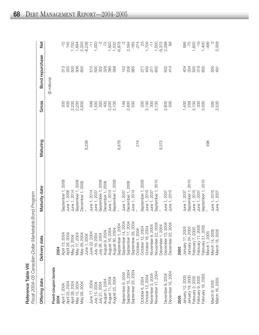|              | ĭ                        |
|--------------|--------------------------|
|              |                          |
|              |                          |
|              |                          |
|              |                          |
|              |                          |
| ۰            |                          |
| i<br>ä       |                          |
| j<br>b       |                          |
|              | $\overline{\phantom{a}}$ |
| ú            |                          |
|              | ا<br>ا                   |
|              |                          |
|              |                          |
| :<br>ام<br>ا |                          |
|              |                          |
| ì            |                          |
|              | .<br>^<br>^              |
| i            |                          |
| i<br>C       |                          |

 $\mathbf{\alpha}$ 

*Fis c al 2 0 0 4 – 0 5 C a n a dia n-D ollar Marketa ble B o n d Pro gra*

*m*

| Offering date                        | Delivery date                                                                                                             | Maturity date                | Maturing | Gross        | Bond repurchase      | Net               |
|--------------------------------------|---------------------------------------------------------------------------------------------------------------------------|------------------------------|----------|--------------|----------------------|-------------------|
|                                      |                                                                                                                           |                              |          |              | (\$ millions)        |                   |
| Fixed-coupon bonds<br>2004           | 2004                                                                                                                      |                              |          |              |                      |                   |
| April 7, 2004                        | April 13, 2004                                                                                                            | September 1, 2009            |          | 300          | 312                  | $-12$             |
| April 22, 2004                       | April 26, 2004                                                                                                            | June 1, 2006                 |          | 400          | 255                  | 145               |
| April 28, 2004                       | May 3, 2004                                                                                                               | June 1, 2014                 |          | 2,200        | 500                  | 1,700             |
| May 12, 2004                         | May 17, 2004                                                                                                              | September 1, 2009            |          | 2,200        | 506                  | 1,694             |
| May 26, 2004                         | May 28, 2004                                                                                                              | December 1, 2006             |          | 2,800        | 600                  | 2,200             |
|                                      | June 1, 2004                                                                                                              |                              | 8,238    |              |                      | $-8,238$          |
| June 17, 2004                        | June 22, 2004                                                                                                             | June 1, 2014                 |          | 499          | 510                  | $\frac{1}{1}$     |
| July 14, 2004                        | July 19, 2004                                                                                                             | June 1, 2037                 |          | 1,500        | 500                  | 1,000             |
| July 21, 2004                        | July 26, 2004                                                                                                             | September 1, 2009            |          | 300          |                      |                   |
| August 5, 2004                       | August 9, 2004                                                                                                            | December 1, 2006             |          | 400          | 308<br>388<br>380    | $\overline{z}$    |
| August 11, 2004                      |                                                                                                                           | June 1, 2014                 |          | 2,200        |                      |                   |
| August 25, 2004                      |                                                                                                                           | September 1, 2009            |          | 2,100        | 568                  | 1,820<br>1,532    |
|                                      |                                                                                                                           |                              | 6,878    |              |                      | $-6,878$          |
| September 9, 2004                    |                                                                                                                           | June 1, 2037                 |          | 149          | 152                  |                   |
| September 15, 2004                   | August 16, 2004<br>August 30, 2004<br>September 1, 2004<br>September 14, 2004<br>September 17, 2004<br>September 28, 2004 | December 1, 2006             |          | 2,800        |                      | 2,594             |
| September 23, 2004                   |                                                                                                                           | June 1, 2014                 |          | 500          | <b>2065</b>          | $-165$            |
|                                      |                                                                                                                           |                              | 274      |              |                      | $-274$            |
| October 6, 2004                      |                                                                                                                           | September 1, 2009            |          | 300          |                      | 23                |
| October 13, 2004                     | October 1, 2004<br>October 12, 2004<br>October 18, 2004<br>November 8, 2004<br>November 22, 2004<br>November 1, 2004      |                              |          |              | 11<br>20<br>27<br>27 | 1,700             |
| November 3, 2004                     |                                                                                                                           | June 1, 2015<br>June 1, 2037 |          | 2,100<br>300 |                      | $\frac{1}{1}$     |
| November 17, 2004                    |                                                                                                                           | September 1, 2010            |          | 2,100        | 600                  | 1,500             |
|                                      |                                                                                                                           |                              | 9,372    |              |                      |                   |
| December 8, 2004                     | December 10, 2004                                                                                                         | June 1, 2007                 |          | 2,800        |                      | $-9,372$<br>2,298 |
| December 15, 2004                    | December 20, 2004                                                                                                         | June 1, 2015                 |          | 500          | 502<br>414           | 86                |
| 2005                                 | 2005                                                                                                                      |                              |          |              |                      |                   |
| January 12, 2005                     |                                                                                                                           | June 1, 2037                 |          | 1,400        | 404                  | 996               |
| January 19, 2005                     | January 17, 2005<br>January 24, 2005<br>February 7, 2005<br>February 11, 2005<br>February 21, 2005                        | September 1, 2010            |          | 259          | 334                  | $-75$             |
|                                      |                                                                                                                           | June 1, 2015                 |          | 2,100        |                      | 1,600             |
| February 2, 2005<br>February 9, 2005 |                                                                                                                           | June 1, 2007                 |          | 300          |                      | $-19$             |
| February 16, 2005                    |                                                                                                                           | September 1, 2010            |          | 2,000        | 888<br>888           | 1,400             |
|                                      | March 1, 2005                                                                                                             |                              | 496      |              |                      | $-496$            |
| March 9, 2005                        | March 14, 2005                                                                                                            | June 1, 2015                 |          | 500          | 500<br>491           | $\circ$           |
| March 16, 2005                       | March 18, 2005                                                                                                            | June 1, 2007                 |          | 2,500        |                      | 2,009             |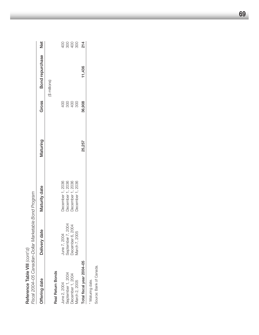| Fiscal 2004–05 Canadian-Dollar Marketable Bond Program<br>Reference Table VIII $\langle \text{C}$ ont' $\text{d}$ ) |                   |                                      |          |        |                 |              |
|---------------------------------------------------------------------------------------------------------------------|-------------------|--------------------------------------|----------|--------|-----------------|--------------|
| Offering date                                                                                                       | Delivery date     | Maturity date                        | Maturing | Gross  | Bond repurchase | Net          |
|                                                                                                                     |                   |                                      |          |        | (\$ millions)   |              |
| Real Return Bonds                                                                                                   |                   |                                      |          |        |                 |              |
| June 2, 2004                                                                                                        | June 7, 2004      | December 1, 2036                     |          |        |                 |              |
| September 1, 2004                                                                                                   | September 7, 2004 |                                      |          |        |                 |              |
| December 1, 2004                                                                                                    | December 6, 2004  | December 1, 2036<br>December 1, 2036 |          | 28888  |                 | 8888<br>8888 |
| March 2, 2005                                                                                                       | March 7, 2005     | December 1, 2036                     |          |        |                 |              |
| Total fiscal year 2004-05                                                                                           |                   |                                      | 25,257   | 36,908 | 11,436          | 214          |
| * Maturing date.                                                                                                    |                   |                                      |          |        |                 |              |
| Source: Bank of Canada.                                                                                             |                   |                                      |          |        |                 |              |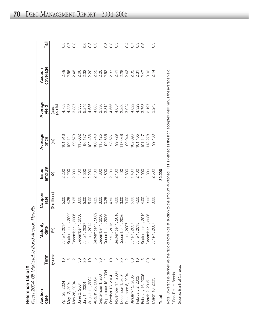|                          | )<br>)<br>Ş<br>ĺ<br>م<br>م<br>: המה ה<br>ۯ<br>: |
|--------------------------|-------------------------------------------------|
| $\overline{\phantom{a}}$ | <b>ANGIBUE BOOK</b>                             |
| ċ                        | `u⊂<br>ś<br>Z<br>COO<br>・ゝ)り<br>こくこ<br>)<br>)   |

| Auction<br>date    | Term            | Maturity<br>date                                                                                                                                                                                                                                         | Coupon<br>rate                                                         | Issue<br>amount         | Average<br>price                                             | Average<br>yield <sup>'</sup> | coverage<br>Auction | Tail                    |
|--------------------|-----------------|----------------------------------------------------------------------------------------------------------------------------------------------------------------------------------------------------------------------------------------------------------|------------------------------------------------------------------------|-------------------------|--------------------------------------------------------------|-------------------------------|---------------------|-------------------------|
|                    | (years)         | (%)                                                                                                                                                                                                                                                      | (\$ millions)                                                          | ⊕                       | (%)                                                          | (basis<br>points)             |                     |                         |
| April 28, 2004     |                 |                                                                                                                                                                                                                                                          |                                                                        |                         | 01.916                                                       |                               |                     |                         |
| Vlay 12, 2004      |                 |                                                                                                                                                                                                                                                          | 5.00<br>4.25                                                           |                         | 100.121                                                      |                               | 2.49<br>2.56        | 0.7                     |
| May 26, 2004       |                 | June 1, 2014<br>September 1, 2009<br>December 1, 2006<br>December 1, 2037<br>June 1, 2037<br>June 1, 2014<br>September 1, 2006<br>December 1, 2015<br>June 1, 2015<br>September 1, 2010<br>December 1, 2010<br>June 1, 2007<br>June 1, 2007<br>June 1, 2 |                                                                        | 2,200<br>2,200<br>2,800 | 99.673                                                       |                               |                     | $\tilde{C}$             |
| June 2, 2004       | 80              |                                                                                                                                                                                                                                                          |                                                                        |                         | 15.082                                                       |                               |                     |                         |
| July 14, 2004      | 80              |                                                                                                                                                                                                                                                          |                                                                        |                         |                                                              |                               |                     | $0.\overline{6}$        |
| August 11, 2004    | 000             |                                                                                                                                                                                                                                                          |                                                                        |                         |                                                              |                               |                     | <u>ო</u>                |
| August 25, 2004    |                 |                                                                                                                                                                                                                                                          |                                                                        |                         |                                                              |                               |                     | C.O                     |
| September 1, 2004  | 80              |                                                                                                                                                                                                                                                          |                                                                        |                         |                                                              |                               |                     |                         |
| September 15, 2004 | $\mathbb{C}$    |                                                                                                                                                                                                                                                          | ន្ត្រី<br>ខេត្តមាន មិន មិន មិន មិន មិន<br>ស្រី មិន មិន មិន មិន មិន មិន |                         | 96.187<br>102.436<br>100.740<br>115.125<br>98.6627<br>98.627 |                               |                     | C.C                     |
| October 13, 2004   | $\subseteq$     |                                                                                                                                                                                                                                                          |                                                                        |                         |                                                              |                               |                     | C.C                     |
| November 17, 2004  | 5               |                                                                                                                                                                                                                                                          |                                                                        |                         | 99.729                                                       |                               |                     | 0.5                     |
| December 1, 2004   | 80              |                                                                                                                                                                                                                                                          |                                                                        |                         | 117.038                                                      |                               |                     |                         |
| December 8, 2004   | $\mathbb{C}$    |                                                                                                                                                                                                                                                          |                                                                        |                         | 99.944                                                       |                               |                     |                         |
| January 12, 2005   | $\overline{30}$ |                                                                                                                                                                                                                                                          |                                                                        |                         | 102.896                                                      |                               |                     |                         |
| February 2, 2005   | $Q$ $\omega$    |                                                                                                                                                                                                                                                          |                                                                        |                         | 101.405                                                      |                               |                     | $0.\overline{0}$<br>0.3 |
| February 16, 2005  |                 |                                                                                                                                                                                                                                                          |                                                                        |                         | 101.147                                                      |                               |                     | 0.5                     |
| March 2, 2005      |                 | September 1, 2010<br>December 1, 2036<br>June 1, 2007                                                                                                                                                                                                    |                                                                        | 300                     | 118.278                                                      |                               |                     |                         |
| March 16, 2005     |                 |                                                                                                                                                                                                                                                          | 3.OO                                                                   | 2,500                   | 99.480                                                       |                               |                     | $0.\overline{3}$        |
| Total              |                 |                                                                                                                                                                                                                                                          |                                                                        | 32,200                  |                                                              |                               |                     |                         |

 $\vdash$ 

Note: Coverage is defined as the ratio of total bids at auction to the amount auctioned. Tail is defined as the high accepted yield minus the average yield. Note: Coverage is defined as the ratio of total bids at auction to the amount auctioned. Tail is defined as the high accepted yield minus the average yield. 1 Real Return Bonds. Real Return Bonds.

Source: Bank of Canada. Source: Bank of Canada.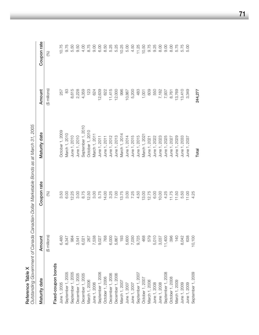| Reference Table X                                  |               | Outstanding Government of Canada Canadian-Dollar Marketable Bonds as at March 31, 2005 |                   |               |             |
|----------------------------------------------------|---------------|----------------------------------------------------------------------------------------|-------------------|---------------|-------------|
| Maturity date                                      | Amount        | Coupon rate                                                                            | Maturity date     | Amount        | Coupon rate |
|                                                    | (\$ millions) | $\mathcal{\mathcal{E}}$                                                                |                   | (\$ millions) | (%)         |
| Fixed-coupon bonds                                 |               |                                                                                        |                   |               |             |
| June 1, 2005                                       | 6,480         | 3.50                                                                                   | October 1, 2009   | 257           | 10.75       |
| September 1, 2005                                  | 8,347         | 6.00                                                                                   | March 1, 2010     | 83            | 9.75        |
| September 1, 2005                                  | 984           | 12.25                                                                                  | June 1, 2010      | 8,615         | 5.50        |
| December 1, 2005                                   | 3,541         | 3.00                                                                                   | June 1, 2010      | 2,228         | 9.50        |
| December 1, 2005                                   | 6,021         | 8.75                                                                                   | September 1, 2010 | 4,359         | 4.00        |
|                                                    | 267           | 12.50                                                                                  | October 1, 2010   | 123           | 8.75        |
|                                                    | 7,538         | 3.00                                                                                   | March 1, 2011     | 624           | 9.00        |
| March 1, 2006<br>June 1, 2006<br>September 1, 2006 | 9,027         | 5.75                                                                                   | June 1, 2011      | 12,639        | 6.00        |
| October 1, 2006                                    | 768           | 14.00                                                                                  | June 1, 2011      | 622           | 8.50        |
| December 1, 2006                                   | 6,000         | 3.25                                                                                   | June 1, 2012      | 11,415        | 5.25        |
| December 1, 2006                                   | 5,867         | 7.00                                                                                   | June 1, 2013      | 12,000        | 5.25        |
| March 1, 2007<br>June 1, 2007<br>June 1, 2007      | 193           | 13.75                                                                                  | March 1, 2014     | 996           | 10.25       |
|                                                    | 5,600         | 3.00                                                                                   | June 1, 2014      | 10,867        | 5.00        |
|                                                    | 7,030         | 7.25                                                                                   | June 1, 2015      | 5,200         | 4.50        |
| September 1, 2007                                  | 9,725         | 4.50                                                                                   | June 1, 2015      | 483           | 11.25       |
| October 1, 2007<br>March 1, 2008                   | 468           | 13.00                                                                                  | March 1, 2021     | 1,001         | 10.50       |
|                                                    | 579           | 12.75                                                                                  | June 1, 2021      | 609           | 9.75        |
| June 1, 2008<br>June 1, 2008<br>September 1, 2008  | 5,010         | 6.00                                                                                   | June 1, 2022      | 550           | 9.25        |
|                                                    | 3,037         | 10.00                                                                                  | June 1, 2023      | 7,182         | 8.00        |
|                                                    | 11,400        | 4.25                                                                                   | June 1, 2025      | 7,937         | 0.60        |
| October 1, 2008                                    | 396           | 11.75                                                                                  | June 1, 2027      | 8,761         | 8.00        |
| March 1, 2009<br>June 1, 2009                      | 140           | 11.50                                                                                  | 2029<br>June 1,   | 13,769        | 5.75        |
|                                                    | 8,042         | 5.50                                                                                   | June 1, 2033      | 13,410        | 5.75        |
| June 1, 2009                                       | 638           | 11.00                                                                                  | June 1, 2037      | 3,349         | 5.00        |
| September 1, 2009                                  | 10,100        | 4.25                                                                                   |                   |               |             |
|                                                    |               |                                                                                        | Total             | 244,277       |             |

**71**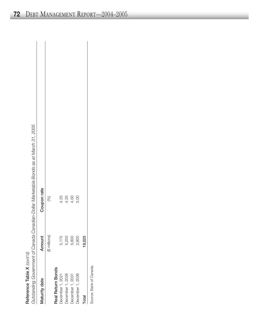| ĭ |
|---|
|   |
|   |
|   |
|   |

*Outsta n din g Govern m ent of C a n a da Ca n a dia n-D ollar Marketa ble Bon ds a s at Marc h 31, 2 005*

|                          |               | ראו או האינדי האינדי האינדי האינדי האינדי האינדי האינדי האינדי האינדי האינדי האינדי האינדי האינדי האינדי האינד<br>האינדי האינדי האינדי האינדי האינדי האינדי האינדי האינדי האינדי האינדי האינדי האינדי האינדי האינדי האינדי האינד |
|--------------------------|---------------|----------------------------------------------------------------------------------------------------------------------------------------------------------------------------------------------------------------------------------|
| Maturity date            | Amount        | Coupon rate                                                                                                                                                                                                                      |
|                          | (\$ millions) | (%)                                                                                                                                                                                                                              |
| <b>Real Return Bonds</b> |               |                                                                                                                                                                                                                                  |
| December 1, 2021         | 5,175         | 4.25                                                                                                                                                                                                                             |
| December 1, 2026         | 5,250         | 4.25                                                                                                                                                                                                                             |
| December 1, 2031         | 5,800         | 4.00                                                                                                                                                                                                                             |
| December 1, 2036         | 2,800         | 3.00                                                                                                                                                                                                                             |
| Total                    | 19,025        |                                                                                                                                                                                                                                  |
|                          |               |                                                                                                                                                                                                                                  |

Source: Bank of Canada. Source: Bank of Canada.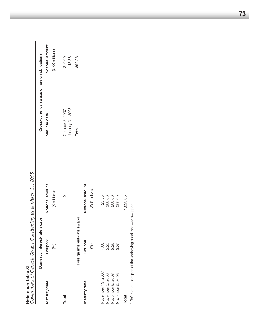| Reference Table XI                                                         |                                 | Government of Canada Swaps Outstanding as at March 31, 2005 |                                             |                 |
|----------------------------------------------------------------------------|---------------------------------|-------------------------------------------------------------|---------------------------------------------|-----------------|
|                                                                            | swaps<br>Domestic interest-rate |                                                             | Cross-currency swaps of foreign obligations |                 |
| Maturity date                                                              | Coupon <sup>1</sup>             | Notional amount                                             | Maturity date                               | Notional amount |
|                                                                            | (%)                             | (\$ millions)                                               |                                             | (US\$ millions) |
| Total                                                                      |                                 | 0                                                           | January 31, 2008<br>October 3, 2007         | 319.00<br>43.88 |
|                                                                            | swaps<br>Foreign interest-rate  |                                                             | Total                                       | 362.88          |
| Maturity date                                                              | Coupon <sup>1</sup>             | Notional amount                                             |                                             |                 |
|                                                                            | $\circledast$                   | (US\$ millions)                                             |                                             |                 |
| November 19, 2007                                                          | 4.00                            | 25.35                                                       |                                             |                 |
| November 5, 2008                                                           | 5.25                            | 200.00                                                      |                                             |                 |
| November 5, 2008                                                           | 5.25                            | 500.00                                                      |                                             |                 |
| November 5, 2008                                                           | 5.25                            | 500.00                                                      |                                             |                 |
| Total                                                                      |                                 | 1,225.35                                                    |                                             |                 |
| <sup>1</sup> Refers to the coupon of the underlying bond that was swapped. |                                 |                                                             |                                             |                 |

**73**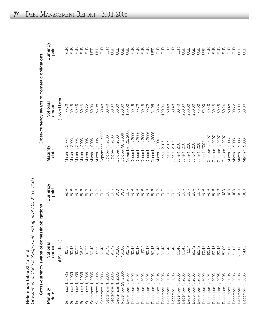|                               | Cross-currency swaps of domestic obligations |                  |                              | Cross-currency swaps of domestic obligations |                  |
|-------------------------------|----------------------------------------------|------------------|------------------------------|----------------------------------------------|------------------|
| Maturity<br>date              | Notional<br>amount                           | Currency<br>paid | Maturity<br>date             | Notiona<br>amount                            | Currency<br>paid |
|                               | (US\$ millions)                              |                  |                              | (US\$ millions)                              |                  |
| 2005<br>September 1           | 90.72                                        | 吕                | March 1, 2006                | 90.72                                        | 9<br>日           |
| 2005<br>September 1           | 60.48                                        | $rac{1}{2}$      | March 1, 2006                | 60.48                                        | EUR              |
| 2005<br>September 1           | 90.72                                        | EUR              | Vlarch 1, 2006               | 60.48                                        | EUR              |
| 2005<br>September             | 36.29                                        | E                | Vlarch 1, 2006               | 60.48                                        | $\overline{E}$   |
| 2005<br>September             | 90.72                                        | $rac{1}{2}$      | March 1, 2006                | 90.72                                        | EUR              |
| 2005<br>September             | 60.48                                        | E                | March 1, 2006                | 50.00                                        | <b>GSD</b>       |
| 2005<br>September             | 36.29                                        | EUR              | March 1, 2006                | 53.98                                        | go               |
| 2005<br>September             | 60.48                                        | EUR              | September 1, 2006            | 60.48                                        | EUR              |
| 2005<br>September             | 90.72                                        | E                | October 1, 2006              | 60.48                                        | E                |
| 2005<br>September 1           | 90.72                                        | $E$ UR           | October 1, 2006              | 50.00                                        | <b>GSD</b>       |
| September 1, 2005             | 100.00                                       | <b>USD</b>       | October 1, 2006              | 50.00                                        | <b>GSD</b>       |
| November 23, 2005             | 150.00                                       | go               | October 30, 2006             | 250.00                                       | <b>GSD</b>       |
| December 1, 2005              | 90.72                                        | EUR              | November 23, 2006            | 150.00                                       | go               |
| December 1, 2005              | 60.48                                        | $E$ UR           | December 1, 2006             | 60.48                                        | EUR              |
| 2005<br>December <sub>1</sub> | 60.48                                        | E                | December 1, 2006             | 90.72                                        | EUR              |
| 2005<br>December              | 60.4                                         | E                | December 1, 2006             | 60.48                                        | EUR              |
| 2005<br>December <sup>-</sup> | 60.48                                        | EUR              | December 1, 2006             | 90.72                                        | EUR              |
| 2005<br>December <sub>1</sub> | 60.48                                        | EUR              | December 1, 2006             | 54.95                                        | JSD              |
| 2005<br>December <sub>1</sub> | 60.48                                        | E                | March 1, 2007                | 30.24                                        | EUR              |
| 2005<br>December <sub>1</sub> | 60.48                                        | EUR              | June 1, 2007                 | 120.96                                       | EUR              |
| 2005<br>December              | 60.48                                        | EUR              | June 1, 2007                 | 60.48                                        | EUR              |
| 2005<br>December <sub>1</sub> | 60.48                                        | EUR              | June 1, 2007                 | 60.48                                        | EUR              |
| 2005<br>December <sub>1</sub> | 60.48                                        | $E$ UR           | June 1, 2007                 | 60.48                                        | $E$ UR           |
| 2005<br>December <sup>-</sup> | 60.48                                        | E                | June 1, 2007                 | 250.00                                       | go               |
| 2005<br>December              | 60.4                                         | E                | June 1, 2007                 | 250.00                                       | <b>GSD</b>       |
| 2005<br>December              | 90.72                                        | E                | June 1, 2007                 | 250.00                                       | asp              |
| 2005<br>December 1            | 90.72                                        | EUR              | June 1, 2007                 | 75.00                                        | asp              |
| 2005<br>December <sub>1</sub> | 60.48                                        | $E$ UR           | June 1, 2007                 | 75.00                                        | go               |
| 2005<br>December <sub>1</sub> | 60.48                                        | EUR              | October 1, 2007              | 60.48                                        | EUR              |
| 2005<br>December <sub>1</sub> | 60.48                                        | EUR              | October 1, 2007              | 60.48                                        | EUR              |
| 2005<br>December <sup>-</sup> | 60.48                                        | E                | October 1, 2007              | 60.48                                        | EUR              |
| 2005<br>December <sub>1</sub> | 50.00                                        | GSU              | October 1, 2007              | 30.24                                        | EUR              |
| 2005<br>December <sub>1</sub> | 50.00                                        | GSU              | March 1, 2008                | 60.48                                        | EUR              |
| 2005<br>December 1            | 50.00                                        | GSU              | March 1, 2008                | 90.72                                        | E                |
| 2005<br>December <sub>1</sub> | 500.00                                       | GSD              | 1,2008<br>March <sup>-</sup> | 50.00                                        | GSD              |
| 2005<br>December 1,           | 54.05                                        | go               | March 1, 2008                | 50.00                                        | go               |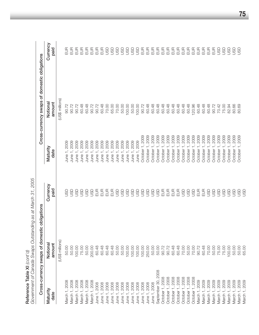| Government of Canada Swaps Outstar<br>Reference Table XI (cont'd) |                                | nding as at March 31, 2005 |                              |                                              |                  |
|-------------------------------------------------------------------|--------------------------------|----------------------------|------------------------------|----------------------------------------------|------------------|
|                                                                   | Cross-currency swaps of domest | c obligations              |                              | Cross-currency swaps of domestic obligations |                  |
| Maturity<br>date                                                  | Notional<br>amount             | Currency<br>paid           | Maturity<br>date             | Notional<br>amount                           | Currency<br>paid |
|                                                                   | (US\$ millions)                |                            |                              | (US\$ millions)                              |                  |
| 2008<br>March <sub>1</sub>                                        | 50.00                          | GSU                        | 2009<br>June 1,              | 90.72                                        | <b>EUR</b>       |
| March 1, 2008                                                     | 50.00                          | GSU                        | 2009<br>June 1               | 90.72                                        | EUR              |
| March 1, 2008                                                     | 100.00                         | GSU                        | 2009<br>June <sub>1</sub>    | 90.72                                        | EUR              |
| March 1, 2008                                                     | 75.00                          | GSU                        | 2009<br>June 1               | 60.48                                        | EUR              |
| March 1, 2008                                                     | 50.00                          | GSD                        | 2009<br>June 1               | 60.48                                        | EUR              |
| March 1, 2008                                                     | 200.00                         | asp                        | 2009<br>June <sub>1</sub>    | 90.72                                        | EUR              |
| June 1, 2008                                                      | 60.48                          | E                          | 2009<br>June 1               | 90.72                                        | EUR              |
| June 1, 2008                                                      | 60.48                          | E                          | 2009<br>June 1               | 60.48                                        | EUR              |
| 1,2008<br>June 1,                                                 | 60.48                          | EUR                        | 2009<br>June <sub>1</sub>    | 70.00                                        | asp              |
| 1,2008<br>June 1                                                  | 60.48                          | E                          | 2009<br>June 1               | 65.00                                        | go               |
| 1,2008<br>June 1                                                  | 50.00                          | go                         | 2009<br>June 1               | 70.00                                        | go               |
| 1,2008<br>June 1                                                  | 50.00                          | <b>USD</b>                 | 2009<br>June 1,              | 50.00                                        | asp              |
| , 2008<br>June 1,                                                 | 100.00                         | <b>USD</b>                 | 1,2009<br>June 1,            | 100.00                                       | asp              |
| June 1, 2008                                                      | 100.00                         | go                         | June 1, 2009                 | 50.00                                        | go               |
| June 1, 2008                                                      | 100.00                         | <b>USD</b>                 | June 1, 2009                 | 100.00                                       | GSD              |
| June 1, 2008                                                      | 100.00                         | <b>USD</b>                 | October 1, 2009              | 90.72                                        | EUR              |
| June 1, 2008                                                      | 250.00                         | go                         | October 1, 2009              | 60.48                                        | EUR              |
| June 1, 2008                                                      | 50.00                          | go                         | 2009<br>October 1            | 60.48                                        | EUR              |
| September 30, 2008                                                | 50.00                          | go                         | 2009<br>October <sub>1</sub> | 60.48                                        | EUR              |
| October 1, 2008                                                   | 90.72                          | EUR                        | 2009<br>October 1            | 60.48                                        | EUR              |
| October 1, 2008                                                   | 90.72                          | EUR                        | 2009<br>October              | 60.48                                        | EUR              |
| 1,2008<br>October 1                                               | 60.48                          | E                          | 2009<br>October              | 60.48                                        | EUR              |
| October 1, 2008                                                   | 60.48                          | EUR                        | 2009<br>October              | 60.48                                        | EUR              |
| October 1, 2008                                                   | 70.00                          | go                         | 2009<br>October <sub>1</sub> | 60.48                                        | EUR              |
| October 1, 2008                                                   | 50.00                          | go                         | 2009<br>October              | 60.48                                        | EUR              |
| October 1, 2008                                                   | 70.00                          | go                         | 2009<br>October              | 120.96                                       | EUR              |
| March 1, 2009                                                     | 90.72                          | EUR                        | 2009<br>October              | 60.48                                        | EUR              |
| March 1, 2009                                                     | 60.48                          | $E$ UR                     | 2009<br>October              | 60.48                                        | EUR              |
| March 1, 2009                                                     | 70.00                          | <b>GSD</b>                 | 2009<br>October              | 60.48                                        | EUR              |
| 2009<br>March <sub>1</sub>                                        | 50.00                          | go                         | 2009<br>October              | 90.72                                        | EUR              |
| March 1, 2009                                                     | 75.00                          | <b>GSD</b>                 | 2009<br>October 1,           | 70.42                                        | GSU              |
| 2009<br>March <sub>1</sub>                                        | 75.00                          | <b>GSD</b>                 | 2009<br>October <sub>1</sub> | 75.00                                        | go               |
| 2009<br>March <sub>1</sub>                                        | 100.00                         | <b>GSD</b>                 | 2009<br>October <sub>1</sub> | 82.94                                        | GSD              |
| March 1, 2009                                                     | 50.00                          | <b>GSD</b>                 | 2009<br>October 1,           | 80.66                                        | GSD              |
| 2009<br>March <sup>-</sup>                                        | 50.00                          | <b>GSD</b>                 | 2009<br>October 1,           | 80.69                                        | GSD              |
| March 1, 2009                                                     | 65.00                          | go                         |                              |                                              |                  |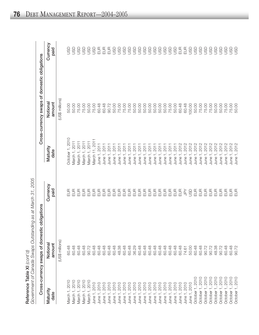|                                     | Cross-currency swaps of domestic obligations |                       |                           | Cross-currency swaps of domestic obligations |                  |
|-------------------------------------|----------------------------------------------|-----------------------|---------------------------|----------------------------------------------|------------------|
| Maturity<br>date                    | Notional<br>amount                           | Currency<br>paid      | Maturity<br>date          | Notional<br>amount                           | Currency<br>paid |
|                                     | (US\$ millions)                              |                       |                           | (US\$ millions)                              |                  |
| March 1, 2010                       | 60.48                                        | EUR                   | October 1, 2010           | 50.00                                        | <b>GSL</b>       |
| March 1, 2010                       | 60.48                                        | $\frac{1}{2}$         | March 1, 2011             | 50.00                                        | go               |
| March 1, 2010                       | 60.48                                        | $\frac{1}{2}$         | March 1, 2011             | 75.00                                        | go               |
| March 1, 2010                       | 60.48                                        | EUR                   | March 1, 2011             | 75.00                                        | go               |
| March 1, 2010                       | 90.72                                        | EUR                   | March 1, 2011             | 50.00                                        | go               |
| June 1, 2010                        | 60.48                                        | EUR                   | March 11, 2011            | 75.00                                        | go               |
| June 1, 2010                        | 60.48                                        | EUR                   | June 1, 2011              | 60.48                                        | EUR              |
| June 1, 2010                        | 60.48                                        | EUR                   | June 1, 2011              | 60.48                                        | EUR              |
| June 1, 2010                        | 60.48                                        | EUR                   | June 1, 201               | 90.72                                        | EUR              |
| 2010<br>June 1,                     | 60.48                                        | EUR                   | 201<br>June 1,            | 50.00                                        | go               |
| 2010<br>June 1                      | 48.38                                        | EUR                   | 201<br>June 1             | 75.00                                        | asp              |
| 2010<br>June 1                      | 60.48                                        | EUR                   | 201<br>June 1,            | 75.00                                        | go               |
| 2010<br>June 1                      | 60.48                                        | EUR                   | 201<br>June 1,            | 75.00                                        | asp              |
| 2010<br>June 1                      | 36.29                                        | EUR                   | 201<br>June <sub>1</sub>  | 50.00                                        | asp              |
| , 2010<br>June 1                    | 60.48                                        | EUR                   | 201<br>June 1,            | 50.00                                        | asp              |
| June 1, 2010                        | 60.48                                        | EUR                   | 201<br>June <sub>1</sub>  | 50.00                                        | asp              |
| 2010<br>June 1                      | 60.48                                        | EUR                   | 201<br>June <sup>-</sup>  | 50.00                                        | go               |
| 2010<br>June 1                      | 60.48                                        | EUR                   | <b>2011</b><br>June 1     | 50.00                                        | asu              |
| 1,2010<br>June 1                    | 60.48                                        | EUR                   | 2011<br>June 1,           | 50.00                                        | asp              |
| 2010<br>June <sup>-</sup>           | 60.48                                        | EUR                   | 2011<br>June <sup>-</sup> | 50.00                                        | go               |
| 1,2010<br>June $1$                  | 60.48                                        | EUR                   | 2011<br>June <sup>-</sup> | 75.00                                        | asp              |
| June 1, 2010                        | 60.48                                        | EUR                   | 2011<br>June              | 50.00                                        | go               |
| June 1, 2010                        | 60.48                                        | $E$ UR                | 2012<br>June              | 60.48                                        | EUR              |
| June 1, 2010                        | 74.61                                        | $\widetilde{\vec{B}}$ | 2012<br>June 1            | 60.48                                        | EUR              |
| June 1, 2010                        | 50.00                                        | go                    | 2012<br>June 1            | 100.00                                       | go               |
| October 1, 2010                     | 60.48                                        | EUR                   | 2012<br>June <sup>-</sup> | 50.00                                        | asp              |
| <b>2010</b><br>October <sub>1</sub> | 60.48                                        | EUR                   | 2012<br>June              | 75.00                                        | go               |
| 2010<br>October 1                   | 90.72                                        | EUR                   | 2012<br>June              | 75.00                                        | asp              |
| 2010<br>October <sup>-</sup>        | 90.72                                        | EUR                   | 2012<br>June <sup>-</sup> | 75.00                                        | asp              |
| 2010<br>October 1                   | 48.38                                        | EUR                   | 2012<br>June <sup>-</sup> | 50.00                                        | go               |
| 2010<br>October -                   | 90.72                                        | EUR                   | 2012<br>June 1            | 50.00                                        | asp              |
| 2010<br>October                     | 60.48                                        | EUR                   | 2012<br>June 1,           | 75.00                                        | gsu              |
| 2010<br>October                     | 60.48                                        | $\frac{1}{2}$         | 2012<br>June <sup>-</sup> | 75.00                                        | asp              |
| 2010<br>October 1,                  | 90.72                                        | $\frac{1}{2}$         | 2012<br>June 1,           | 50.00                                        | go               |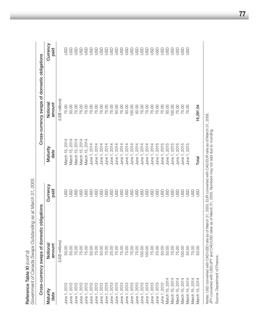| 2014<br>Vlarch 15, 2014<br>March 15, 2014<br>March 15, 2014<br>March 15, 2014<br>2014<br>2015<br>2015<br>2015<br>2015<br>2015<br>2015<br>2014<br>2014<br>2014<br>2014<br>2014<br>2014<br>2014<br>2014<br>2014<br>2014<br>2014<br>2014<br>Maturity<br>March 15,<br>date<br>June 1,<br>June <sub>1</sub><br>June <sub>1</sub><br>June 1<br>June <sub>1</sub><br>June <sub>1</sub><br>June <sub>1</sub><br>June <sub>1</sub><br>June 1<br>June <sub>1</sub><br>June <sub>1</sub><br>June <sub>1</sub><br>June 1<br>June 1<br>$J$ une 1<br>$J$ une 1<br>June 1<br>June 1<br>June <sup>-</sup><br>Currency<br>paid<br>GSD<br>asu<br>asu<br>asu<br>asp<br>asp<br>asp<br>asp<br>asp<br>go<br>go<br>asp<br>asp<br>asp<br>asp<br>go<br>g<br>$\overline{5}$<br>g<br>$\frac{5}{5}$<br>g<br>g<br>g<br>g<br>(US\$ millions)<br>amount<br>Notiona<br>50.00<br>75.00<br>50.00<br>75.00<br>25.00<br>75.00<br>75.00<br>75.00<br>75.00<br>75.00<br>100.00<br>75.00<br>25.00<br>50.00<br>50.00<br>75.00<br>75.00<br>100.00<br>50.00<br>75.00<br>75.00<br>50.00<br>75.00<br>100.00<br>2014<br>2014<br>2014<br>2014<br>June 1, 2013<br>June 1, 2013<br>June 1, 2013<br>2013<br>N<br>2012<br>2013<br>2013<br>2013<br>, 2013<br>, 2013<br>1,2013<br>June 1, 2013<br>2012<br>2012<br>2012<br>2012<br>2012<br>$\overline{\omega}$<br>≌<br>201<br>$\overline{5}$<br>201<br>15,<br>March 15,<br>March 15,<br>March 15,<br>Maturity<br>June 1,<br>June 1,<br>date<br>March<br>June 1<br>June <sup>-</sup><br>June <sup>-</sup><br>June <sup>-</sup><br>June <sup>-</sup><br>June <sup>-</sup><br>June <sup>-</sup><br>June <sup>-</sup><br>June <sup>-</sup><br>June <sup>-</sup><br>June<br>June<br>June<br>June |                |                    |                  |
|---------------------------------------------------------------------------------------------------------------------------------------------------------------------------------------------------------------------------------------------------------------------------------------------------------------------------------------------------------------------------------------------------------------------------------------------------------------------------------------------------------------------------------------------------------------------------------------------------------------------------------------------------------------------------------------------------------------------------------------------------------------------------------------------------------------------------------------------------------------------------------------------------------------------------------------------------------------------------------------------------------------------------------------------------------------------------------------------------------------------------------------------------------------------------------------------------------------------------------------------------------------------------------------------------------------------------------------------------------------------------------------------------------------------------------------------------------------------------------------------------------------------------------------------------------------------------------------------------------------------------------------------------------------------------------------|----------------|--------------------|------------------|
|                                                                                                                                                                                                                                                                                                                                                                                                                                                                                                                                                                                                                                                                                                                                                                                                                                                                                                                                                                                                                                                                                                                                                                                                                                                                                                                                                                                                                                                                                                                                                                                                                                                                                       |                | Notional<br>amount | Currency<br>paid |
|                                                                                                                                                                                                                                                                                                                                                                                                                                                                                                                                                                                                                                                                                                                                                                                                                                                                                                                                                                                                                                                                                                                                                                                                                                                                                                                                                                                                                                                                                                                                                                                                                                                                                       |                | (US\$ millions)    |                  |
|                                                                                                                                                                                                                                                                                                                                                                                                                                                                                                                                                                                                                                                                                                                                                                                                                                                                                                                                                                                                                                                                                                                                                                                                                                                                                                                                                                                                                                                                                                                                                                                                                                                                                       |                | 75.00              | $\overline{5}$   |
|                                                                                                                                                                                                                                                                                                                                                                                                                                                                                                                                                                                                                                                                                                                                                                                                                                                                                                                                                                                                                                                                                                                                                                                                                                                                                                                                                                                                                                                                                                                                                                                                                                                                                       |                | 50.00              | g                |
|                                                                                                                                                                                                                                                                                                                                                                                                                                                                                                                                                                                                                                                                                                                                                                                                                                                                                                                                                                                                                                                                                                                                                                                                                                                                                                                                                                                                                                                                                                                                                                                                                                                                                       |                | 75.00              | g                |
|                                                                                                                                                                                                                                                                                                                                                                                                                                                                                                                                                                                                                                                                                                                                                                                                                                                                                                                                                                                                                                                                                                                                                                                                                                                                                                                                                                                                                                                                                                                                                                                                                                                                                       |                | 75.00              | 9                |
|                                                                                                                                                                                                                                                                                                                                                                                                                                                                                                                                                                                                                                                                                                                                                                                                                                                                                                                                                                                                                                                                                                                                                                                                                                                                                                                                                                                                                                                                                                                                                                                                                                                                                       |                | 75.00              | asu              |
|                                                                                                                                                                                                                                                                                                                                                                                                                                                                                                                                                                                                                                                                                                                                                                                                                                                                                                                                                                                                                                                                                                                                                                                                                                                                                                                                                                                                                                                                                                                                                                                                                                                                                       |                | 75.00              | asp              |
|                                                                                                                                                                                                                                                                                                                                                                                                                                                                                                                                                                                                                                                                                                                                                                                                                                                                                                                                                                                                                                                                                                                                                                                                                                                                                                                                                                                                                                                                                                                                                                                                                                                                                       |                | 75.00              | asp              |
|                                                                                                                                                                                                                                                                                                                                                                                                                                                                                                                                                                                                                                                                                                                                                                                                                                                                                                                                                                                                                                                                                                                                                                                                                                                                                                                                                                                                                                                                                                                                                                                                                                                                                       |                | 75.00              | asp              |
|                                                                                                                                                                                                                                                                                                                                                                                                                                                                                                                                                                                                                                                                                                                                                                                                                                                                                                                                                                                                                                                                                                                                                                                                                                                                                                                                                                                                                                                                                                                                                                                                                                                                                       |                | 75.00              | asu              |
|                                                                                                                                                                                                                                                                                                                                                                                                                                                                                                                                                                                                                                                                                                                                                                                                                                                                                                                                                                                                                                                                                                                                                                                                                                                                                                                                                                                                                                                                                                                                                                                                                                                                                       |                | 75.00              | asp              |
|                                                                                                                                                                                                                                                                                                                                                                                                                                                                                                                                                                                                                                                                                                                                                                                                                                                                                                                                                                                                                                                                                                                                                                                                                                                                                                                                                                                                                                                                                                                                                                                                                                                                                       |                | 50.00              | asp              |
|                                                                                                                                                                                                                                                                                                                                                                                                                                                                                                                                                                                                                                                                                                                                                                                                                                                                                                                                                                                                                                                                                                                                                                                                                                                                                                                                                                                                                                                                                                                                                                                                                                                                                       |                | 75.00              | asp              |
|                                                                                                                                                                                                                                                                                                                                                                                                                                                                                                                                                                                                                                                                                                                                                                                                                                                                                                                                                                                                                                                                                                                                                                                                                                                                                                                                                                                                                                                                                                                                                                                                                                                                                       |                | 50.00              | asp              |
|                                                                                                                                                                                                                                                                                                                                                                                                                                                                                                                                                                                                                                                                                                                                                                                                                                                                                                                                                                                                                                                                                                                                                                                                                                                                                                                                                                                                                                                                                                                                                                                                                                                                                       |                | 100.00             | asp              |
|                                                                                                                                                                                                                                                                                                                                                                                                                                                                                                                                                                                                                                                                                                                                                                                                                                                                                                                                                                                                                                                                                                                                                                                                                                                                                                                                                                                                                                                                                                                                                                                                                                                                                       |                | 50.00              | asp              |
|                                                                                                                                                                                                                                                                                                                                                                                                                                                                                                                                                                                                                                                                                                                                                                                                                                                                                                                                                                                                                                                                                                                                                                                                                                                                                                                                                                                                                                                                                                                                                                                                                                                                                       |                | 75.00              | asp              |
|                                                                                                                                                                                                                                                                                                                                                                                                                                                                                                                                                                                                                                                                                                                                                                                                                                                                                                                                                                                                                                                                                                                                                                                                                                                                                                                                                                                                                                                                                                                                                                                                                                                                                       |                | 75.00              | GSD              |
|                                                                                                                                                                                                                                                                                                                                                                                                                                                                                                                                                                                                                                                                                                                                                                                                                                                                                                                                                                                                                                                                                                                                                                                                                                                                                                                                                                                                                                                                                                                                                                                                                                                                                       |                | 75.00              | asp              |
|                                                                                                                                                                                                                                                                                                                                                                                                                                                                                                                                                                                                                                                                                                                                                                                                                                                                                                                                                                                                                                                                                                                                                                                                                                                                                                                                                                                                                                                                                                                                                                                                                                                                                       |                | 75.00              | asu              |
|                                                                                                                                                                                                                                                                                                                                                                                                                                                                                                                                                                                                                                                                                                                                                                                                                                                                                                                                                                                                                                                                                                                                                                                                                                                                                                                                                                                                                                                                                                                                                                                                                                                                                       |                | 75.00              | go               |
|                                                                                                                                                                                                                                                                                                                                                                                                                                                                                                                                                                                                                                                                                                                                                                                                                                                                                                                                                                                                                                                                                                                                                                                                                                                                                                                                                                                                                                                                                                                                                                                                                                                                                       |                | 50.00              | asu              |
|                                                                                                                                                                                                                                                                                                                                                                                                                                                                                                                                                                                                                                                                                                                                                                                                                                                                                                                                                                                                                                                                                                                                                                                                                                                                                                                                                                                                                                                                                                                                                                                                                                                                                       |                | 100.00             | go               |
|                                                                                                                                                                                                                                                                                                                                                                                                                                                                                                                                                                                                                                                                                                                                                                                                                                                                                                                                                                                                                                                                                                                                                                                                                                                                                                                                                                                                                                                                                                                                                                                                                                                                                       |                | 75.00              | SD               |
|                                                                                                                                                                                                                                                                                                                                                                                                                                                                                                                                                                                                                                                                                                                                                                                                                                                                                                                                                                                                                                                                                                                                                                                                                                                                                                                                                                                                                                                                                                                                                                                                                                                                                       |                | 75.00              | go               |
| 2015<br>June 1,<br>50.00<br>March 15, 2014                                                                                                                                                                                                                                                                                                                                                                                                                                                                                                                                                                                                                                                                                                                                                                                                                                                                                                                                                                                                                                                                                                                                                                                                                                                                                                                                                                                                                                                                                                                                                                                                                                            | $\overline{5}$ | 75.00              | go               |
| g<br>75.00<br>March 15, 2014                                                                                                                                                                                                                                                                                                                                                                                                                                                                                                                                                                                                                                                                                                                                                                                                                                                                                                                                                                                                                                                                                                                                                                                                                                                                                                                                                                                                                                                                                                                                                                                                                                                          |                |                    |                  |
| Total<br>$\frac{5}{5}$<br>50.00<br>2014<br>March 15,                                                                                                                                                                                                                                                                                                                                                                                                                                                                                                                                                                                                                                                                                                                                                                                                                                                                                                                                                                                                                                                                                                                                                                                                                                                                                                                                                                                                                                                                                                                                                                                                                                  |                | 19,291.04          |                  |

**Reference Table XI** (cont'd)<br>Government of Canada Swaps Outstanding as at March 31, 2005 *Government of Canada Swaps Outstanding as at March 31, 2005* Reference Table XI *(cont'd)*

Source: Department of Finance. Source: Department of Finance.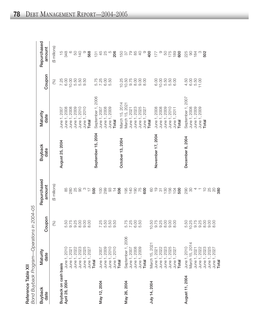Reference Table XII

Repurchased (\$ millions) amount  $+840$ <br>  $-840$ 50<br>140 568  $\frac{5}{2}$   $\frac{45}{20}$   $\frac{6}{20}$  $0.8820$ <br> $0.820$  $\circ$  $177$ 88 x 88 Coupon 5.50<br>11.00 10.00 50<br>50<br>50<br>50<br>50 10.25<br>10.50 9.75<br>8.00 10.00 50<br>50<br>50<br>6<br>50 6.00 6.00  $4.50$ <br>6.00 7.25  $(%)$ September 1, 2006 September 1, 2007 March 15, 2014<br>March 15, 2021 June 1, 2009 June 1, 2010 June 1, 2008 June 1, 2009 June 1, 2021 June 1, 2027 June 1, 2008 June 1, 2008 June 1, 2009 June 1, 2010 June 1, 2008 June 1, 2009 June 1, 2009 June 1, 2008 June 1, 2008 June 1, 2010 June 1, 2007 June 1, 2023 June 1, 2025 June 1, 2011 June 1, 2007 Maturity date Total **Total** Total Total Total September 15, 2004 **Vovember 17, 2004** December 8, 2004 October 13, 2004 August 25, 2004 **Buyback** date Repurchased (\$ millions) amount  $4 - 5000$ 88088  $\frac{1}{\sqrt{2}}$ 500  $2887 + 8$ 82750<br>84505  $\frac{50}{20}$ Bond Buyback Program-Operations in 2004-05 Coupon 25<br>26<br>26<br>26<br>26<br>26 5.50<br>9.75 5.75 7.85<br>6.80<br>5.9 9.75 5.50<br>10.25 10.50  $(%)$ September 1, 2006 March 15, 2014 March 15, 2021 June 1, 2010<br>June 1, 2010 June 1, 2007 June 1, 2023 June 1, 2025 June 1, 2010 June 1, 2022 June 1, 2025 June 1, 2022 June 1, 2025 June 1, 2009 June 1, 2008 June 1, 2009 June 1, 2022 June 1, 2023 June 1, 2027 June 1, 2010 June 1, 2021 June 1, 2023 June 1, 2027 June 1, 2007 June 1, 2021 June 1, 2027 June 1, 2021 Maturity date Total **Total** Total Total Buyback on cash basis August 11, 2004 April 28, 2004 May 26, 2004 May 12, 2004 July 14, 2004 **Buyback** date

Total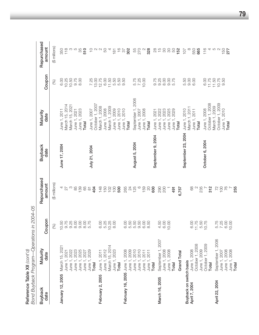|                                | Bond Buyback Program—Operations in 2004-05 |              |                       |                        |                       |                    |                          |
|--------------------------------|--------------------------------------------|--------------|-----------------------|------------------------|-----------------------|--------------------|--------------------------|
| <b>Buyback</b><br>date         | Maturity<br>date                           | Coupon       | Repurchased<br>amount | <b>Buyback</b><br>date | Maturity<br>date      | Coupon             | Repurchased<br>amount    |
|                                |                                            | (%)          | (\$ millions)         |                        |                       | (%)                | (\$ millions)            |
| January 12, 2005               | March 15, 202 <sup>-</sup>                 | 10.50        | 4                     | June 17, 2004          | June 1, 2011          | 6.00               | 350                      |
|                                | June 1, 2021                               | 9.75<br>9.25 | 27                    |                        | March 15, 2014        | 10.25              | 118                      |
|                                | June 1, 2022                               |              | $\infty$              |                        | March 15, 2021        | 10.50              | က                        |
|                                | June 1, 2023                               | 8.00         | 85                    |                        | June 1, 2021          | 9.75               | 5                        |
|                                | June 1, 2025                               | 0.00         | 139                   |                        | June 1, 2023          | 8.00               | 35                       |
|                                | June 1, 2027                               | 8.00         | 65<br>87              |                        | <b>Total</b>          |                    | 510                      |
|                                | June 1, 2029                               | 5.75         |                       | July 21, 2004          | June 1, 2007          | 7.25               | $\supseteq$              |
|                                | <b>Total</b>                               |              | 404                   |                        | October 1, 2007       |                    | $\mathbb{C}$             |
| February 2, 2005               | June 1, 2011                               | 6.00         | 148                   |                        | March 1, 2008         | 13.00<br>12.75     | $\sim$                   |
|                                | June 1, 2012                               | 5.25         | 150                   |                        | June 1, 2008          | 6.00               | 50                       |
|                                | March 15, 2014                             | 10.25        | $\frac{28}{100}$      |                        | March 1, 2009         | 11.50              | 4                        |
|                                | June 1, 2023                               | 8.00         |                       |                        | June 1, 2009          | 5.50               | 181                      |
|                                | Total                                      |              | 500                   |                        | June 1, 2010          | 5.50               | $\frac{6}{1}$            |
| February 16, 2005 June 1, 2008 |                                            | 6.00         | 265                   |                        | June 1, 2010          | 9.50               | $\overline{\mathcal{E}}$ |
|                                | June 1, 2009                               | 5.50         |                       |                        | Total                 |                    | 302                      |
|                                | June 1, 2010                               | 5.50         | <b>24</b><br>125      | August 5, 2004         | September 1, 2006     | 5.75               | 55                       |
|                                | June 1, 2010                               | 9.50         | $\circ$               |                        | June 1, 2007          | 7.25               | 270                      |
|                                | June 1, 2011                               | 6.00         | 159                   |                        | June 1, 2008          | 10.00              | $\mathbb{C}$             |
|                                | June 1, 2011                               | 8.50         | $\infty$              |                        | Total                 |                    | 328                      |
|                                | <b>Total</b>                               |              | 600                   | September 9, 2004      | June 1, 2021          | 9.75               | $_{28}$                  |
| March 16, 2005                 | September 1, 2007                          | 4.50         | 290                   |                        | June 1, 2022          | 9.25               | $\frac{15}{1}$           |
|                                | June 1, 2008                               | 6.00         | 200                   |                        | June 1, 2023          | 8.00               | $\infty$                 |
|                                | June 1, 2008                               | 10.00        |                       |                        | June 1, 2025          | 9.00               | $\infty$                 |
|                                | Total                                      |              | 491                   |                        | June 1, 2029          | 5.75               | 50                       |
|                                | Grand Total                                |              | 6,757                 |                        | Total                 |                    | 152                      |
| Buyback on switch basis        |                                            |              |                       | September 23, 2004     | June 1, 2010          | 5.50               | 107                      |
| April 7, 2004                  | June 1, 2008                               | 6.00         | 89                    |                        | March 1, 2011         | 9.00               | $\infty$                 |
|                                | October 1, 2008                            | 11.75        | $\mathbb{N}$          |                        | June 1, 2011          | 6.00               | 550                      |
|                                | June 1, 2009                               | 5.50         |                       |                        | Total                 |                    | 665                      |
|                                | October 1, 2009                            | 0.75         | $235$<br>312          | October 6, 2004        | June 1, 2008          | 6.00               | 116                      |
|                                | Total                                      |              |                       |                        | October 1, 2008       | $11.75$<br>$11.50$ | 4 10 U                   |
| April 22, 2004                 | September 1, 2006                          | 5.75         | $72$                  |                        | March 1, 2009         | 10.75              |                          |
|                                | June 1, 2007                               | 7.25         | $\overline{100}$      |                        | October 1, 2009       | 9.50               | 150                      |
|                                | June 1, 2008                               | 6.00         | 76                    |                        | June 1, 2010<br>Total |                    | 277                      |
|                                | June 1, 2008                               | 10.00        |                       |                        |                       |                    |                          |
|                                | Total                                      |              | 255                   |                        |                       |                    |                          |

Reference Table XII *(cont'd)*

Reference Table XII (cont'd)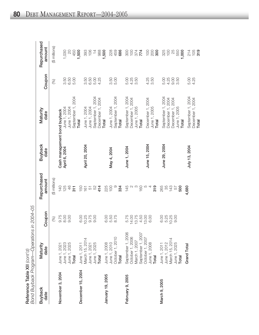| j<br>7<br>-מרחבי<br>i<br>٦ | l<br>C<br>ξ<br>ے<br>ن<br>`^<br>^<br>יי ה<br>mun<br>ĺ<br>í |
|----------------------------|-----------------------------------------------------------|
|                            | )<br>I                                                    |

| <b>Buyback</b><br>date | Maturity<br>date                                               | Coupon | Repurchased<br>amount | <b>Buyback</b><br>date       | Maturity<br>date                     | Coupon                        | Repurchased<br>amount |
|------------------------|----------------------------------------------------------------|--------|-----------------------|------------------------------|--------------------------------------|-------------------------------|-----------------------|
|                        |                                                                | (%)    | (\$ millions)         |                              |                                      | (%)                           | (\$ millions)         |
| November 3, 2004       |                                                                | 9.75   | 140                   | Cash management bond buyback |                                      |                               |                       |
|                        |                                                                | 8.00   | 125                   | April 6, 2004                | June 1, 2004                         |                               | 1,030                 |
|                        |                                                                | 9.00   | 46                    |                              | June 1, 2004                         | 50<br>50<br>50<br>50<br>50    | $\overline{c}$        |
|                        | June 1, 2021<br>June 1, 2023<br>June 1, 2025<br><b>Total</b>   |        | 311                   |                              | September 1, 2004                    |                               | 450                   |
| December 15, 2004      |                                                                | 6.00   | 150                   |                              | <b>Total</b>                         |                               | 1,500                 |
|                        | June 1, 2011<br>March 15, 2014                                 | 10.25  | 161                   | April 20, 2004               | June 1, 2004                         | 3.50                          | 393                   |
|                        |                                                                | 9.75   | 51                    |                              | June 1, 2004                         |                               | 106                   |
|                        |                                                                | 0.00   | 52                    |                              | September 1, 2004                    | 6.50<br>5.00                  | $\overline{4}$        |
|                        | June 1, 2021<br>June 1, 2025<br><b>Total</b>                   |        | 414                   |                              | December 1, 2004                     | 4.25                          | 988                   |
| January 19, 2005       |                                                                | 6.00   | 225                   |                              | <b>Total</b>                         |                               | 1,500                 |
|                        | June 1, 2008<br>June 1, 2010                                   | 5.50   | 100                   | May 4, 2004                  | June 1, 2004                         |                               | 228                   |
|                        | October 1, 2010                                                | 8.75   | $\circ$               |                              | September 1, 2004                    | $3.50$<br>$5.00$              | 459                   |
|                        | Total                                                          |        | 334                   |                              | <b>Total</b>                         |                               | 686                   |
| February 9, 2005       | September 1, 2006                                              | 5.75   | 145                   | June 1, 2004                 | September 1, 2004                    | 5.00                          | 300                   |
|                        | October 1, 2006                                                | 14.00  | N                     |                              | December 1, 2004                     | 4.25<br>3.50                  | $\overline{100}$      |
|                        | March 1, 2007                                                  | 13.75  | S                     |                              | June 1, 2005                         |                               | 374                   |
|                        | September 1, 2007                                              | 4.50   | 160                   |                              | <b>Total</b>                         |                               | 774                   |
|                        | October 1, 2007                                                | 13.00  | Ю                     | June 15, 2004                |                                      | 4.25                          | 100                   |
|                        | June 1, 2008<br>Total                                          | 6.00   | 4                     |                              | December 1, 2004<br>June 1, 2005     | 3.50                          | 200                   |
|                        |                                                                |        | 319                   |                              | <b>Total</b>                         |                               | 300                   |
| March 9, 2005          |                                                                | 6.00   | 265                   | June 29, 2004                |                                      |                               |                       |
|                        |                                                                | 5.25   | 35                    |                              | September 1, 2004                    | 5.00                          | 325<br>100            |
|                        | June 1, 2011<br>June 1, 2012<br>March 15, 2014<br>June 1, 2025 | 10.25  | 143                   |                              | December 1, 2004<br>December 1, 2004 | $4.000$<br>$0.000$<br>$0.000$ | 25                    |
|                        |                                                                | 9.00   | 57                    |                              | June 1, 2005                         |                               | 550                   |
|                        | Total                                                          |        | 500                   |                              | Total                                |                               | 1,000                 |
|                        | Grand Total                                                    |        | 4,680                 | July 13, 2004                | September 1, 2004                    | 5.00                          | 214                   |
|                        |                                                                |        |                       |                              | December 1, 2004<br>Total            | 4.25                          | 105<br>319            |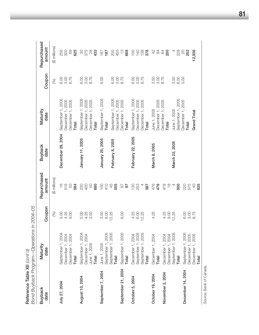|                        | Bond Buyback Program—Operations in 2004-05                          |                       |                                   |                                      |                                                                     |                             |                                 |
|------------------------|---------------------------------------------------------------------|-----------------------|-----------------------------------|--------------------------------------|---------------------------------------------------------------------|-----------------------------|---------------------------------|
| <b>Buyback</b><br>date | Maturity<br>date                                                    | Coupon                | Repurchased<br>amount             | <b>Buyback</b><br>date               | Maturity<br>date                                                    | Coupon                      | Repurchased<br>amount           |
|                        |                                                                     | $(%)$                 | (\$ millions)                     |                                      |                                                                     | (%)                         | (\$ millions)                   |
| July 27, 2004          | September 1, 2004<br>December 1, 2004<br>December 1, 2004<br>Total  |                       | $\frac{6}{1}$<br>518<br>50<br>584 | December 29, 2004                    | September 1, 2005<br>December 1, 2005<br>December 1, 2005<br>Total  | 3.00<br>8.75<br>6.00        | 256<br>300<br>69<br>625         |
| August 10, 2004        | September 1, 2004<br>December 1, 2004<br>June 1, 2005<br>Total      | $0.480$<br>$0.480$    | 230<br>50<br>400<br>680           | January 11, 2005                     | September 1, 2005<br>December 1, 2005<br>December 1, 2005<br>Total  | 6.00<br>$3.00$<br>$8.75$    | $\odot$<br>375<br>433           |
| September 7, 2004      | September 1, 2005<br>September 1, 2005<br>June 1, 2005<br>Total     | 3.50<br>6.00<br>12.25 | 100<br>410<br>45<br>555           | January 25, 2005<br>February 8, 2005 | September 1, 2005<br>September 1, 2005<br>December 1, 2005<br>Total | <b>3.00</b><br>6.00<br>6.00 | 200<br>455<br>187<br>187        |
| September 21, 2004     | September 1, 2005<br>Total                                          | 6.00                  | 56<br>$\overline{6}$              |                                      | December 1, 2005<br>Total                                           | 8.75                        | $\frac{1}{2}$<br>668            |
| October 5, 2004        | December 1, 2004<br>September 1, 2005<br>September 1, 2005<br>Total | 4.25<br>6.00<br>12.25 | $130$<br>$253$<br>387             | February 22, 2005                    | September 1, 2005<br>December 1, 2005<br>December 1, 2005<br>Total  | 8.75<br>6.00<br>3.00        | 138<br>100<br><b>140</b><br>378 |
| October 19, 2004       | December 1, 2004<br>Total                                           | 4.25                  | 476<br>476                        | March 8, 2005                        | December 1, 2005<br>June 1, 2005                                    | 3.50<br>$3.000$<br>$8.75$   | $\frac{1}{2}$<br>$\overline{6}$ |
| November 2, 2004       | December 1, 2004<br>December 1, 2004                                | 4.25<br>9.00          | $\frac{8}{1}$<br>478              |                                      | December 1, 2005<br>Total                                           |                             | 84<br>200                       |
|                        | September 1, 2005<br>Total                                          | 12.25                 | 500                               | March 22, 2005                       | September 1, 2005<br>June 1, 2005                                   | 3.50<br>6.00                | 228<br>$\overline{a}$           |
| December 14, 2004      | September 1, 2005<br>December 1, 2005<br>December 1, 2005           | 82<br>82<br>63<br>82  | 220<br>575<br>$\overline{0}$      |                                      | December 1, 2005<br>Grand Total<br>Total                            |                             | 12,936<br>$\infty$<br>252       |
|                        | Total                                                               |                       | 835                               |                                      |                                                                     |                             |                                 |

Reference Table XII *(cont'd)*

Reference Table XII (cont'd)

Source: Bank of Canada. Source: Bank of Canada.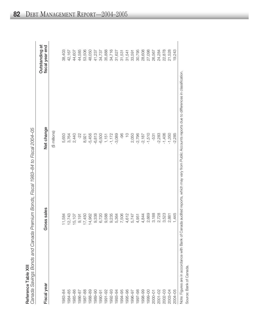|                   | ׇ֚ |
|-------------------|----|
|                   | I  |
|                   |    |
| ₹                 | l  |
| 극                 |    |
|                   | I  |
| <b>^^^^^^^^^^</b> |    |

|                               | is Fiend 1089_84 to Fiend 2001_05<br>こしょ<br>っりりりり<br>- 227 FOOS -                                                                                                                                                               |
|-------------------------------|---------------------------------------------------------------------------------------------------------------------------------------------------------------------------------------------------------------------------------|
|                               |                                                                                                                                                                                                                                 |
|                               | )<br>)<br>)<br>)<br>)<br>)<br>;<br>יממל המוווממשך טאי<br>Ĺ<br>י המכוני המתקופה (המלון המלון הממוני הממוני) ו המכוני המתקופה הממוני הממוני הממוני הממוני הממוני הממוני הממוני<br>ĺ<br>ייימן באטראט היה היי היי היי היי היי היי ה |
| , I divid Yull<br>$max T = 5$ |                                                                                                                                                                                                                                 |
| うこうち<br>ĺ                     |                                                                                                                                                                                                                                 |

| Fiscal year             | Gross sales | Net change                                                                                                                                             | Outstanding at<br>fiscal year end |
|-------------------------|-------------|--------------------------------------------------------------------------------------------------------------------------------------------------------|-----------------------------------|
|                         |             | (\$ millions)                                                                                                                                          |                                   |
| 1983-84                 | 11,584      | 5,650                                                                                                                                                  | 38,403                            |
| 1984-85                 | 12,743      | 3,764                                                                                                                                                  | 42,167                            |
| 1985-86                 | 15,107      | 2,440                                                                                                                                                  | 44,607                            |
| 1986-87                 | 9,191       | $-22$                                                                                                                                                  | 44,585                            |
| 1987-88                 | 17,450      | 8,921                                                                                                                                                  | 53,506                            |
| 1988-89                 | 14,962      | $-5,456$                                                                                                                                               | 48,050                            |
| 1989-90                 | 9,338       | $-6,813$                                                                                                                                               | 41,237                            |
| 1990-91                 | 6,720       | $-6,500$                                                                                                                                               | 34,737                            |
| 1991-92                 | 9,588       | 1,151                                                                                                                                                  | 35,888                            |
| 1992-93                 | 9,235       | $-1,172$                                                                                                                                               | 34,716                            |
| 1993-94                 | 5,364       | $-3,089$                                                                                                                                               | 31,627                            |
| 1994-95                 | 7,506       | -96                                                                                                                                                    | 31,531                            |
| 1995-96                 | 4,612       | $\frac{0}{1}$                                                                                                                                          | 31,541                            |
| 1996-97                 | 5,747       | 2,050                                                                                                                                                  | 33,591                            |
| 1997-98                 | 4,951       | $-2,796$                                                                                                                                               | 30,795                            |
| 1998-99                 | 4,844       | $-2,187$                                                                                                                                               | 28,608                            |
| 1999-00                 | 2,669       | $-1,510$                                                                                                                                               | 27,098                            |
| 2000-01                 | 3,188       | $-531$                                                                                                                                                 | 26,567                            |
| $2001 - 02$             | 2,728       | $-2,283$                                                                                                                                               | 24,284                            |
| 2002-03                 | 3,523       | $-1,406$                                                                                                                                               | 22,878                            |
| 2003-04                 | 2,881       | $-1,350$                                                                                                                                               | 21,528                            |
| 2004-05                 | 1,445       | $-2,285$                                                                                                                                               | 19,243                            |
|                         |             | Note: Figures are in accordance with Bank of Canada audited reports, which may vary from Public Accounts reports due to differences in classification. |                                   |
| Source: Bank of Canada. |             |                                                                                                                                                        |                                   |

**82** DEBT MANAGEMENT REPORT—2004–2005